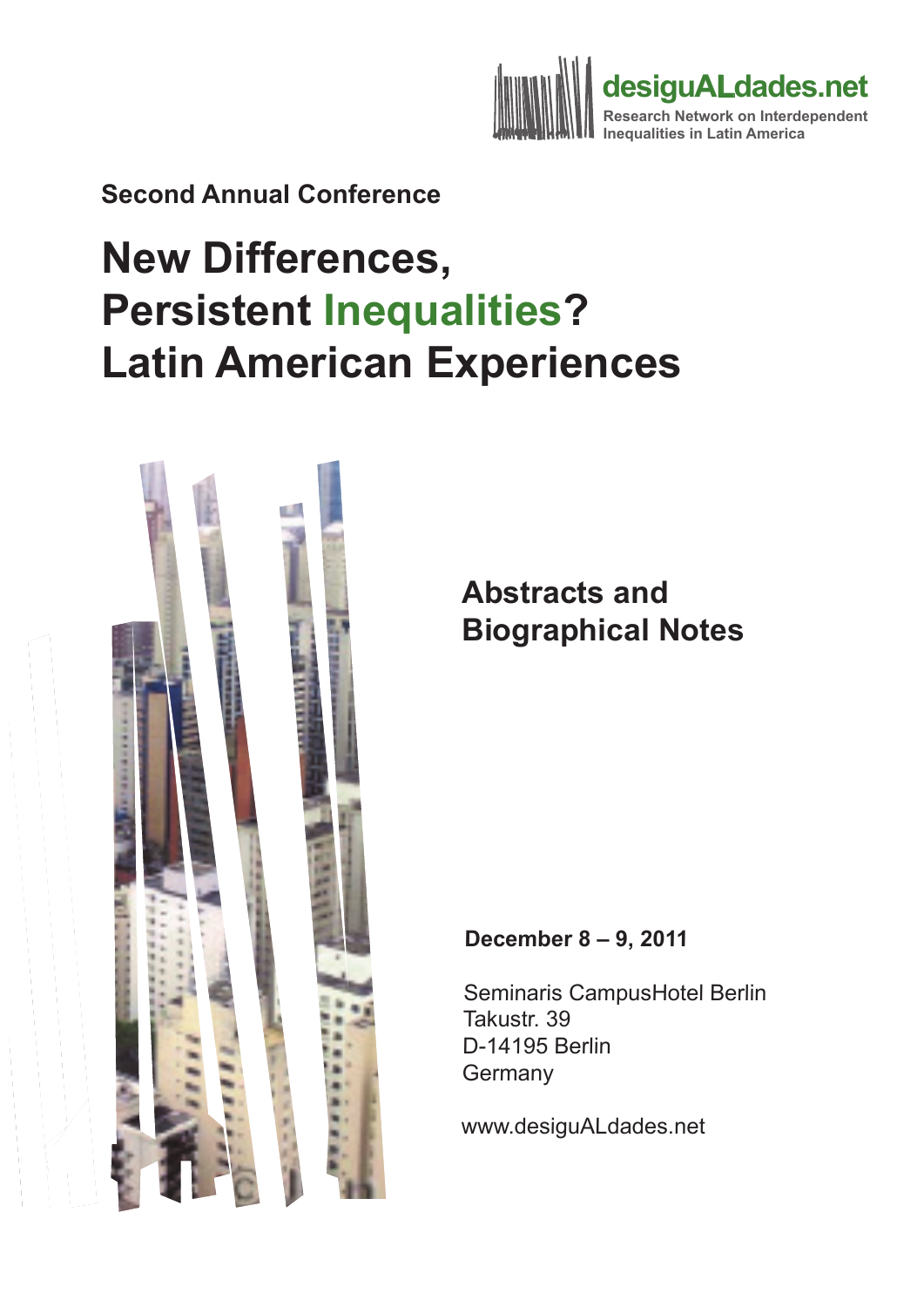

**Second Annual Conference** 

# **New Differences, Persistent Inequalities? Latin American Experiences**



## **Abstracts and Biographical Notes**

#### **December 8 – 9, 2011**

Seminaris CampusHotel Berlin Takustr. 39 D-14195 Berlin **Germany** 

www.desiguALdades.net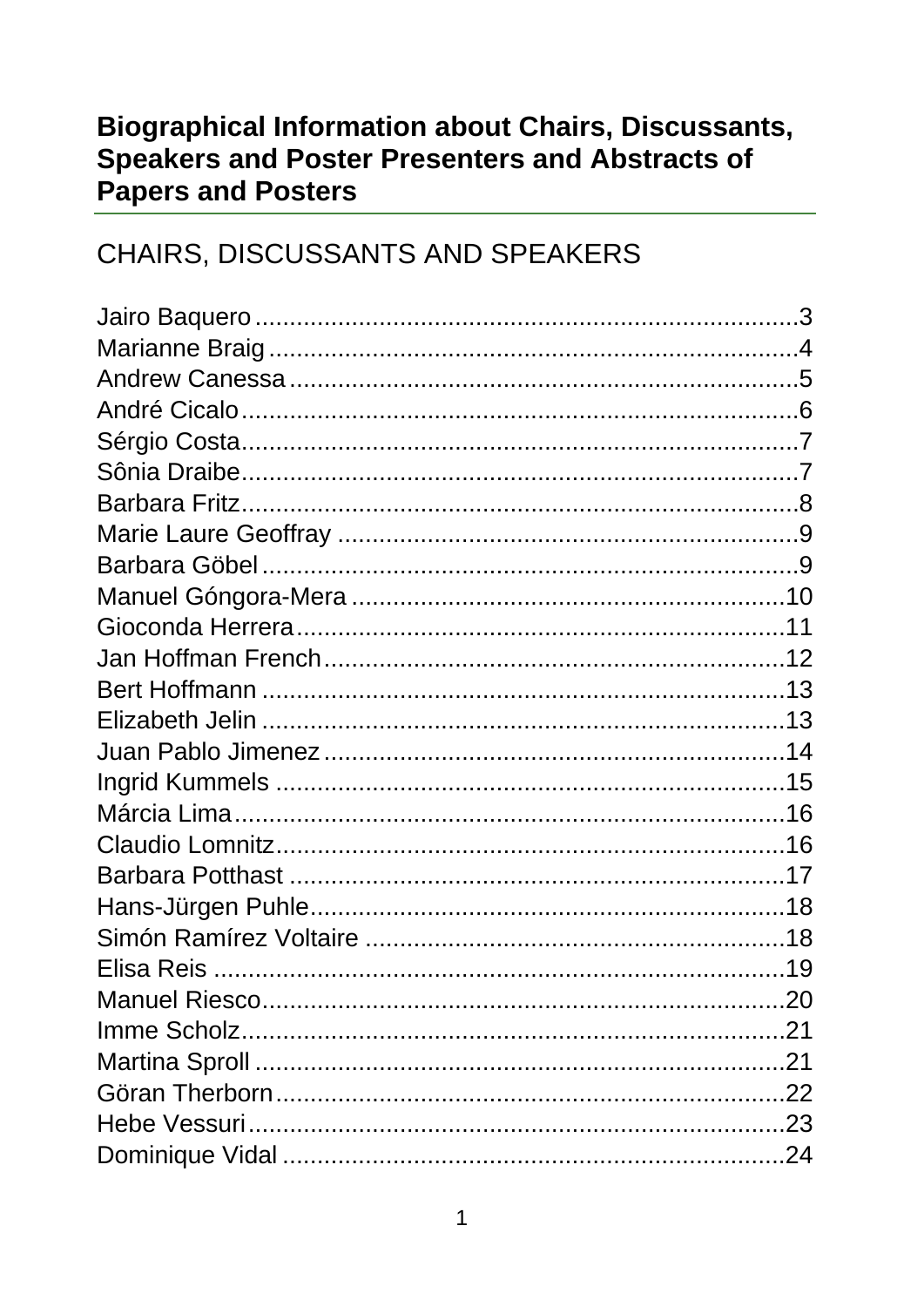### **Biographical Information about Chairs, Discussants, Speakers and Poster Presenters and Abstracts of Papers and Posters**

### CHAIRS, DISCUSSANTS AND SPEAKERS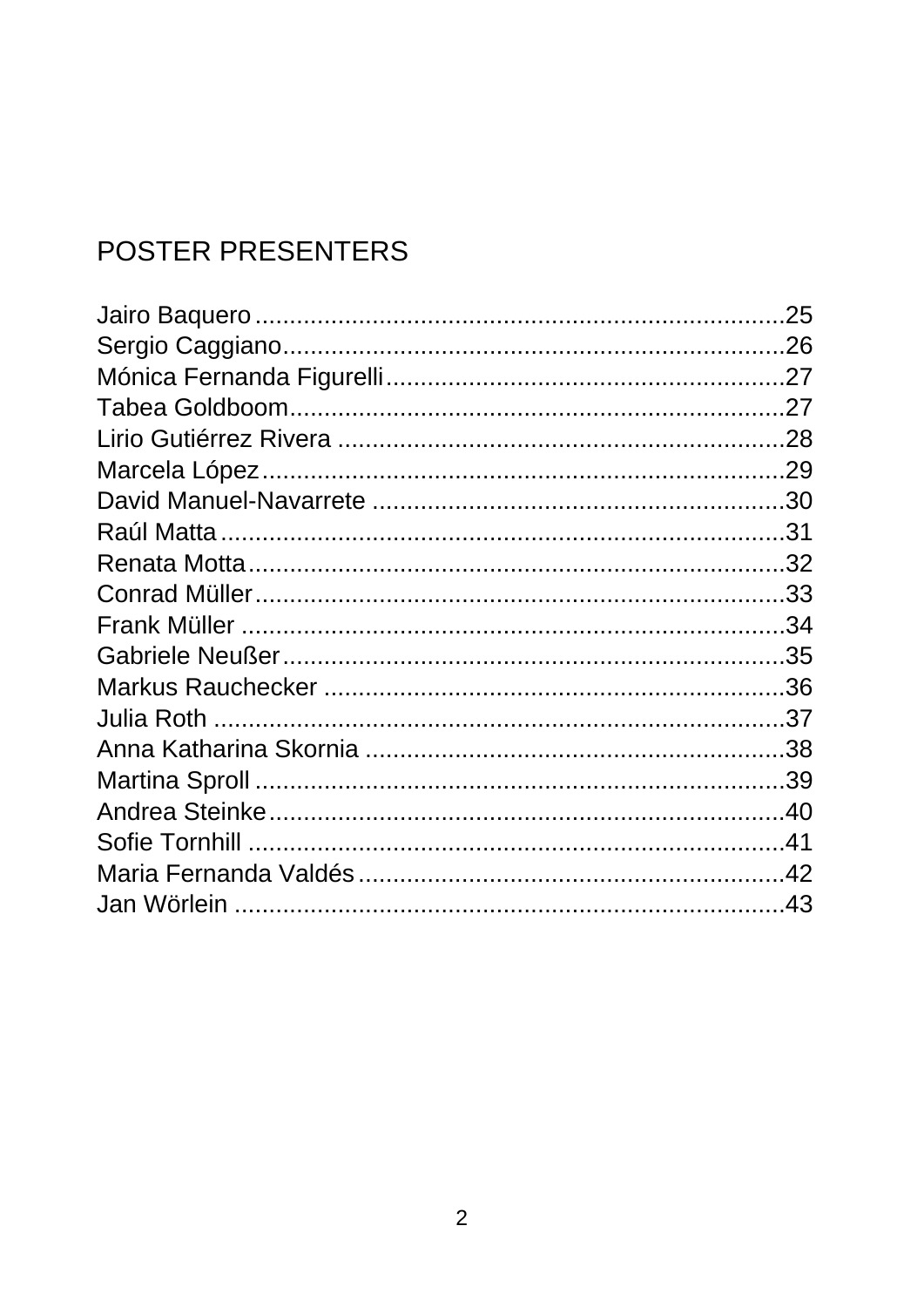## POSTER PRESENTERS

| .25 |
|-----|
|     |
|     |
|     |
|     |
|     |
|     |
|     |
|     |
|     |
|     |
|     |
|     |
|     |
|     |
|     |
|     |
|     |
|     |
|     |
|     |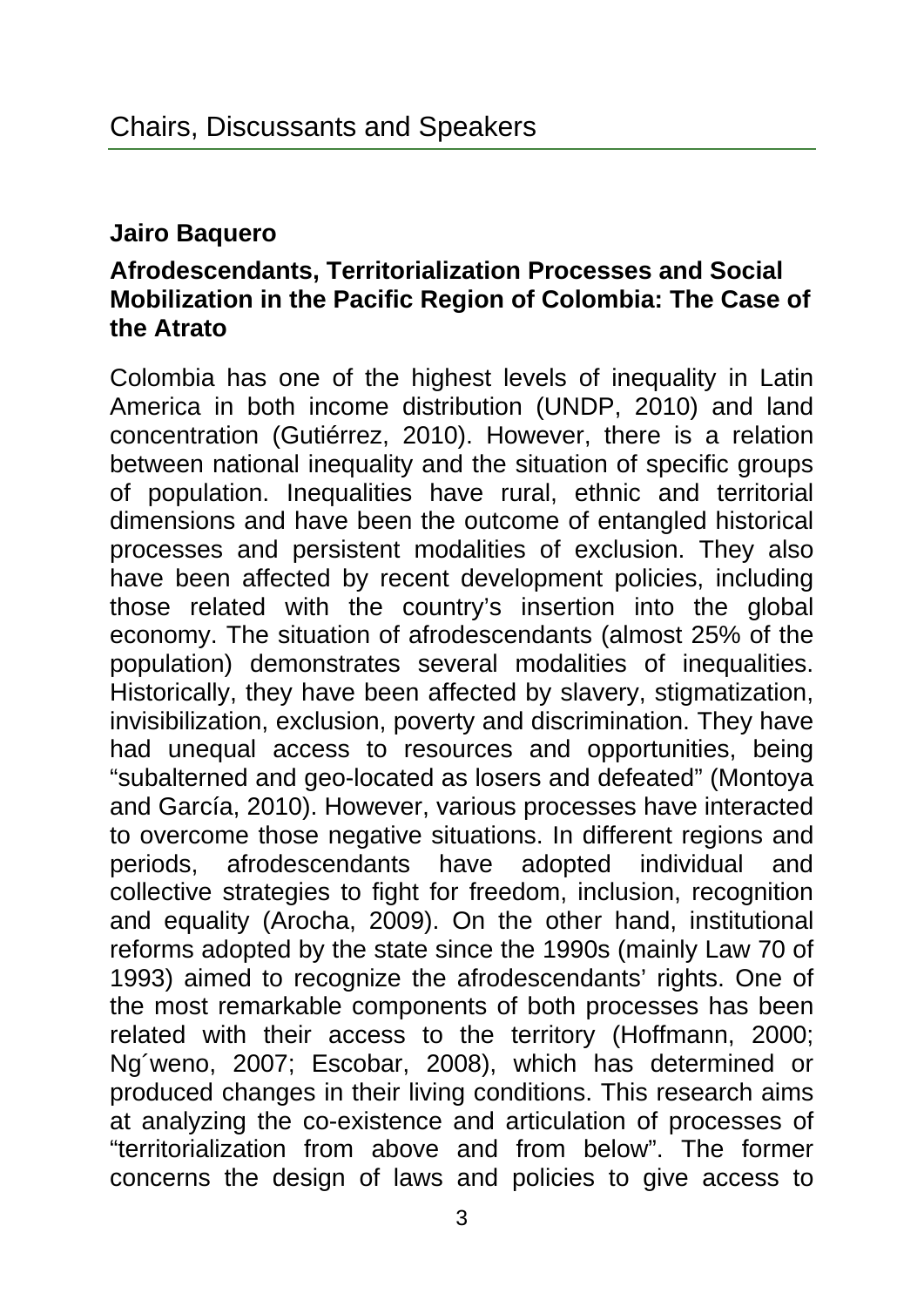#### **Jairo Baquero**

#### **Afrodescendants, Territorialization Processes and Social Mobilization in the Pacific Region of Colombia: The Case of the Atrato**

Colombia has one of the highest levels of inequality in Latin America in both income distribution (UNDP, 2010) and land concentration (Gutiérrez, 2010). However, there is a relation between national inequality and the situation of specific groups of population. Inequalities have rural, ethnic and territorial dimensions and have been the outcome of entangled historical processes and persistent modalities of exclusion. They also have been affected by recent development policies, including those related with the country's insertion into the global economy. The situation of afrodescendants (almost 25% of the population) demonstrates several modalities of inequalities. Historically, they have been affected by slavery, stigmatization, invisibilization, exclusion, poverty and discrimination. They have had unequal access to resources and opportunities, being "subalterned and geo-located as losers and defeated" (Montoya and García, 2010). However, various processes have interacted to overcome those negative situations. In different regions and periods, afrodescendants have adopted individual and collective strategies to fight for freedom, inclusion, recognition and equality (Arocha, 2009). On the other hand, institutional reforms adopted by the state since the 1990s (mainly Law 70 of 1993) aimed to recognize the afrodescendants' rights. One of the most remarkable components of both processes has been related with their access to the territory (Hoffmann, 2000; Ng´weno, 2007; Escobar, 2008), which has determined or produced changes in their living conditions. This research aims at analyzing the co-existence and articulation of processes of "territorialization from above and from below". The former concerns the design of laws and policies to give access to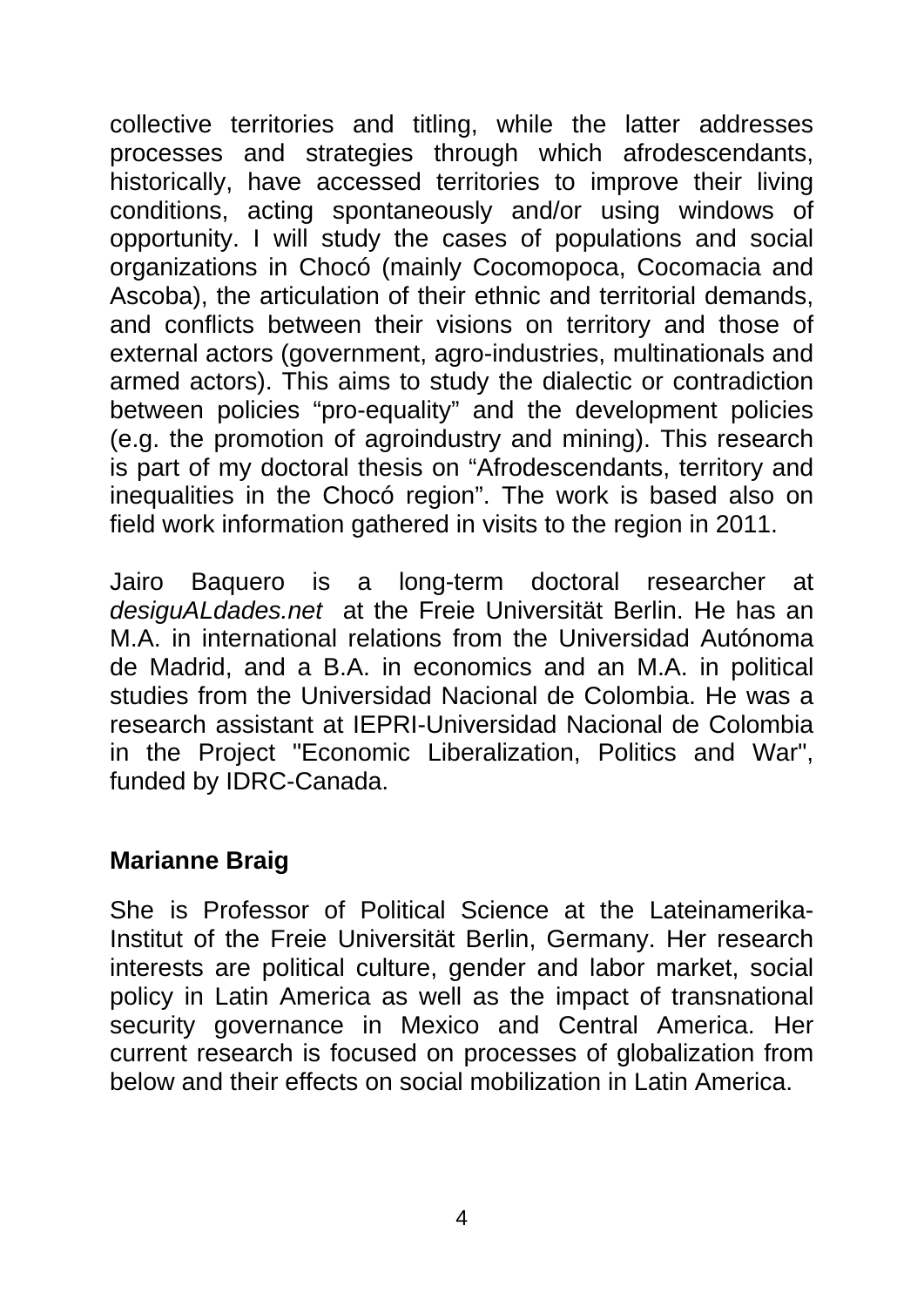collective territories and titling, while the latter addresses processes and strategies through which afrodescendants, historically, have accessed territories to improve their living conditions, acting spontaneously and/or using windows of opportunity. I will study the cases of populations and social organizations in Chocó (mainly Cocomopoca, Cocomacia and Ascoba), the articulation of their ethnic and territorial demands, and conflicts between their visions on territory and those of external actors (government, agro-industries, multinationals and armed actors). This aims to study the dialectic or contradiction between policies "pro-equality" and the development policies (e.g. the promotion of agroindustry and mining). This research is part of my doctoral thesis on "Afrodescendants, territory and inequalities in the Chocó region". The work is based also on field work information gathered in visits to the region in 2011.

Jairo Baquero is a long-term doctoral researcher at *desiguALdades.net* at the Freie Universität Berlin. He has an M.A. in international relations from the Universidad Autónoma de Madrid, and a B.A. in economics and an M.A. in political studies from the Universidad Nacional de Colombia. He was a research assistant at IEPRI-Universidad Nacional de Colombia in the Project "Economic Liberalization, Politics and War", funded by IDRC-Canada.

#### **Marianne Braig**

She is Professor of Political Science at the Lateinamerika-Institut of the Freie Universität Berlin, Germany. Her research interests are political culture, gender and labor market, social policy in Latin America as well as the impact of transnational security governance in Mexico and Central America. Her current research is focused on processes of globalization from below and their effects on social mobilization in Latin America.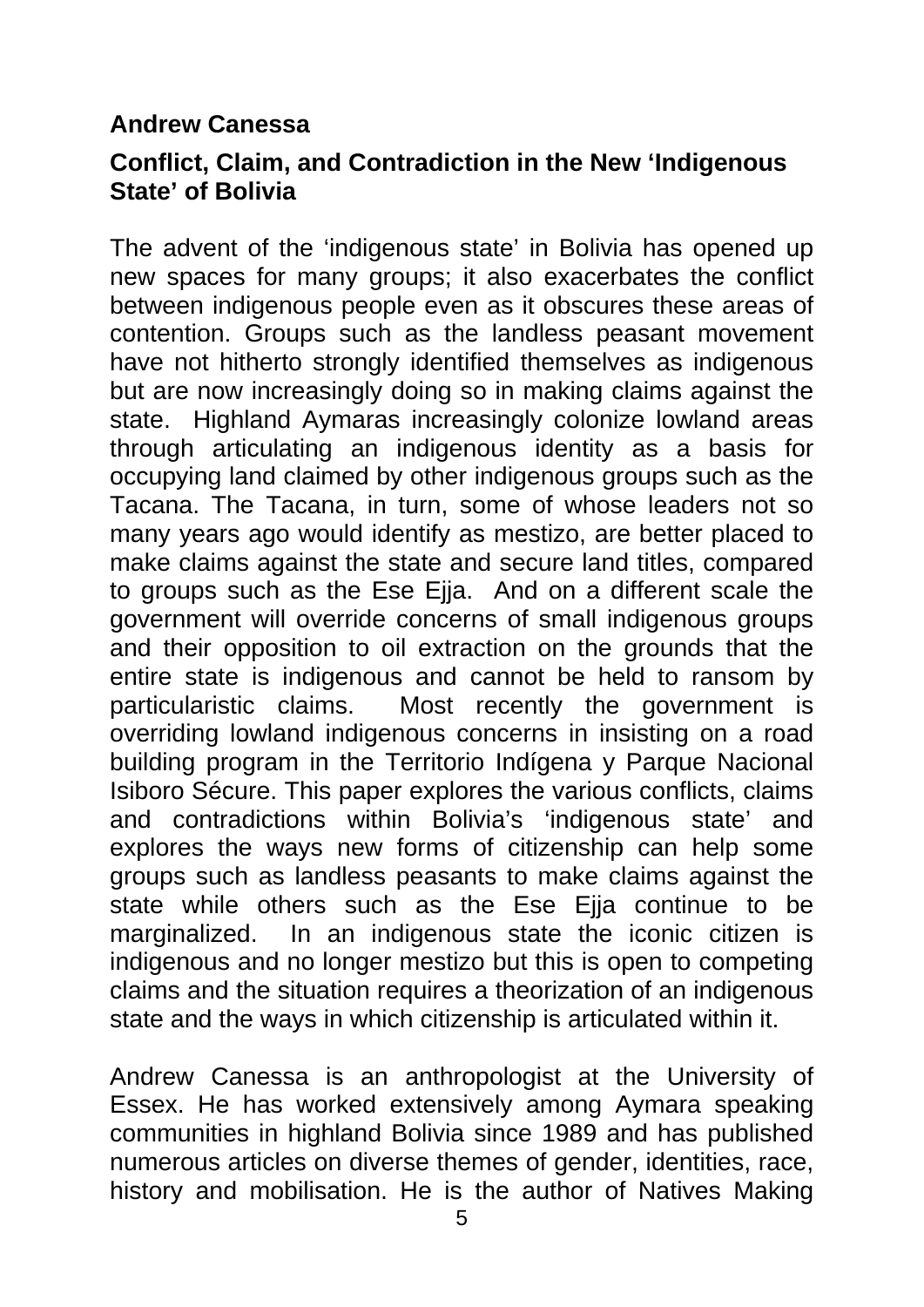#### **Andrew Canessa**

#### **Conflict, Claim, and Contradiction in the New 'Indigenous State' of Bolivia**

The advent of the 'indigenous state' in Bolivia has opened up new spaces for many groups; it also exacerbates the conflict between indigenous people even as it obscures these areas of contention. Groups such as the landless peasant movement have not hitherto strongly identified themselves as indigenous but are now increasingly doing so in making claims against the state. Highland Aymaras increasingly colonize lowland areas through articulating an indigenous identity as a basis for occupying land claimed by other indigenous groups such as the Tacana. The Tacana, in turn, some of whose leaders not so many years ago would identify as mestizo, are better placed to make claims against the state and secure land titles, compared to groups such as the Ese Ejja. And on a different scale the government will override concerns of small indigenous groups and their opposition to oil extraction on the grounds that the entire state is indigenous and cannot be held to ransom by particularistic claims. Most recently the government is overriding lowland indigenous concerns in insisting on a road building program in the Territorio Indígena y Parque Nacional Isiboro Sécure. This paper explores the various conflicts, claims and contradictions within Bolivia's 'indigenous state' and explores the ways new forms of citizenship can help some groups such as landless peasants to make claims against the state while others such as the Ese Ejja continue to be marginalized. In an indigenous state the iconic citizen is indigenous and no longer mestizo but this is open to competing claims and the situation requires a theorization of an indigenous state and the ways in which citizenship is articulated within it.

Andrew Canessa is an anthropologist at the University of Essex. He has worked extensively among Aymara speaking communities in highland Bolivia since 1989 and has published numerous articles on diverse themes of gender, identities, race, history and mobilisation. He is the author of Natives Making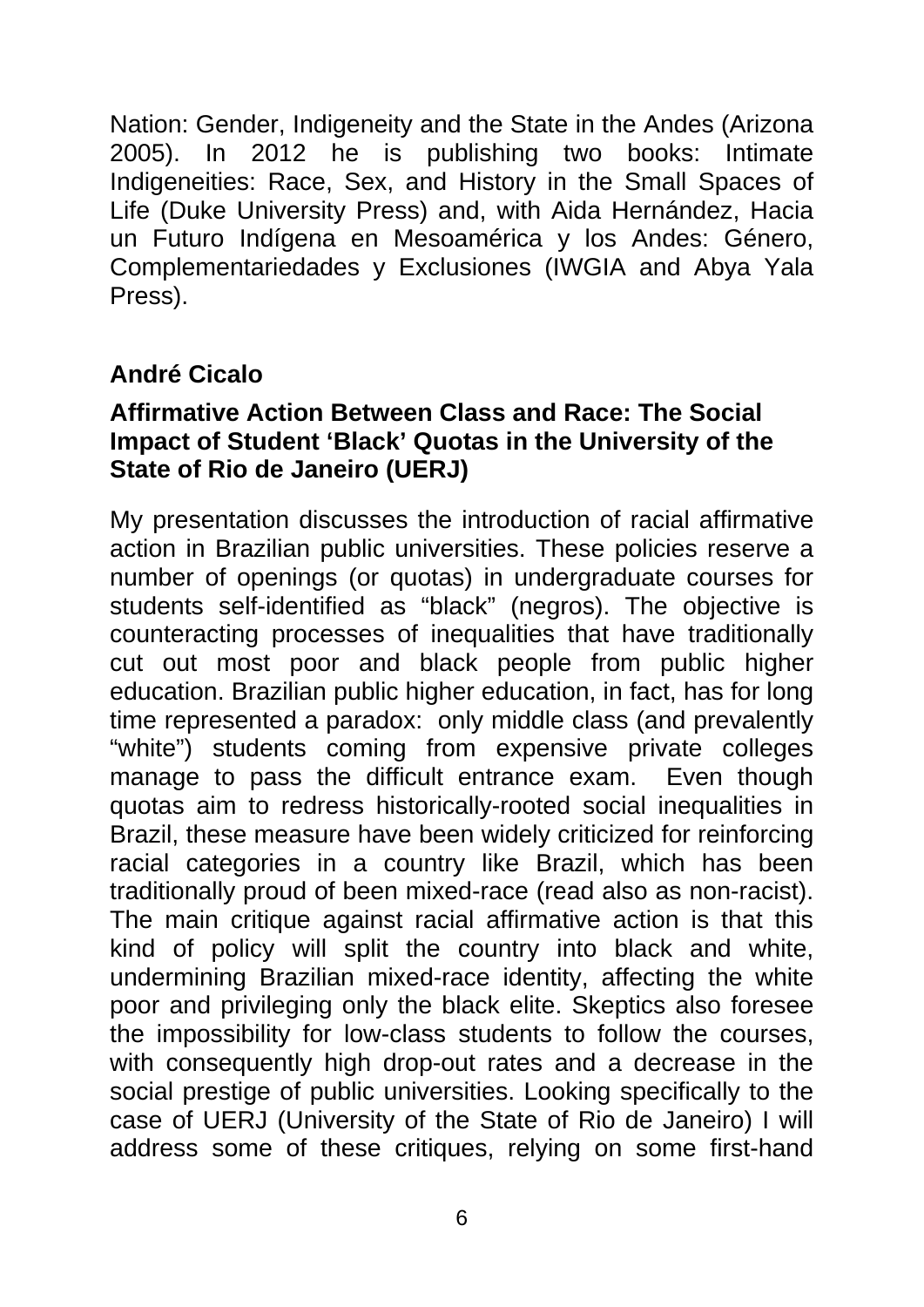Nation: Gender, Indigeneity and the State in the Andes (Arizona 2005). In 2012 he is publishing two books: Intimate Indigeneities: Race, Sex, and History in the Small Spaces of Life (Duke University Press) and, with Aida Hernández, Hacia un Futuro Indígena en Mesoamérica y los Andes: Género, Complementariedades y Exclusiones (IWGIA and Abya Yala Press).

#### **André Cicalo**

#### **Affirmative Action Between Class and Race: The Social Impact of Student 'Black' Quotas in the University of the State of Rio de Janeiro (UERJ)**

My presentation discusses the introduction of racial affirmative action in Brazilian public universities. These policies reserve a number of openings (or quotas) in undergraduate courses for students self-identified as "black" (negros). The objective is counteracting processes of inequalities that have traditionally cut out most poor and black people from public higher education. Brazilian public higher education, in fact, has for long time represented a paradox: only middle class (and prevalently "white") students coming from expensive private colleges manage to pass the difficult entrance exam. Even though quotas aim to redress historically-rooted social inequalities in Brazil, these measure have been widely criticized for reinforcing racial categories in a country like Brazil, which has been traditionally proud of been mixed-race (read also as non-racist). The main critique against racial affirmative action is that this kind of policy will split the country into black and white, undermining Brazilian mixed-race identity, affecting the white poor and privileging only the black elite. Skeptics also foresee the impossibility for low-class students to follow the courses, with consequently high drop-out rates and a decrease in the social prestige of public universities. Looking specifically to the case of UERJ (University of the State of Rio de Janeiro) I will address some of these critiques, relying on some first-hand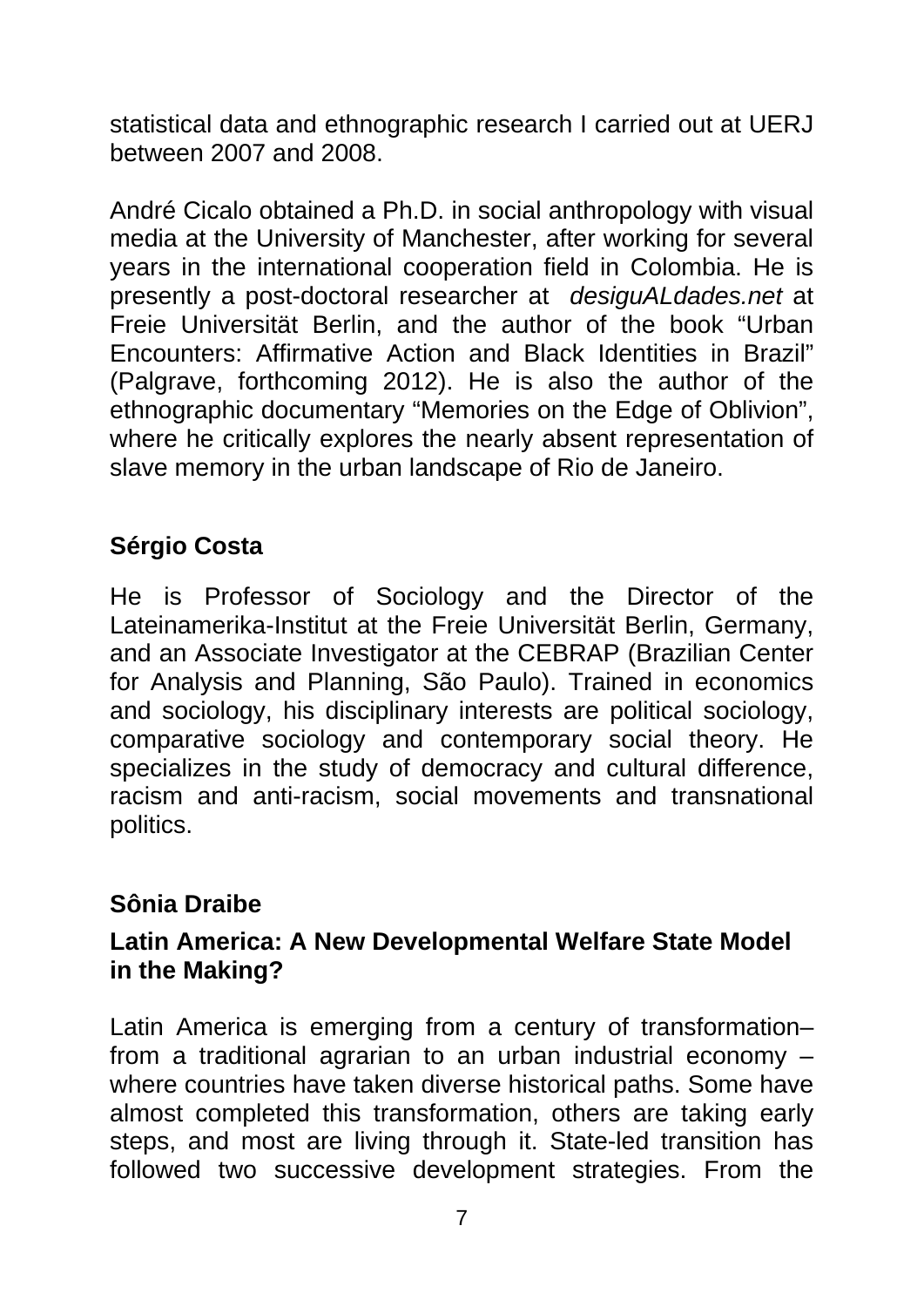statistical data and ethnographic research I carried out at UERJ between 2007 and 2008.

André Cicalo obtained a Ph.D. in social anthropology with visual media at the University of Manchester, after working for several years in the international cooperation field in Colombia. He is presently a post-doctoral researcher at *desiguALdades.net* at Freie Universität Berlin, and the author of the book "Urban Encounters: Affirmative Action and Black Identities in Brazil" (Palgrave, forthcoming 2012). He is also the author of the ethnographic documentary "Memories on the Edge of Oblivion", where he critically explores the nearly absent representation of slave memory in the urban landscape of Rio de Janeiro.

### **Sérgio Costa**

He is Professor of Sociology and the Director of the Lateinamerika-Institut at the Freie Universität Berlin, Germany, and an Associate Investigator at the CEBRAP (Brazilian Center for Analysis and Planning, São Paulo). Trained in economics and sociology, his disciplinary interests are political sociology, comparative sociology and contemporary social theory. He specializes in the study of democracy and cultural difference, racism and anti-racism, social movements and transnational politics.

#### **Sônia Draibe**

#### **Latin America: A New Developmental Welfare State Model in the Making?**

Latin America is emerging from a century of transformation– from a traditional agrarian to an urban industrial economy – where countries have taken diverse historical paths. Some have almost completed this transformation, others are taking early steps, and most are living through it. State-led transition has followed two successive development strategies. From the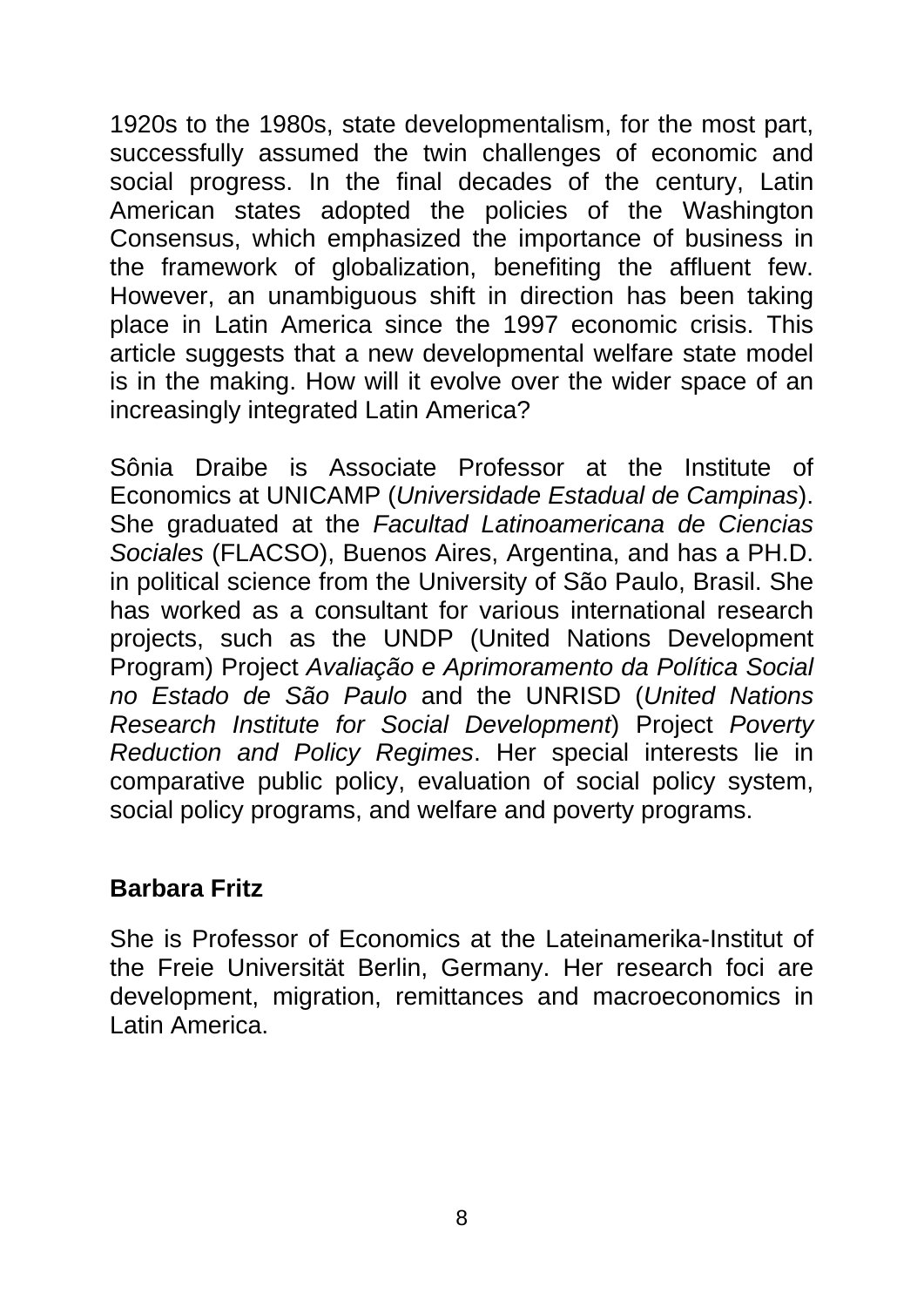1920s to the 1980s, state developmentalism, for the most part, successfully assumed the twin challenges of economic and social progress. In the final decades of the century, Latin American states adopted the policies of the Washington Consensus, which emphasized the importance of business in the framework of globalization, benefiting the affluent few. However, an unambiguous shift in direction has been taking place in Latin America since the 1997 economic crisis. This article suggests that a new developmental welfare state model is in the making. How will it evolve over the wider space of an increasingly integrated Latin America?

Sônia Draibe is Associate Professor at the Institute of Economics at UNICAMP (*Universidade Estadual de Campinas*). She graduated at the *Facultad Latinoamericana de Ciencias Sociales* (FLACSO), Buenos Aires, Argentina, and has a PH.D. in political science from the University of São Paulo, Brasil. She has worked as a consultant for various international research projects, such as the UNDP (United Nations Development Program) Project *Avaliação e Aprimoramento da Política Social no Estado de São Paulo* and the UNRISD (*United Nations Research Institute for Social Development*) Project *Poverty Reduction and Policy Regimes*. Her special interests lie in comparative public policy, evaluation of social policy system, social policy programs, and welfare and poverty programs.

#### **Barbara Fritz**

She is Professor of Economics at the Lateinamerika-Institut of the Freie Universität Berlin, Germany. Her research foci are development, migration, remittances and macroeconomics in Latin America.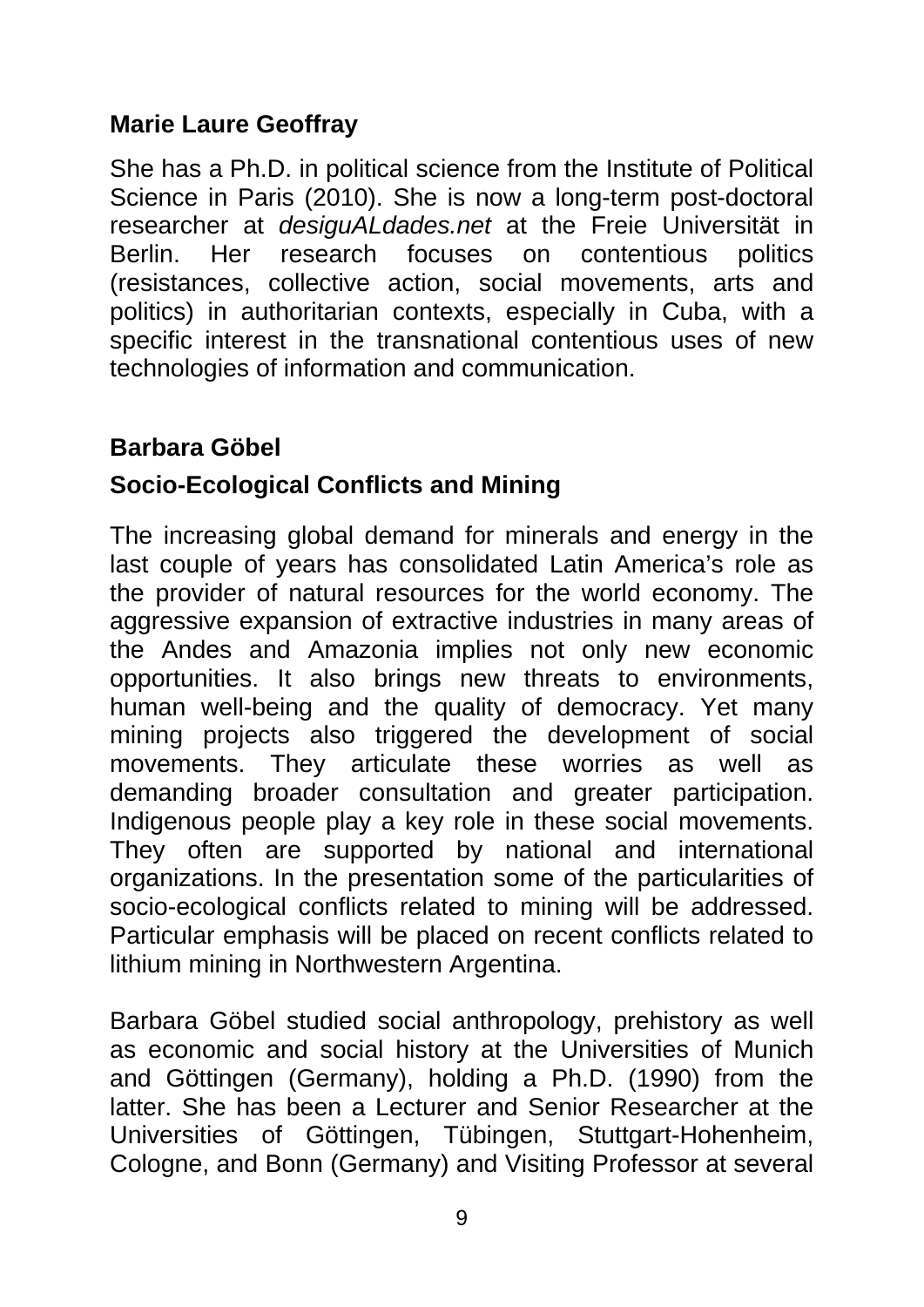#### **Marie Laure Geoffray**

She has a Ph.D. in political science from the Institute of Political Science in Paris (2010). She is now a long-term post-doctoral researcher at *desiguALdades.net* at the Freie Universität in Berlin. Her research focuses on contentious politics (resistances, collective action, social movements, arts and politics) in authoritarian contexts, especially in Cuba, with a specific interest in the transnational contentious uses of new technologies of information and communication.

#### **Barbara Göbel**

#### **Socio-Ecological Conflicts and Mining**

The increasing global demand for minerals and energy in the last couple of years has consolidated Latin America's role as the provider of natural resources for the world economy. The aggressive expansion of extractive industries in many areas of the Andes and Amazonia implies not only new economic opportunities. It also brings new threats to environments, human well-being and the quality of democracy. Yet many mining projects also triggered the development of social movements. They articulate these worries as well as demanding broader consultation and greater participation. Indigenous people play a key role in these social movements. They often are supported by national and international organizations. In the presentation some of the particularities of socio-ecological conflicts related to mining will be addressed. Particular emphasis will be placed on recent conflicts related to lithium mining in Northwestern Argentina.

Barbara Göbel studied social anthropology, prehistory as well as economic and social history at the Universities of Munich and Göttingen (Germany), holding a Ph.D. (1990) from the latter. She has been a Lecturer and Senior Researcher at the Universities of Göttingen, Tübingen, Stuttgart-Hohenheim, Cologne, and Bonn (Germany) and Visiting Professor at several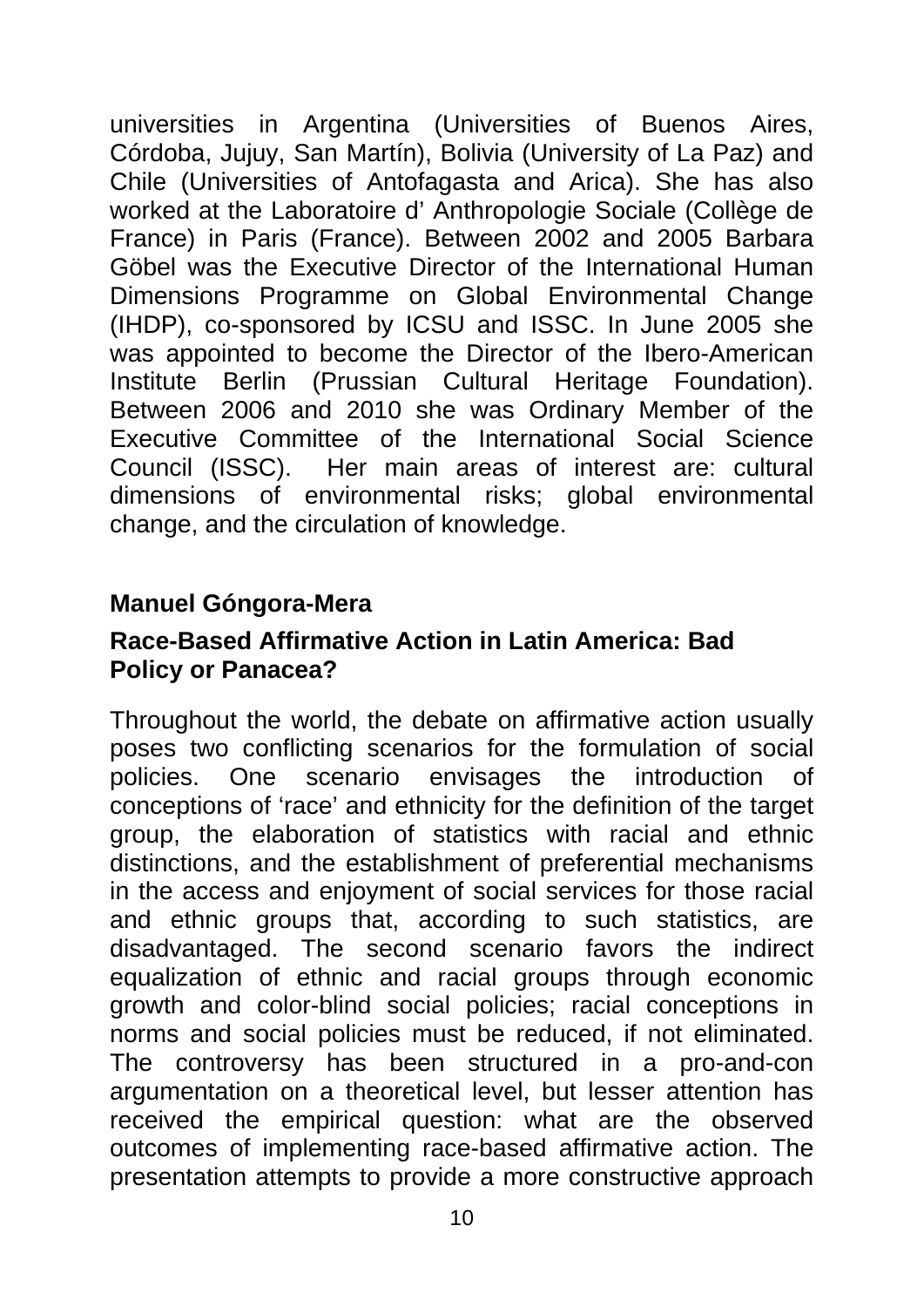universities in Argentina (Universities of Buenos Aires, Córdoba, Jujuy, San Martín), Bolivia (University of La Paz) and Chile (Universities of Antofagasta and Arica). She has also worked at the Laboratoire d' Anthropologie Sociale (Collège de France) in Paris (France). Between 2002 and 2005 Barbara Göbel was the Executive Director of the International Human Dimensions Programme on Global Environmental Change (IHDP), co-sponsored by ICSU and ISSC. In June 2005 she was appointed to become the Director of the Ibero-American Institute Berlin (Prussian Cultural Heritage Foundation). Between 2006 and 2010 she was Ordinary Member of the Executive Committee of the International Social Science Council (ISSC). Her main areas of interest are: cultural dimensions of environmental risks; global environmental change, and the circulation of knowledge.

#### **Manuel Góngora-Mera**

#### **Race-Based Affirmative Action in Latin America: Bad Policy or Panacea?**

Throughout the world, the debate on affirmative action usually poses two conflicting scenarios for the formulation of social policies. One scenario envisages the introduction of conceptions of 'race' and ethnicity for the definition of the target group, the elaboration of statistics with racial and ethnic distinctions, and the establishment of preferential mechanisms in the access and enjoyment of social services for those racial and ethnic groups that, according to such statistics, are disadvantaged. The second scenario favors the indirect equalization of ethnic and racial groups through economic growth and color-blind social policies; racial conceptions in norms and social policies must be reduced, if not eliminated. The controversy has been structured in a pro-and-con argumentation on a theoretical level, but lesser attention has received the empirical question: what are the observed outcomes of implementing race-based affirmative action. The presentation attempts to provide a more constructive approach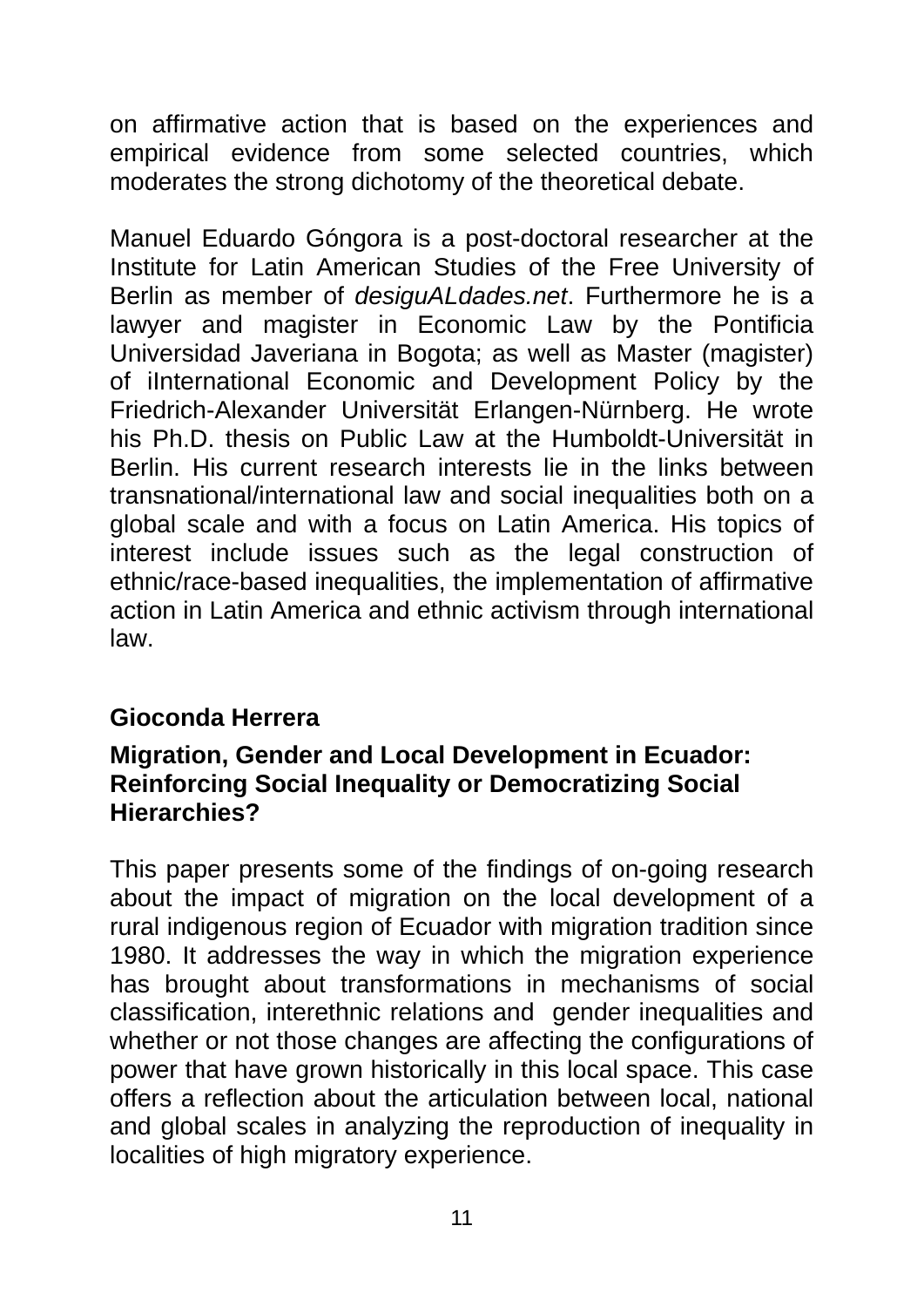on affirmative action that is based on the experiences and empirical evidence from some selected countries, which moderates the strong dichotomy of the theoretical debate.

Manuel Eduardo Góngora is a post-doctoral researcher at the Institute for Latin American Studies of the Free University of Berlin as member of *desiguALdades.net*. Furthermore he is a lawyer and magister in Economic Law by the Pontificia Universidad Javeriana in Bogota; as well as Master (magister) of iInternational Economic and Development Policy by the Friedrich-Alexander Universität Erlangen-Nürnberg. He wrote his Ph.D. thesis on Public Law at the Humboldt-Universität in Berlin. His current research interests lie in the links between transnational/international law and social inequalities both on a global scale and with a focus on Latin America. His topics of interest include issues such as the legal construction of ethnic/race-based inequalities, the implementation of affirmative action in Latin America and ethnic activism through international law.

#### **Gioconda Herrera**

#### **Migration, Gender and Local Development in Ecuador: Reinforcing Social Inequality or Democratizing Social Hierarchies?**

This paper presents some of the findings of on-going research about the impact of migration on the local development of a rural indigenous region of Ecuador with migration tradition since 1980. It addresses the way in which the migration experience has brought about transformations in mechanisms of social classification, interethnic relations and gender inequalities and whether or not those changes are affecting the configurations of power that have grown historically in this local space. This case offers a reflection about the articulation between local, national and global scales in analyzing the reproduction of inequality in localities of high migratory experience.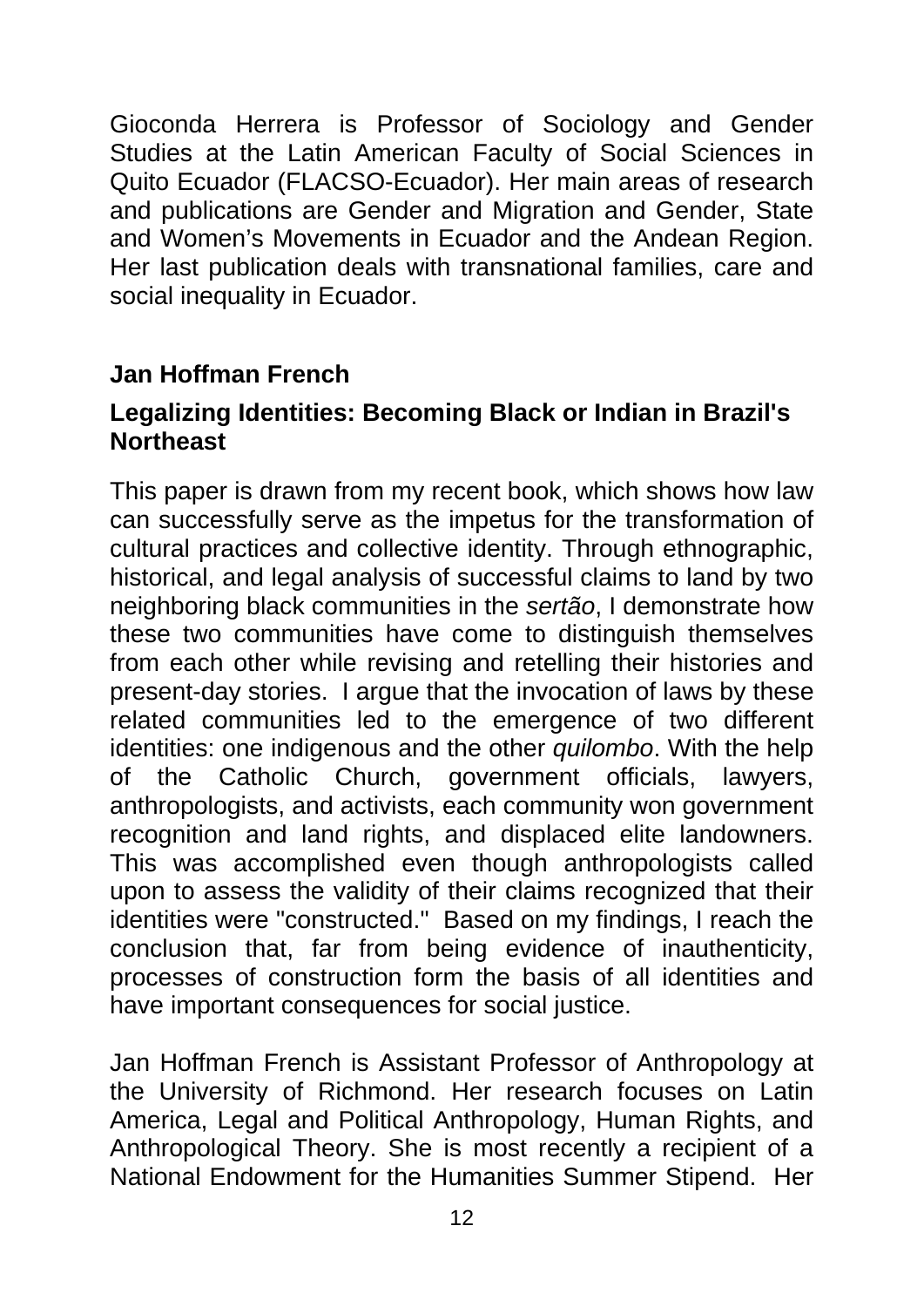Gioconda Herrera is Professor of Sociology and Gender Studies at the Latin American Faculty of Social Sciences in Quito Ecuador (FLACSO-Ecuador). Her main areas of research and publications are Gender and Migration and Gender, State and Women's Movements in Ecuador and the Andean Region. Her last publication deals with transnational families, care and social inequality in Ecuador.

### **Jan Hoffman French**

#### **Legalizing Identities: Becoming Black or Indian in Brazil's Northeast**

This paper is drawn from my recent book, which shows how law can successfully serve as the impetus for the transformation of cultural practices and collective identity. Through ethnographic, historical, and legal analysis of successful claims to land by two neighboring black communities in the *sertão*, I demonstrate how these two communities have come to distinguish themselves from each other while revising and retelling their histories and present-day stories. I argue that the invocation of laws by these related communities led to the emergence of two different identities: one indigenous and the other *quilombo*. With the help of the Catholic Church, government officials, lawyers, anthropologists, and activists, each community won government recognition and land rights, and displaced elite landowners. This was accomplished even though anthropologists called upon to assess the validity of their claims recognized that their identities were "constructed." Based on my findings, I reach the conclusion that, far from being evidence of inauthenticity, processes of construction form the basis of all identities and have important consequences for social justice.

Jan Hoffman French is Assistant Professor of Anthropology at the University of Richmond. Her research focuses on Latin America, Legal and Political Anthropology, Human Rights, and Anthropological Theory. She is most recently a recipient of a National Endowment for the Humanities Summer Stipend. Her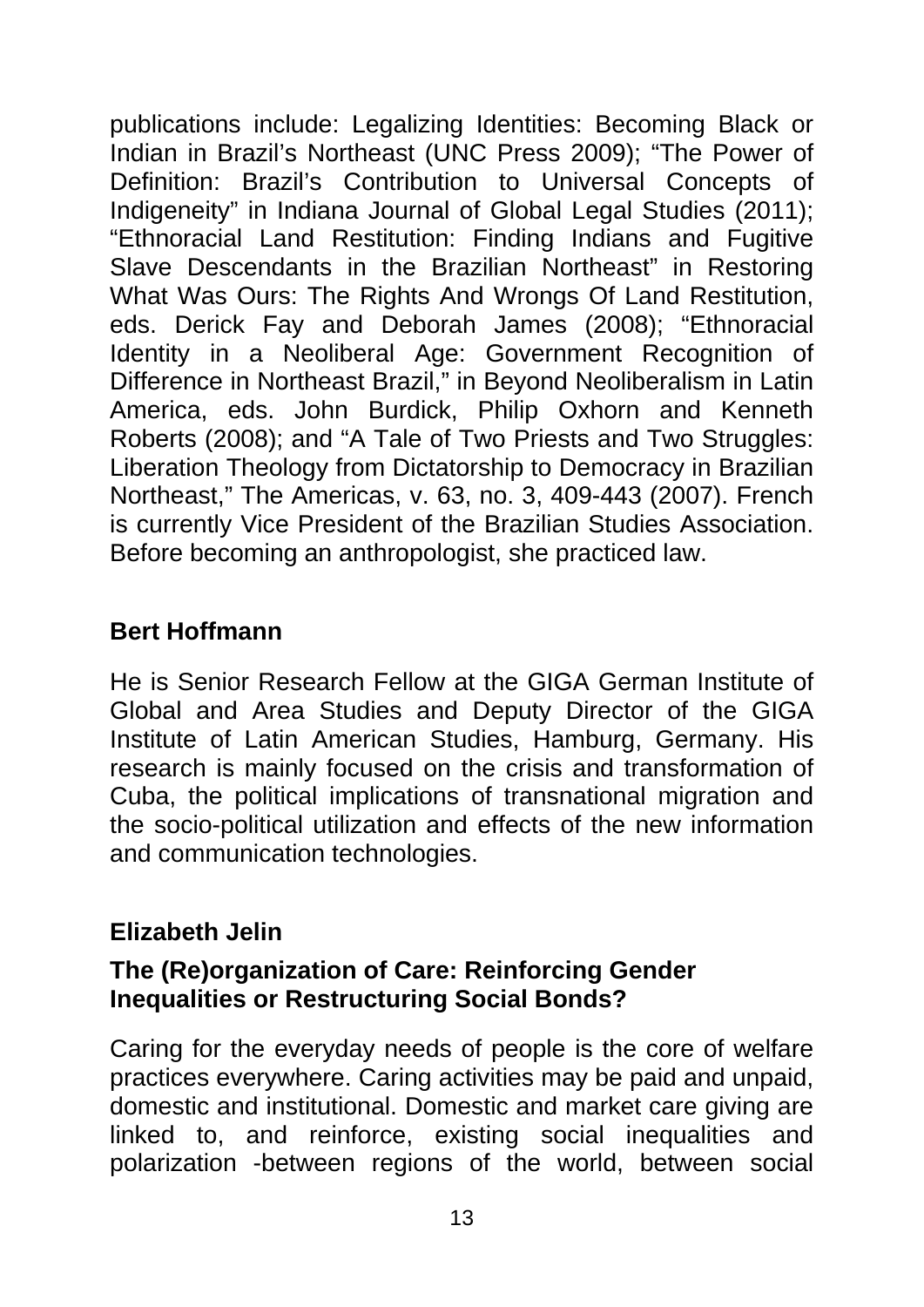publications include: Legalizing Identities: Becoming Black or Indian in Brazil's Northeast (UNC Press 2009); "The Power of Definition: Brazil's Contribution to Universal Concepts of Indigeneity" in Indiana Journal of Global Legal Studies (2011); "Ethnoracial Land Restitution: Finding Indians and Fugitive Slave Descendants in the Brazilian Northeast" in Restoring What Was Ours: The Rights And Wrongs Of Land Restitution, eds. Derick Fay and Deborah James (2008); "Ethnoracial Identity in a Neoliberal Age: Government Recognition of Difference in Northeast Brazil," in Beyond Neoliberalism in Latin America, eds. John Burdick, Philip Oxhorn and Kenneth Roberts (2008); and "A Tale of Two Priests and Two Struggles: Liberation Theology from Dictatorship to Democracy in Brazilian Northeast," The Americas, v. 63, no. 3, 409-443 (2007). French is currently Vice President of the Brazilian Studies Association. Before becoming an anthropologist, she practiced law.

#### **Bert Hoffmann**

He is Senior Research Fellow at the GIGA German Institute of Global and Area Studies and Deputy Director of the GIGA Institute of Latin American Studies, Hamburg, Germany. His research is mainly focused on the crisis and transformation of Cuba, the political implications of transnational migration and the socio-political utilization and effects of the new information and communication technologies.

#### **Elizabeth Jelin**

#### **The (Re)organization of Care: Reinforcing Gender Inequalities or Restructuring Social Bonds?**

Caring for the everyday needs of people is the core of welfare practices everywhere. Caring activities may be paid and unpaid, domestic and institutional. Domestic and market care giving are linked to, and reinforce, existing social inequalities and polarization -between regions of the world, between social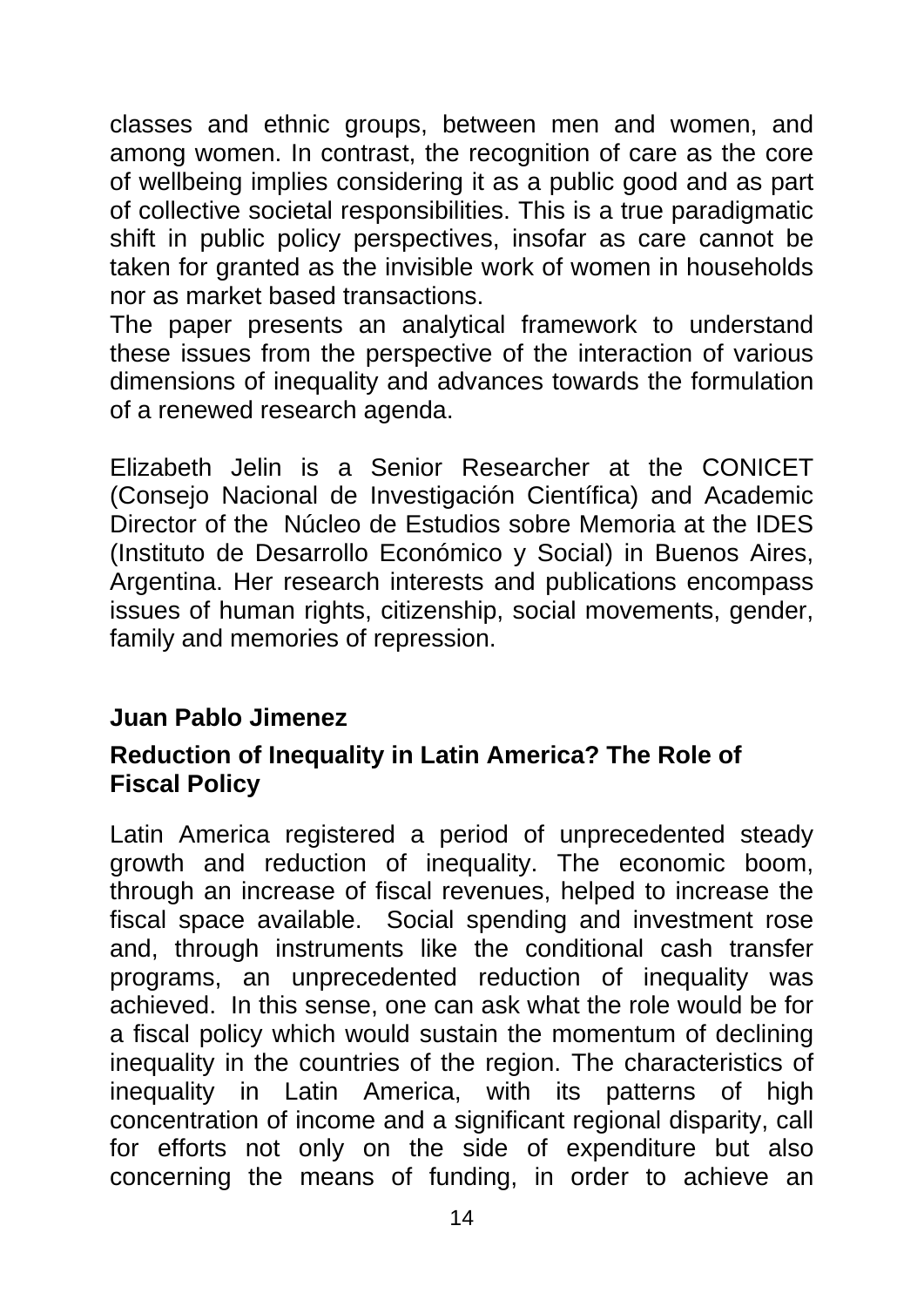classes and ethnic groups, between men and women, and among women. In contrast, the recognition of care as the core of wellbeing implies considering it as a public good and as part of collective societal responsibilities. This is a true paradigmatic shift in public policy perspectives, insofar as care cannot be taken for granted as the invisible work of women in households nor as market based transactions.

The paper presents an analytical framework to understand these issues from the perspective of the interaction of various dimensions of inequality and advances towards the formulation of a renewed research agenda.

Elizabeth Jelin is a Senior Researcher at the CONICET (Consejo Nacional de Investigación Científica) and Academic Director of the Núcleo de Estudios sobre Memoria at the IDES (Instituto de Desarrollo Económico y Social) in Buenos Aires, Argentina. Her research interests and publications encompass issues of human rights, citizenship, social movements, gender, family and memories of repression.

#### **Juan Pablo Jimenez**

#### **Reduction of Inequality in Latin America? The Role of Fiscal Policy**

Latin America registered a period of unprecedented steady growth and reduction of inequality. The economic boom, through an increase of fiscal revenues, helped to increase the fiscal space available. Social spending and investment rose and, through instruments like the conditional cash transfer programs, an unprecedented reduction of inequality was achieved. In this sense, one can ask what the role would be for a fiscal policy which would sustain the momentum of declining inequality in the countries of the region. The characteristics of inequality in Latin America, with its patterns of high concentration of income and a significant regional disparity, call for efforts not only on the side of expenditure but also concerning the means of funding, in order to achieve an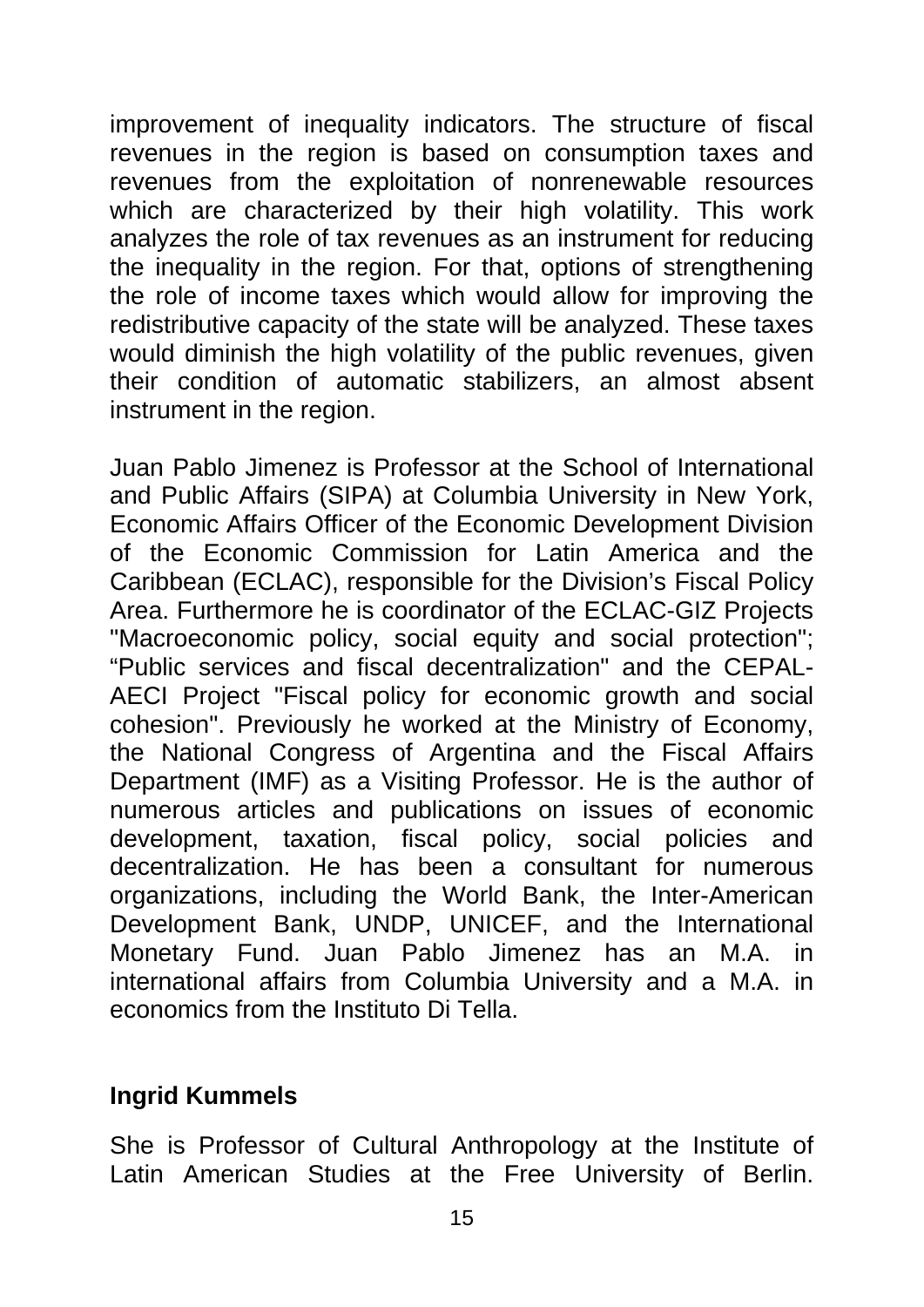improvement of inequality indicators. The structure of fiscal revenues in the region is based on consumption taxes and revenues from the exploitation of nonrenewable resources which are characterized by their high volatility. This work analyzes the role of tax revenues as an instrument for reducing the inequality in the region. For that, options of strengthening the role of income taxes which would allow for improving the redistributive capacity of the state will be analyzed. These taxes would diminish the high volatility of the public revenues, given their condition of automatic stabilizers, an almost absent instrument in the region.

Juan Pablo Jimenez is Professor at the School of International and Public Affairs (SIPA) at Columbia University in New York, Economic Affairs Officer of the Economic Development Division of the Economic Commission for Latin America and the Caribbean (ECLAC), responsible for the Division's Fiscal Policy Area. Furthermore he is coordinator of the ECLAC-GIZ Projects "Macroeconomic policy, social equity and social protection"; "Public services and fiscal decentralization" and the CEPAL-AECI Project "Fiscal policy for economic growth and social cohesion". Previously he worked at the Ministry of Economy, the National Congress of Argentina and the Fiscal Affairs Department (IMF) as a Visiting Professor. He is the author of numerous articles and publications on issues of economic development, taxation, fiscal policy, social policies and decentralization. He has been a consultant for numerous organizations, including the World Bank, the Inter-American Development Bank, UNDP, UNICEF, and the International Monetary Fund. Juan Pablo Jimenez has an M.A. in international affairs from Columbia University and a M.A. in economics from the Instituto Di Tella.

#### **Ingrid Kummels**

She is Professor of Cultural Anthropology at the Institute of Latin American Studies at the Free University of Berlin.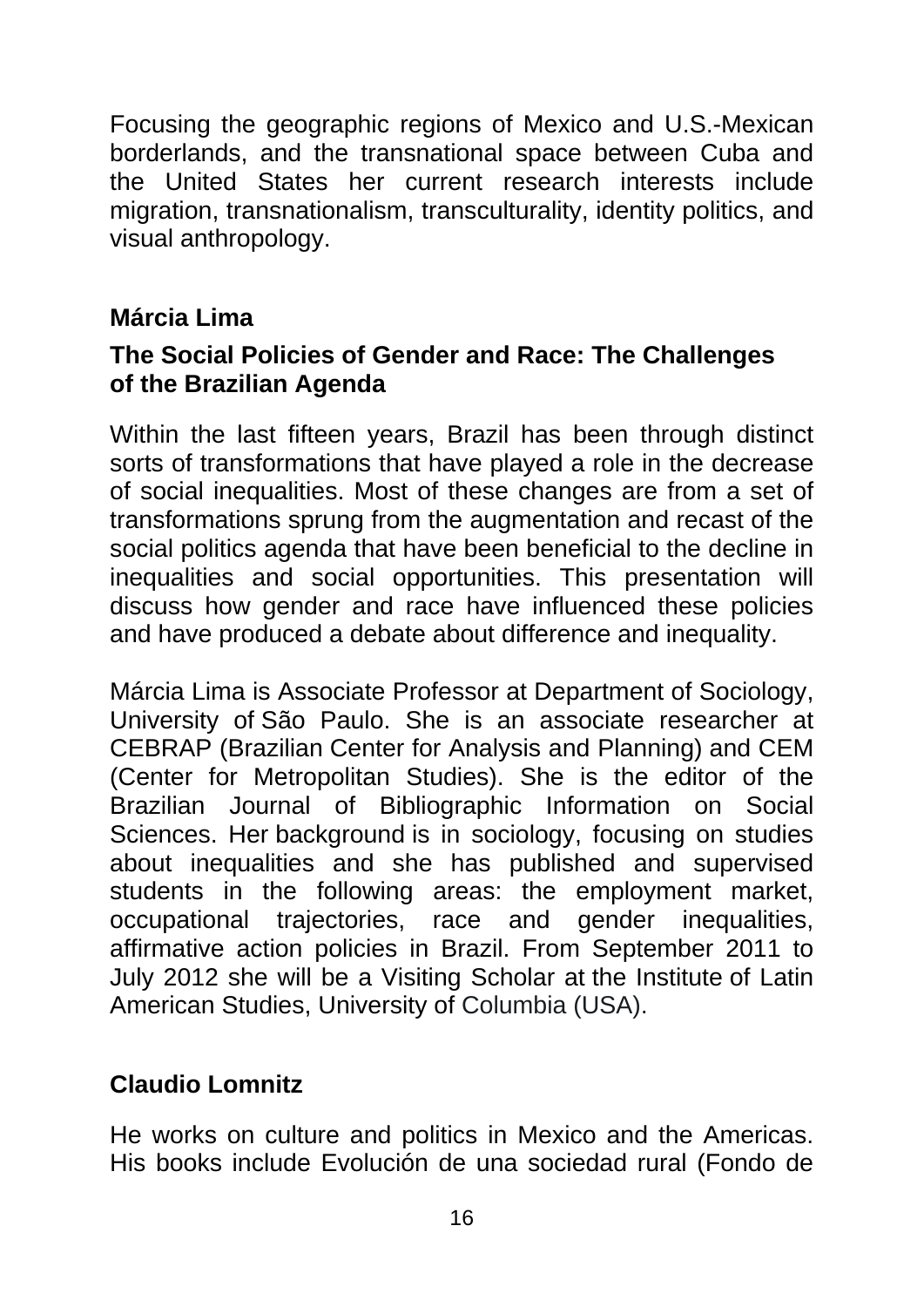Focusing the geographic regions of Mexico and U.S.-Mexican borderlands, and the transnational space between Cuba and the United States her current research interests include migration, transnationalism, transculturality, identity politics, and visual anthropology.

### **Márcia Lima**

#### **The Social Policies of Gender and Race: The Challenges of the Brazilian Agenda**

Within the last fifteen years, Brazil has been through distinct sorts of transformations that have played a role in the decrease of social inequalities. Most of these changes are from a set of transformations sprung from the augmentation and recast of the social politics agenda that have been beneficial to the decline in inequalities and social opportunities. This presentation will discuss how gender and race have influenced these policies and have produced a debate about difference and inequality.

Márcia Lima is Associate Professor at Department of Sociology, University of São Paulo. She is an associate researcher at CEBRAP (Brazilian Center for Analysis and Planning) and CEM (Center for Metropolitan Studies). She is the editor of the Brazilian Journal of Bibliographic Information on Social Sciences. Her background is in sociology, focusing on studies about inequalities and she has published and supervised students in the following areas: the employment market, occupational trajectories, race and gender inequalities, affirmative action policies in Brazil. From September 2011 to July 2012 she will be a Visiting Scholar at the Institute of Latin American Studies, University of Columbia (USA).

#### **Claudio Lomnitz**

He works on culture and politics in Mexico and the Americas. His books include Evolución de una sociedad rural (Fondo de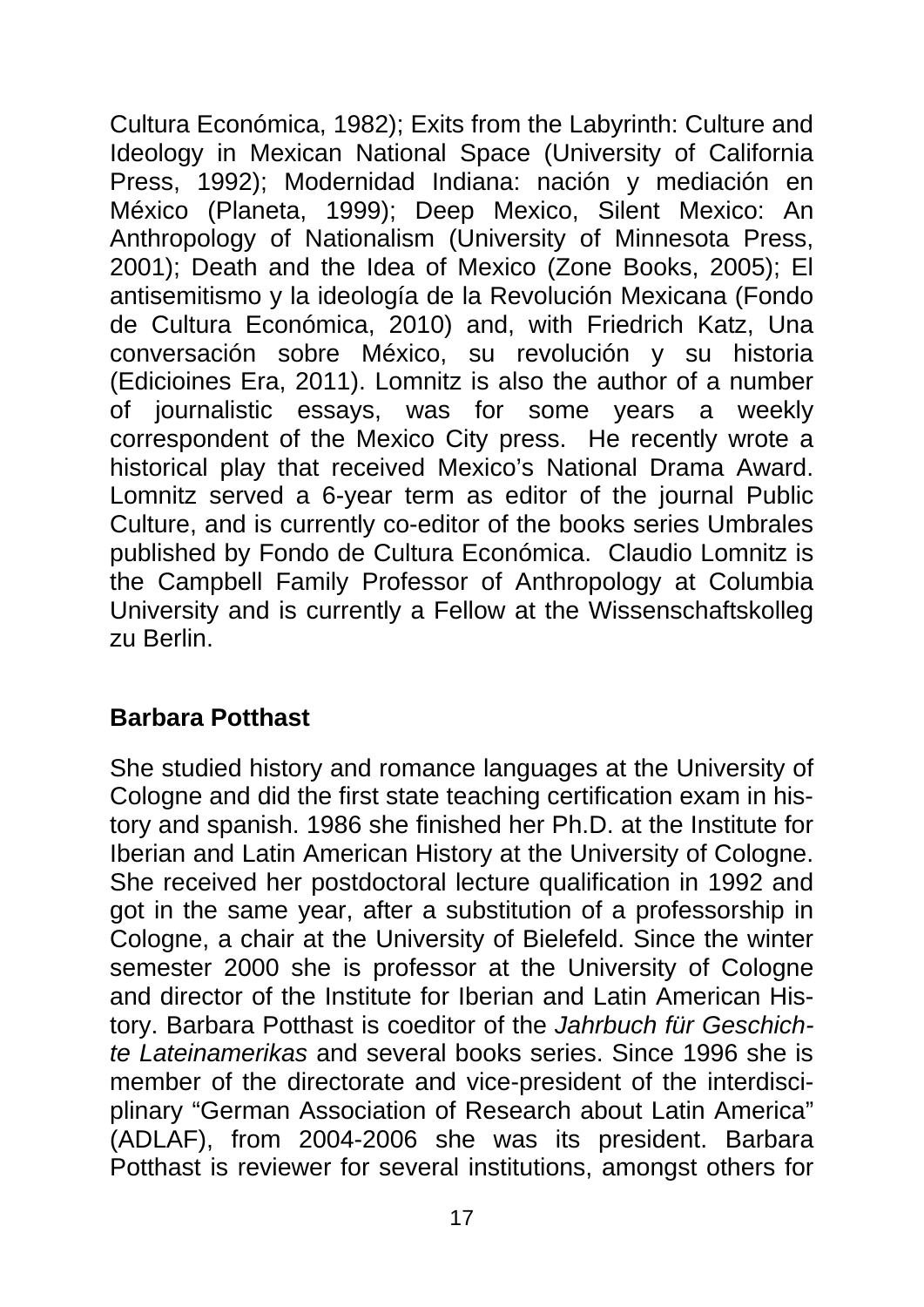Cultura Económica, 1982); Exits from the Labyrinth: Culture and Ideology in Mexican National Space (University of California Press, 1992); Modernidad Indiana: nación y mediación en México (Planeta, 1999); Deep Mexico, Silent Mexico: An Anthropology of Nationalism (University of Minnesota Press, 2001); Death and the Idea of Mexico (Zone Books, 2005); El antisemitismo y la ideología de la Revolución Mexicana (Fondo de Cultura Económica, 2010) and, with Friedrich Katz, Una conversación sobre México, su revolución y su historia (Edicioines Era, 2011). Lomnitz is also the author of a number of journalistic essays, was for some years a weekly correspondent of the Mexico City press. He recently wrote a historical play that received Mexico's National Drama Award. Lomnitz served a 6-year term as editor of the journal Public Culture, and is currently co-editor of the books series Umbrales published by Fondo de Cultura Económica. Claudio Lomnitz is the Campbell Family Professor of Anthropology at Columbia University and is currently a Fellow at the Wissenschaftskolleg zu Berlin.

#### **Barbara Potthast**

She studied history and romance languages at the University of Cologne and did the first state teaching certification exam in history and spanish. 1986 she finished her Ph.D. at the Institute for Iberian and Latin American History at the University of Cologne. She received her postdoctoral lecture qualification in 1992 and got in the same year, after a substitution of a professorship in Cologne, a chair at the University of Bielefeld. Since the winter semester 2000 she is professor at the University of Cologne and director of the Institute for Iberian and Latin American History. Barbara Potthast is coeditor of the *Jahrbuch für Geschichte Lateinamerikas* and several books series. Since 1996 she is member of the directorate and vice-president of the interdisciplinary "German Association of Research about Latin America" (ADLAF), from 2004-2006 she was its president. Barbara Potthast is reviewer for several institutions, amongst others for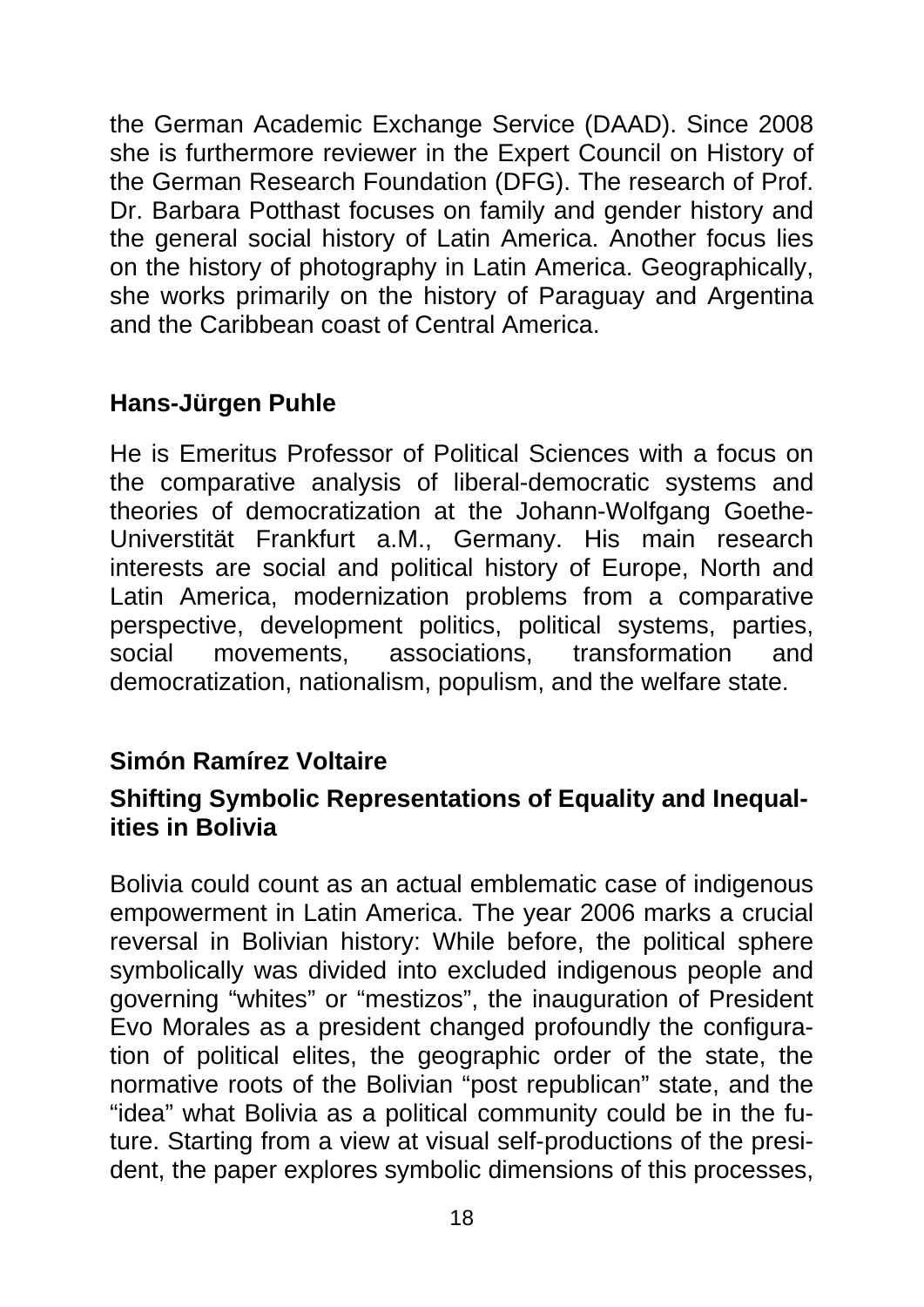the German Academic Exchange Service (DAAD). Since 2008 she is furthermore reviewer in the Expert Council on History of the German Research Foundation (DFG). The research of Prof. Dr. Barbara Potthast focuses on family and gender history and the general social history of Latin America. Another focus lies on the history of photography in Latin America. Geographically, she works primarily on the history of Paraguay and Argentina and the Caribbean coast of Central America.

### **Hans-Jürgen Puhle**

He is Emeritus Professor of Political Sciences with a focus on the comparative analysis of liberal-democratic systems and theories of democratization at the Johann-Wolfgang Goethe-Universtität Frankfurt a.M., Germany. His main research interests are social and political history of Europe, North and Latin America, modernization problems from a comparative perspective, development politics, political systems, parties, social movements, associations, transformation and democratization, nationalism, populism, and the welfare state.

#### **Simón Ramírez Voltaire**

#### **Shifting Symbolic Representations of Equality and Inequalities in Bolivia**

Bolivia could count as an actual emblematic case of indigenous empowerment in Latin America. The year 2006 marks a crucial reversal in Bolivian history: While before, the political sphere symbolically was divided into excluded indigenous people and governing "whites" or "mestizos", the inauguration of President Evo Morales as a president changed profoundly the configuration of political elites, the geographic order of the state, the normative roots of the Bolivian "post republican" state, and the "idea" what Bolivia as a political community could be in the future. Starting from a view at visual self-productions of the president, the paper explores symbolic dimensions of this processes,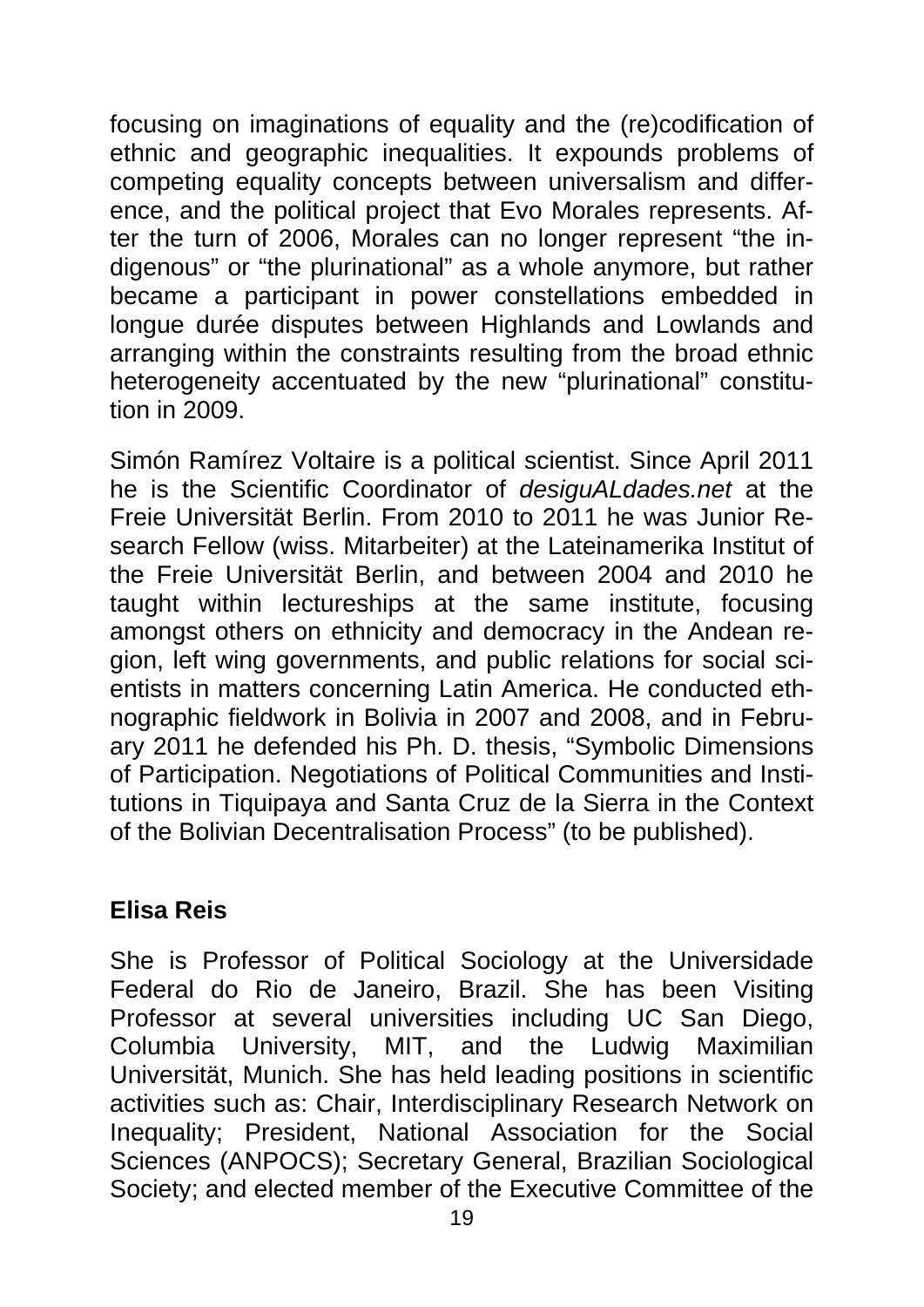focusing on imaginations of equality and the (re)codification of ethnic and geographic inequalities. It expounds problems of competing equality concepts between universalism and difference, and the political project that Evo Morales represents. After the turn of 2006, Morales can no longer represent "the indigenous" or "the plurinational" as a whole anymore, but rather became a participant in power constellations embedded in longue durée disputes between Highlands and Lowlands and arranging within the constraints resulting from the broad ethnic heterogeneity accentuated by the new "plurinational" constitution in 2009.

Simón Ramírez Voltaire is a political scientist. Since April 2011 he is the Scientific Coordinator of *desiguALdades.net* at the Freie Universität Berlin. From 2010 to 2011 he was Junior Research Fellow (wiss. Mitarbeiter) at the Lateinamerika Institut of the Freie Universität Berlin, and between 2004 and 2010 he taught within lectureships at the same institute, focusing amongst others on ethnicity and democracy in the Andean region, left wing governments, and public relations for social scientists in matters concerning Latin America. He conducted ethnographic fieldwork in Bolivia in 2007 and 2008, and in February 2011 he defended his Ph. D. thesis, "Symbolic Dimensions of Participation. Negotiations of Political Communities and Institutions in Tiquipaya and Santa Cruz de la Sierra in the Context of the Bolivian Decentralisation Process" (to be published).

#### **Elisa Reis**

She is Professor of Political Sociology at the Universidade Federal do Rio de Janeiro, Brazil. She has been Visiting Professor at several universities including UC San Diego, Columbia University, MIT, and the Ludwig Maximilian Universität, Munich. She has held leading positions in scientific activities such as: Chair, Interdisciplinary Research Network on Inequality; President, National Association for the Social Sciences (ANPOCS); Secretary General, Brazilian Sociological Society; and elected member of the Executive Committee of the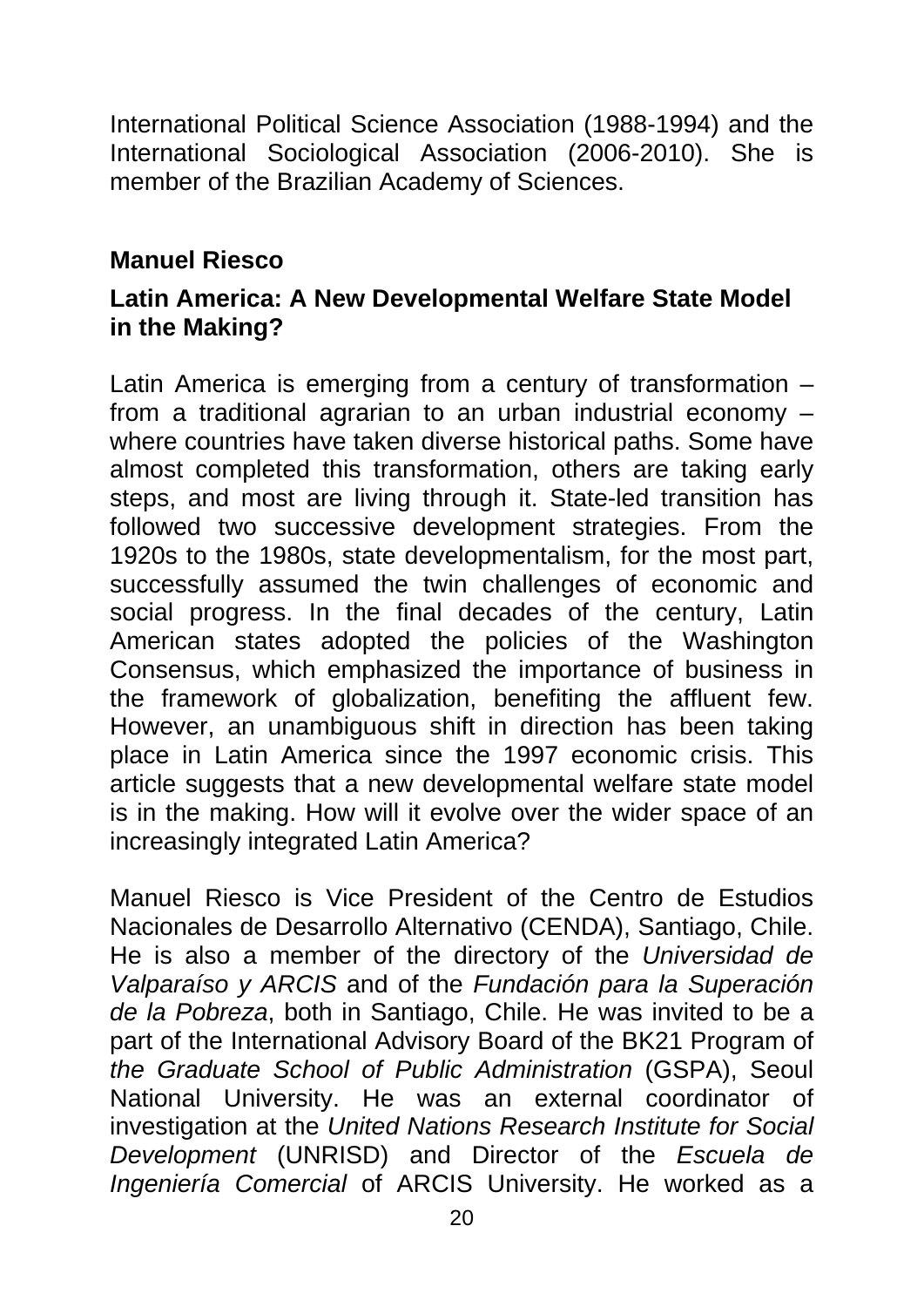International Political Science Association (1988-1994) and the International Sociological Association (2006-2010). She is member of the Brazilian Academy of Sciences.

#### **Manuel Riesco**

#### **Latin America: A New Developmental Welfare State Model in the Making?**

Latin America is emerging from a century of transformation – from a traditional agrarian to an urban industrial economy – where countries have taken diverse historical paths. Some have almost completed this transformation, others are taking early steps, and most are living through it. State-led transition has followed two successive development strategies. From the 1920s to the 1980s, state developmentalism, for the most part, successfully assumed the twin challenges of economic and social progress. In the final decades of the century, Latin American states adopted the policies of the Washington Consensus, which emphasized the importance of business in the framework of globalization, benefiting the affluent few. However, an unambiguous shift in direction has been taking place in Latin America since the 1997 economic crisis. This article suggests that a new developmental welfare state model is in the making. How will it evolve over the wider space of an increasingly integrated Latin America?

Manuel Riesco is Vice President of the Centro de Estudios Nacionales de Desarrollo Alternativo (CENDA), Santiago, Chile. He is also a member of the directory of the *Universidad de Valparaíso y ARCIS* and of the *Fundación para la Superación de la Pobreza*, both in Santiago, Chile. He was invited to be a part of the International Advisory Board of the BK21 Program of *the Graduate School of Public Administration* (GSPA), Seoul National University. He was an external coordinator of investigation at the *United Nations Research Institute for Social Development* (UNRISD) and Director of the *Escuela de Ingeniería Comercial* of ARCIS University. He worked as a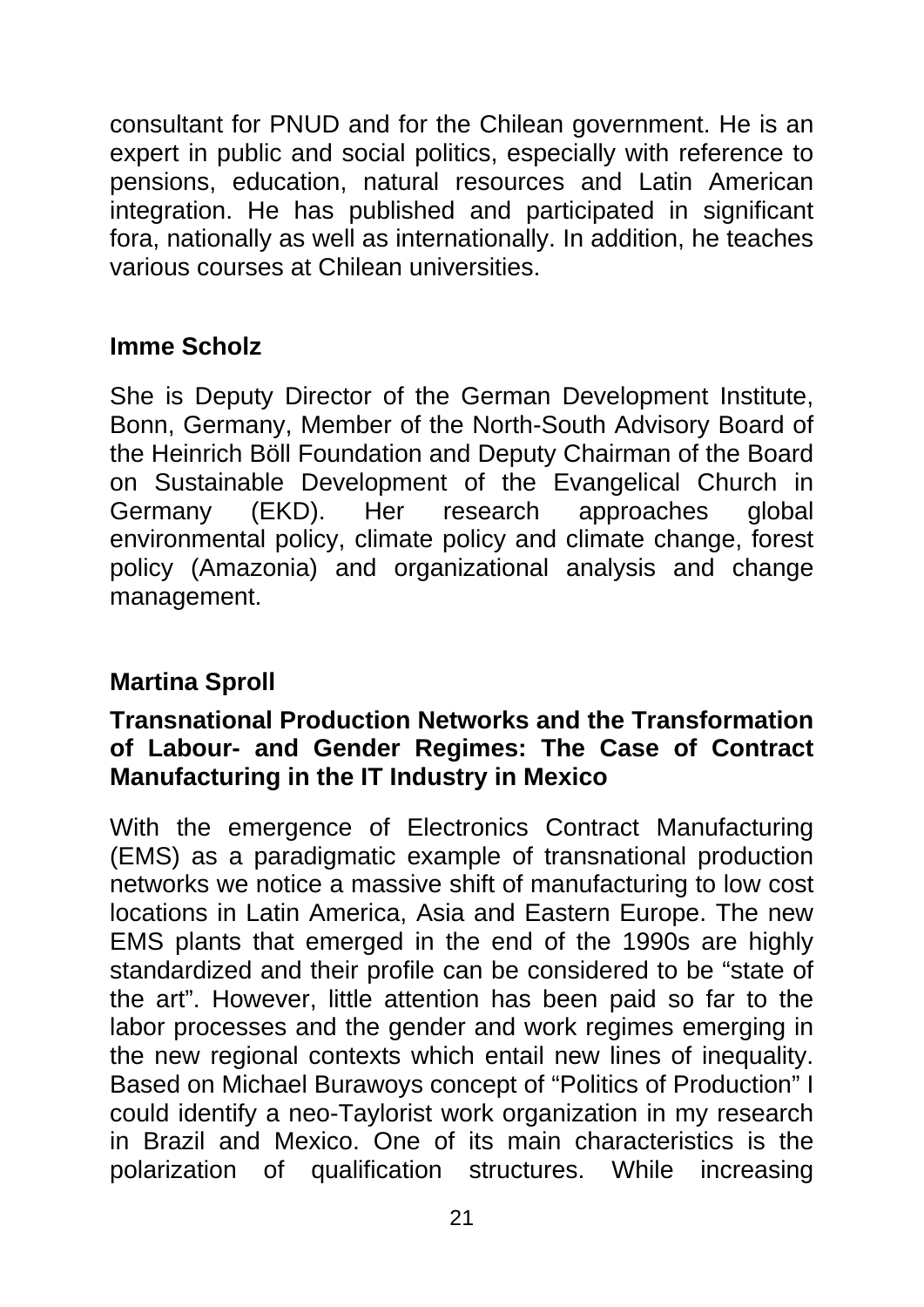consultant for PNUD and for the Chilean government. He is an expert in public and social politics, especially with reference to pensions, education, natural resources and Latin American integration. He has published and participated in significant fora, nationally as well as internationally. In addition, he teaches various courses at Chilean universities.

### **Imme Scholz**

She is Deputy Director of the German Development Institute, Bonn, Germany, Member of the North-South Advisory Board of the Heinrich Böll Foundation and Deputy Chairman of the Board on Sustainable Development of the Evangelical Church in Germany (EKD). Her research approaches global environmental policy, climate policy and climate change, forest policy (Amazonia) and organizational analysis and change management.

#### **Martina Sproll**

#### **Transnational Production Networks and the Transformation of Labour- and Gender Regimes: The Case of Contract Manufacturing in the IT Industry in Mexico**

With the emergence of Electronics Contract Manufacturing (EMS) as a paradigmatic example of transnational production networks we notice a massive shift of manufacturing to low cost locations in Latin America, Asia and Eastern Europe. The new EMS plants that emerged in the end of the 1990s are highly standardized and their profile can be considered to be "state of the art". However, little attention has been paid so far to the labor processes and the gender and work regimes emerging in the new regional contexts which entail new lines of inequality. Based on Michael Burawoys concept of "Politics of Production" I could identify a neo-Taylorist work organization in my research in Brazil and Mexico. One of its main characteristics is the polarization of qualification structures. While increasing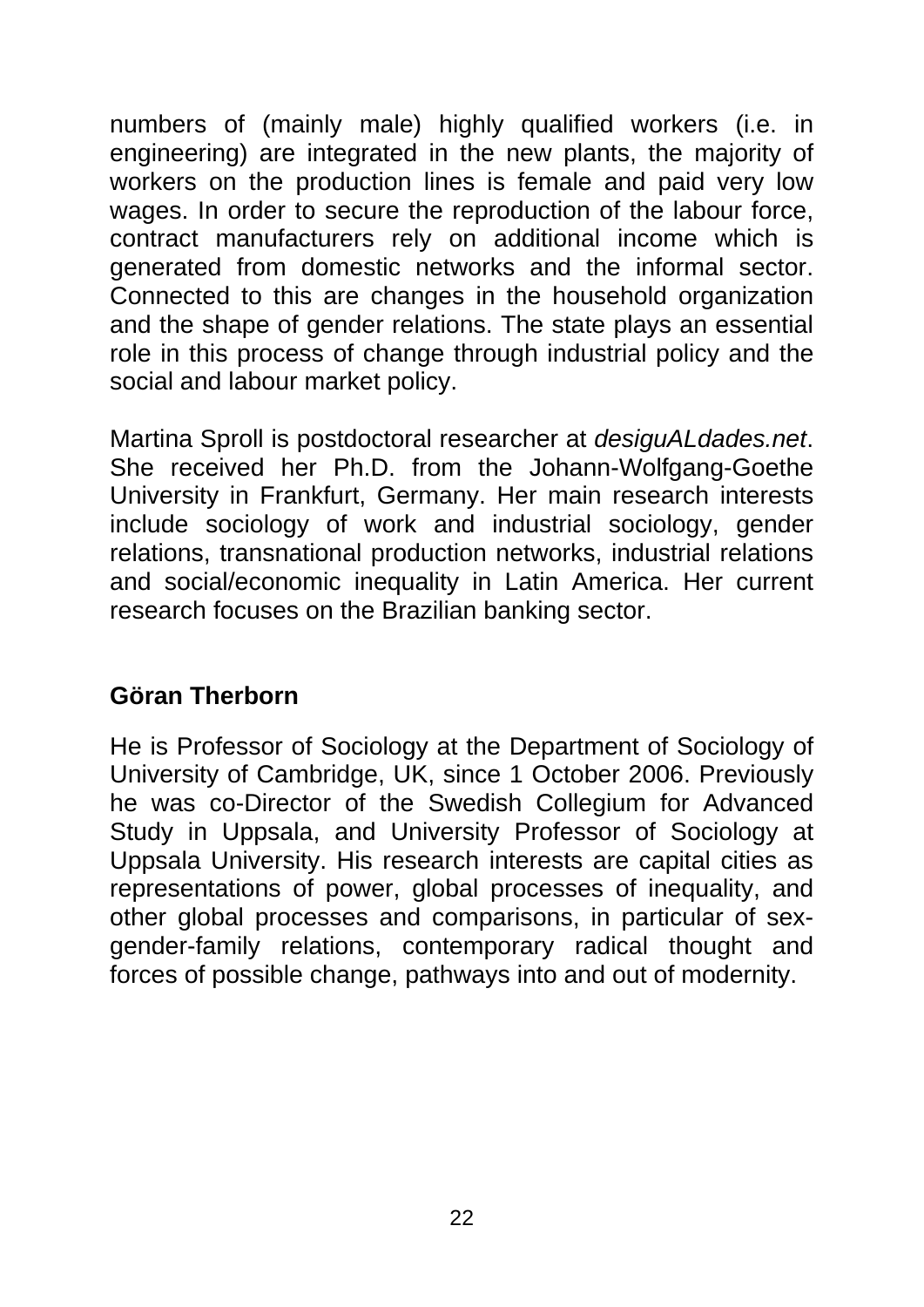numbers of (mainly male) highly qualified workers (i.e. in engineering) are integrated in the new plants, the majority of workers on the production lines is female and paid very low wages. In order to secure the reproduction of the labour force, contract manufacturers rely on additional income which is generated from domestic networks and the informal sector. Connected to this are changes in the household organization and the shape of gender relations. The state plays an essential role in this process of change through industrial policy and the social and labour market policy.

Martina Sproll is postdoctoral researcher at *desiguALdades.net*. She received her Ph.D. from the Johann-Wolfgang-Goethe University in Frankfurt, Germany. Her main research interests include sociology of work and industrial sociology, gender relations, transnational production networks, industrial relations and social/economic inequality in Latin America. Her current research focuses on the Brazilian banking sector.

#### **Göran Therborn**

He is Professor of Sociology at the Department of Sociology of University of Cambridge, UK, since 1 October 2006. Previously he was co-Director of the Swedish Collegium for Advanced Study in Uppsala, and University Professor of Sociology at Uppsala University. His research interests are capital cities as representations of power, global processes of inequality, and other global processes and comparisons, in particular of sexgender-family relations, contemporary radical thought and forces of possible change, pathways into and out of modernity.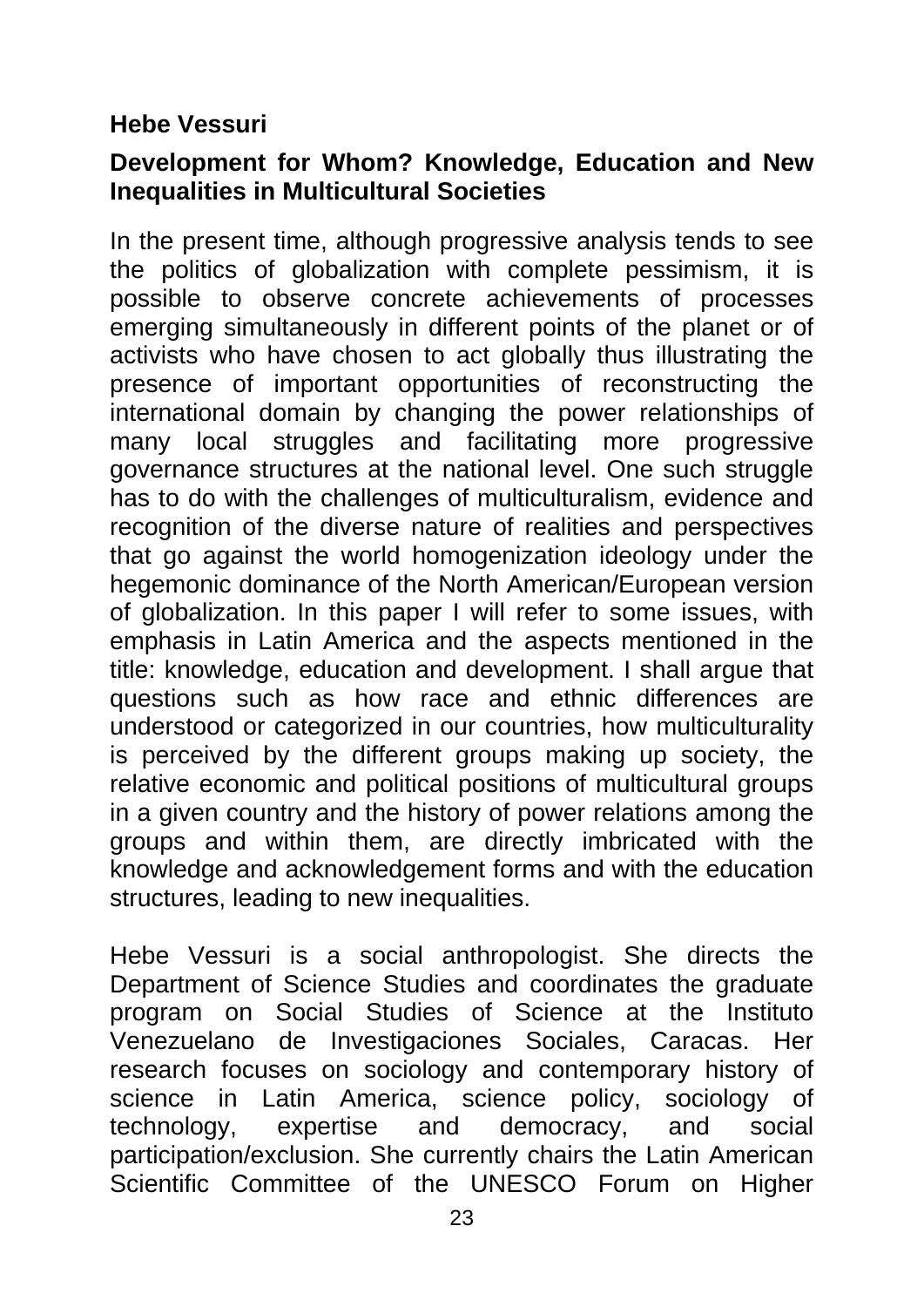#### **Hebe Vessuri**

#### **Development for Whom? Knowledge, Education and New Inequalities in Multicultural Societies**

In the present time, although progressive analysis tends to see the politics of globalization with complete pessimism, it is possible to observe concrete achievements of processes emerging simultaneously in different points of the planet or of activists who have chosen to act globally thus illustrating the presence of important opportunities of reconstructing the international domain by changing the power relationships of many local struggles and facilitating more progressive governance structures at the national level. One such struggle has to do with the challenges of multiculturalism, evidence and recognition of the diverse nature of realities and perspectives that go against the world homogenization ideology under the hegemonic dominance of the North American/European version of globalization. In this paper I will refer to some issues, with emphasis in Latin America and the aspects mentioned in the title: knowledge, education and development. I shall argue that questions such as how race and ethnic differences are understood or categorized in our countries, how multiculturality is perceived by the different groups making up society, the relative economic and political positions of multicultural groups in a given country and the history of power relations among the groups and within them, are directly imbricated with the knowledge and acknowledgement forms and with the education structures, leading to new inequalities.

Hebe Vessuri is a social anthropologist. She directs the Department of Science Studies and coordinates the graduate program on Social Studies of Science at the Instituto Venezuelano de Investigaciones Sociales, Caracas. Her research focuses on sociology and contemporary history of science in Latin America, science policy, sociology of technology, expertise and democracy, and social participation/exclusion. She currently chairs the Latin American Scientific Committee of the UNESCO Forum on Higher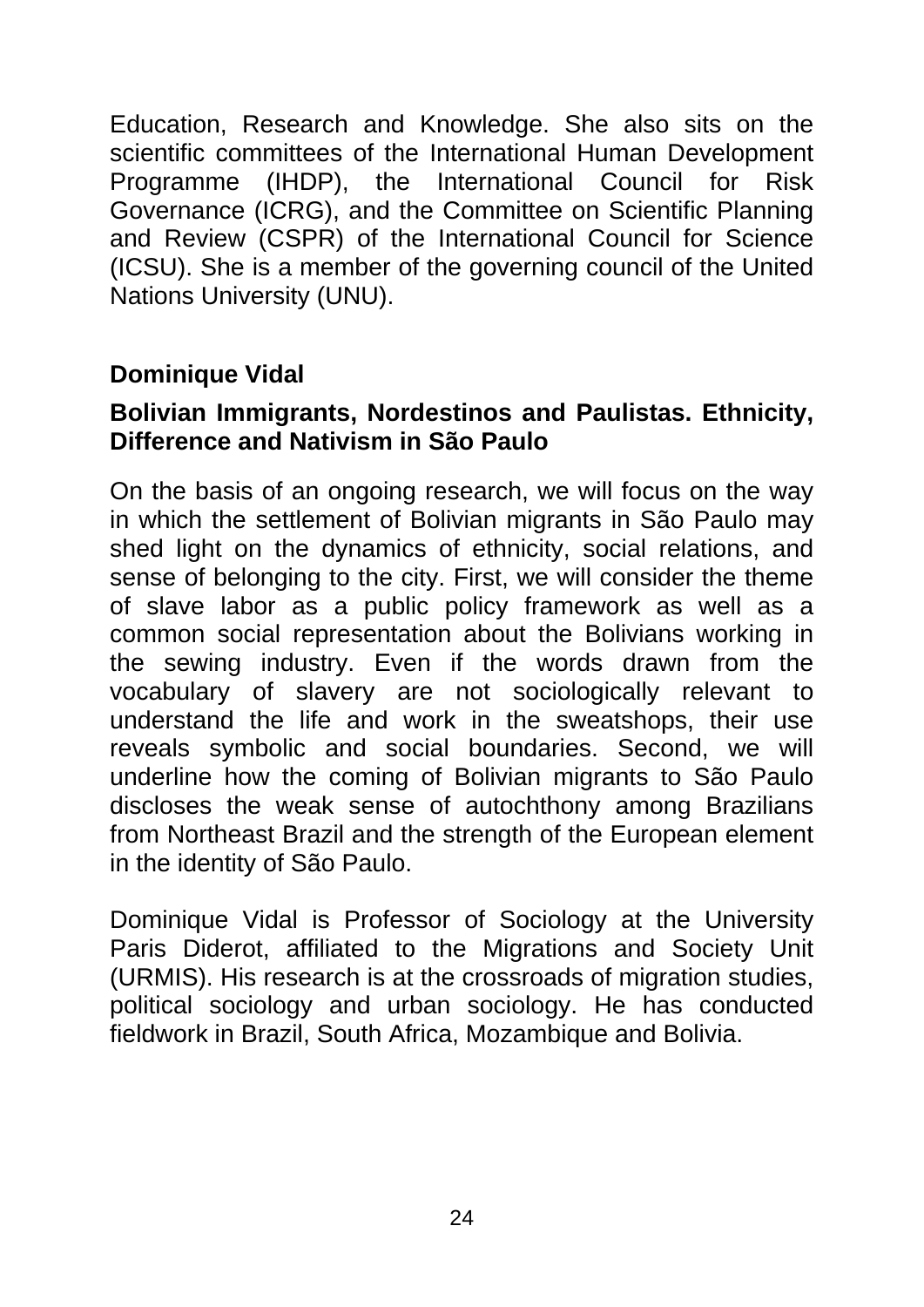Education, Research and Knowledge. She also sits on the scientific committees of the International Human Development Programme (IHDP), the International Council for Risk Governance (ICRG), and the Committee on Scientific Planning and Review (CSPR) of the International Council for Science (ICSU). She is a member of the governing council of the United Nations University (UNU).

#### **Dominique Vidal**

#### **Bolivian Immigrants, Nordestinos and Paulistas. Ethnicity, Difference and Nativism in São Paulo**

On the basis of an ongoing research, we will focus on the way in which the settlement of Bolivian migrants in São Paulo may shed light on the dynamics of ethnicity, social relations, and sense of belonging to the city. First, we will consider the theme of slave labor as a public policy framework as well as a common social representation about the Bolivians working in the sewing industry. Even if the words drawn from the vocabulary of slavery are not sociologically relevant to understand the life and work in the sweatshops, their use reveals symbolic and social boundaries. Second, we will underline how the coming of Bolivian migrants to São Paulo discloses the weak sense of autochthony among Brazilians from Northeast Brazil and the strength of the European element in the identity of São Paulo.

Dominique Vidal is Professor of Sociology at the University Paris Diderot, affiliated to the Migrations and Society Unit (URMIS). His research is at the crossroads of migration studies, political sociology and urban sociology. He has conducted fieldwork in Brazil, South Africa, Mozambique and Bolivia.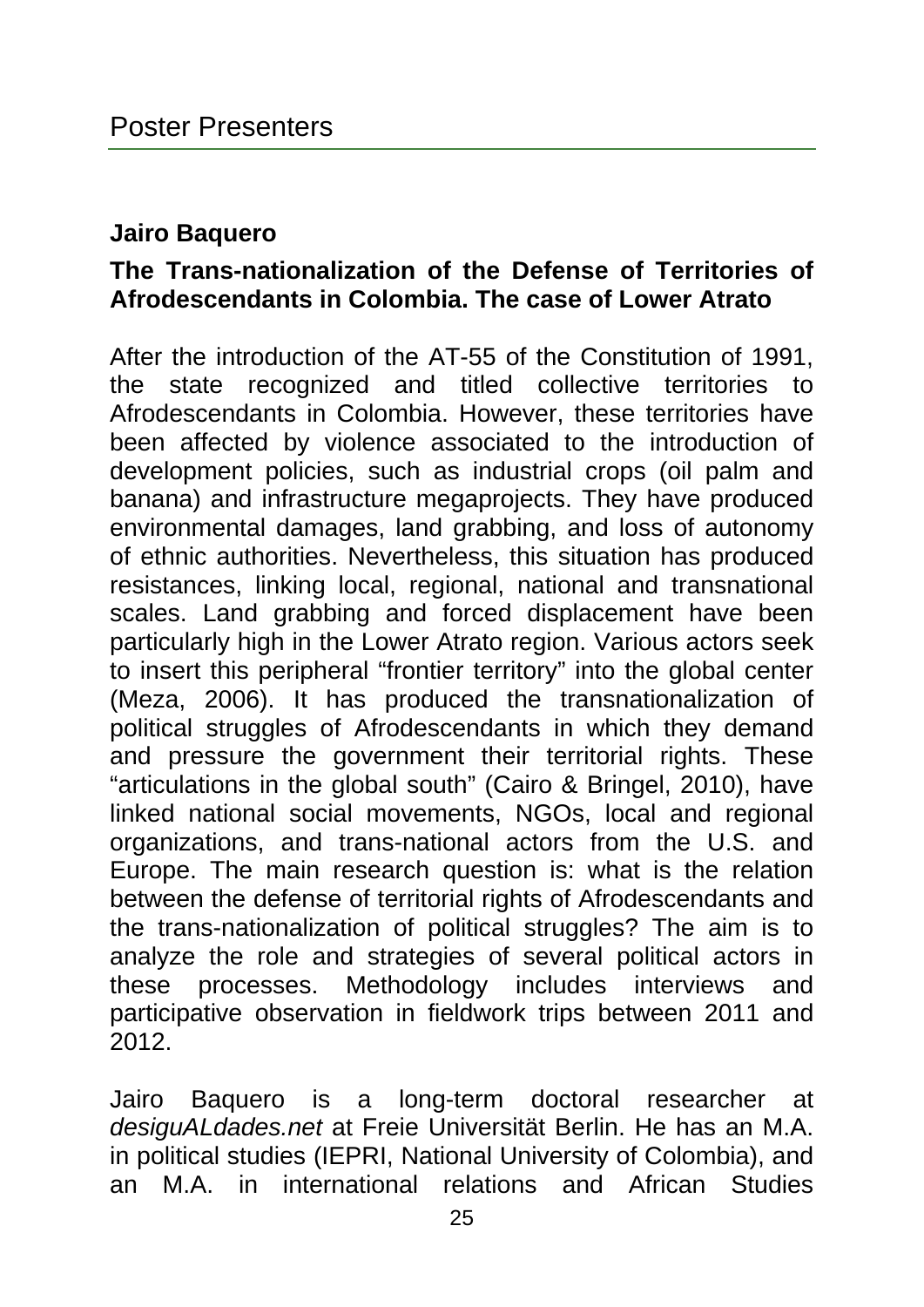#### **Jairo Baquero**

#### **The Trans-nationalization of the Defense of Territories of Afrodescendants in Colombia. The case of Lower Atrato**

After the introduction of the AT-55 of the Constitution of 1991, the state recognized and titled collective territories to Afrodescendants in Colombia. However, these territories have been affected by violence associated to the introduction of development policies, such as industrial crops (oil palm and banana) and infrastructure megaprojects. They have produced environmental damages, land grabbing, and loss of autonomy of ethnic authorities. Nevertheless, this situation has produced resistances, linking local, regional, national and transnational scales. Land grabbing and forced displacement have been particularly high in the Lower Atrato region. Various actors seek to insert this peripheral "frontier territory" into the global center (Meza, 2006). It has produced the transnationalization of political struggles of Afrodescendants in which they demand and pressure the government their territorial rights. These "articulations in the global south" (Cairo & Bringel, 2010), have linked national social movements, NGOs, local and regional organizations, and trans-national actors from the U.S. and Europe. The main research question is: what is the relation between the defense of territorial rights of Afrodescendants and the trans-nationalization of political struggles? The aim is to analyze the role and strategies of several political actors in these processes. Methodology includes interviews and participative observation in fieldwork trips between 2011 and 2012.

Jairo Baquero is a long-term doctoral researcher at *desiguALdades.net* at Freie Universität Berlin. He has an M.A. in political studies (IEPRI, National University of Colombia), and an M.A. in international relations and African Studies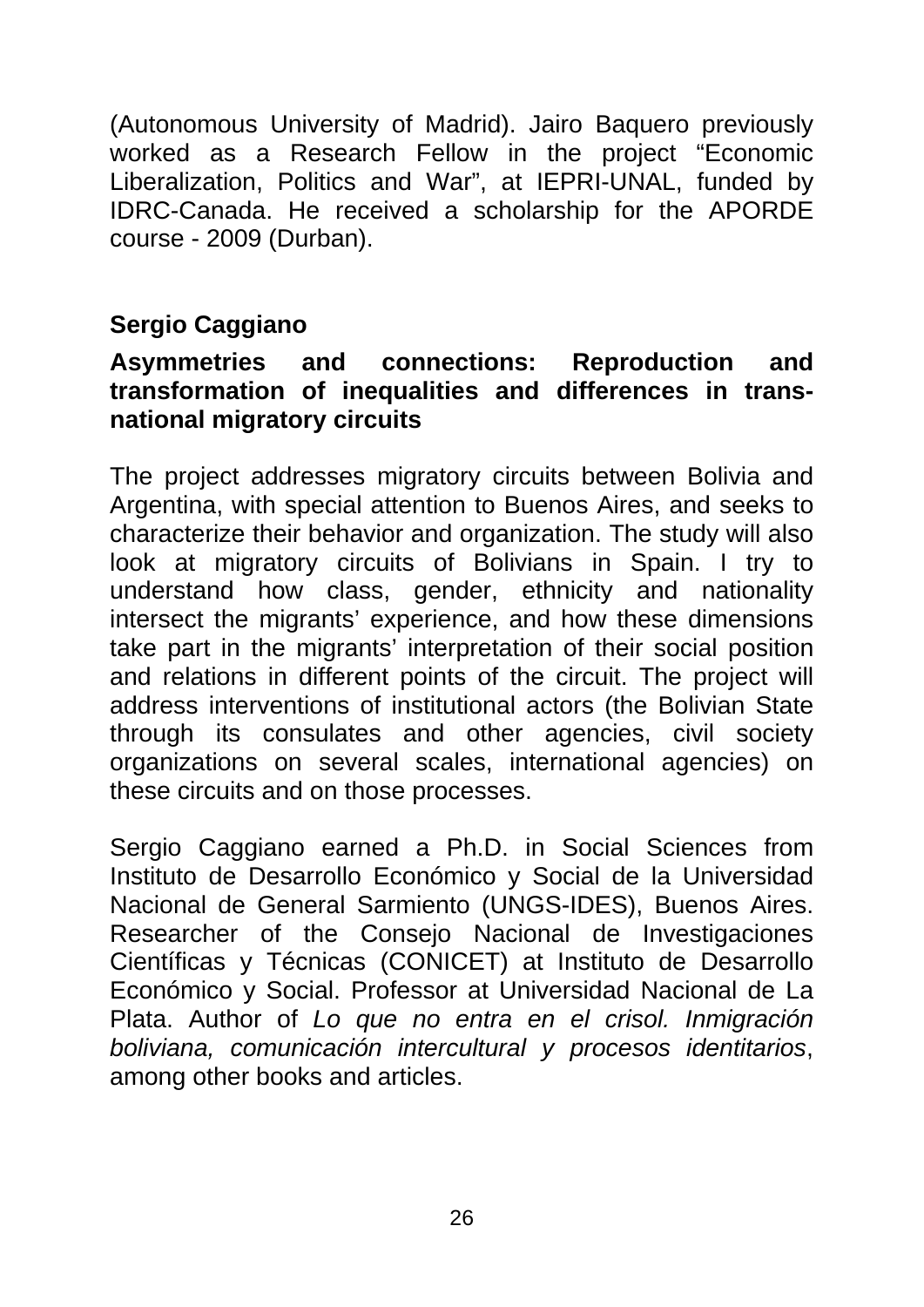(Autonomous University of Madrid). Jairo Baquero previously worked as a Research Fellow in the project "Economic Liberalization, Politics and War", at IEPRI-UNAL, funded by IDRC-Canada. He received a scholarship for the APORDE course - 2009 (Durban).

#### **Sergio Caggiano**

#### **Asymmetries and connections: Reproduction and transformation of inequalities and differences in transnational migratory circuits**

The project addresses migratory circuits between Bolivia and Argentina, with special attention to Buenos Aires, and seeks to characterize their behavior and organization. The study will also look at migratory circuits of Bolivians in Spain. I try to understand how class, gender, ethnicity and nationality intersect the migrants' experience, and how these dimensions take part in the migrants' interpretation of their social position and relations in different points of the circuit. The project will address interventions of institutional actors (the Bolivian State through its consulates and other agencies, civil society organizations on several scales, international agencies) on these circuits and on those processes.

Sergio Caggiano earned a Ph.D. in Social Sciences from Instituto de Desarrollo Económico y Social de la Universidad Nacional de General Sarmiento (UNGS-IDES), Buenos Aires. Researcher of the Consejo Nacional de Investigaciones Científicas y Técnicas (CONICET) at Instituto de Desarrollo Económico y Social. Professor at Universidad Nacional de La Plata. Author of *Lo que no entra en el crisol. Inmigración boliviana, comunicación intercultural y procesos identitarios*, among other books and articles.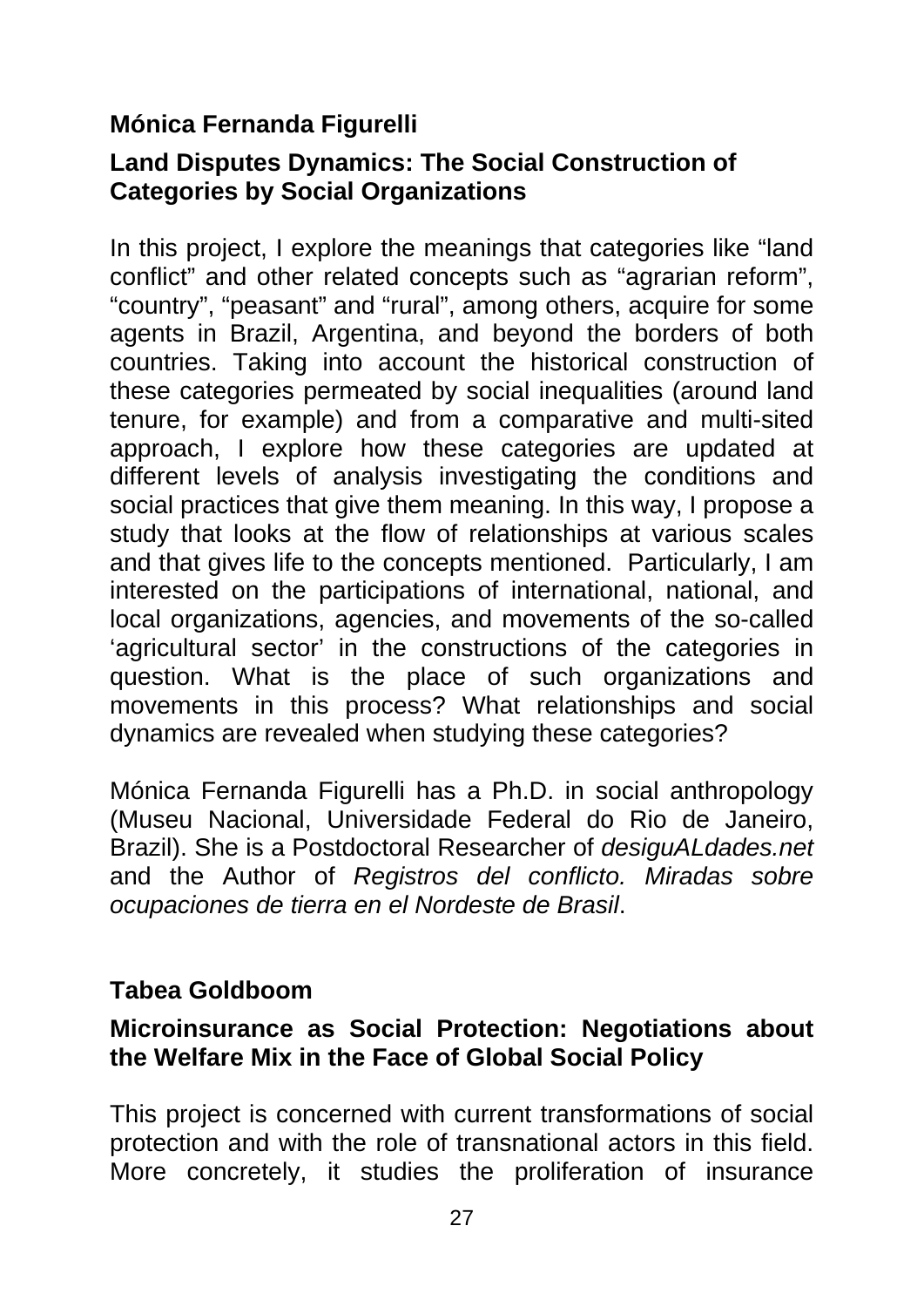#### **Mónica Fernanda Figurelli**

#### **Land Disputes Dynamics: The Social Construction of Categories by Social Organizations**

In this project, I explore the meanings that categories like "land conflict" and other related concepts such as "agrarian reform", "country", "peasant" and "rural", among others, acquire for some agents in Brazil, Argentina, and beyond the borders of both countries. Taking into account the historical construction of these categories permeated by social inequalities (around land tenure, for example) and from a comparative and multi-sited approach, I explore how these categories are updated at different levels of analysis investigating the conditions and social practices that give them meaning. In this way, I propose a study that looks at the flow of relationships at various scales and that gives life to the concepts mentioned. Particularly, I am interested on the participations of international, national, and local organizations, agencies, and movements of the so-called 'agricultural sector' in the constructions of the categories in question. What is the place of such organizations and movements in this process? What relationships and social dynamics are revealed when studying these categories?

Mónica Fernanda Figurelli has a Ph.D. in social anthropology (Museu Nacional, Universidade Federal do Rio de Janeiro, Brazil). She is a Postdoctoral Researcher of *desiguALdades.net* and the Author of *Registros del conflicto. Miradas sobre ocupaciones de tierra en el Nordeste de Brasil*.

#### **Tabea Goldboom**

#### **Microinsurance as Social Protection: Negotiations about the Welfare Mix in the Face of Global Social Policy**

This project is concerned with current transformations of social protection and with the role of transnational actors in this field. More concretely, it studies the proliferation of insurance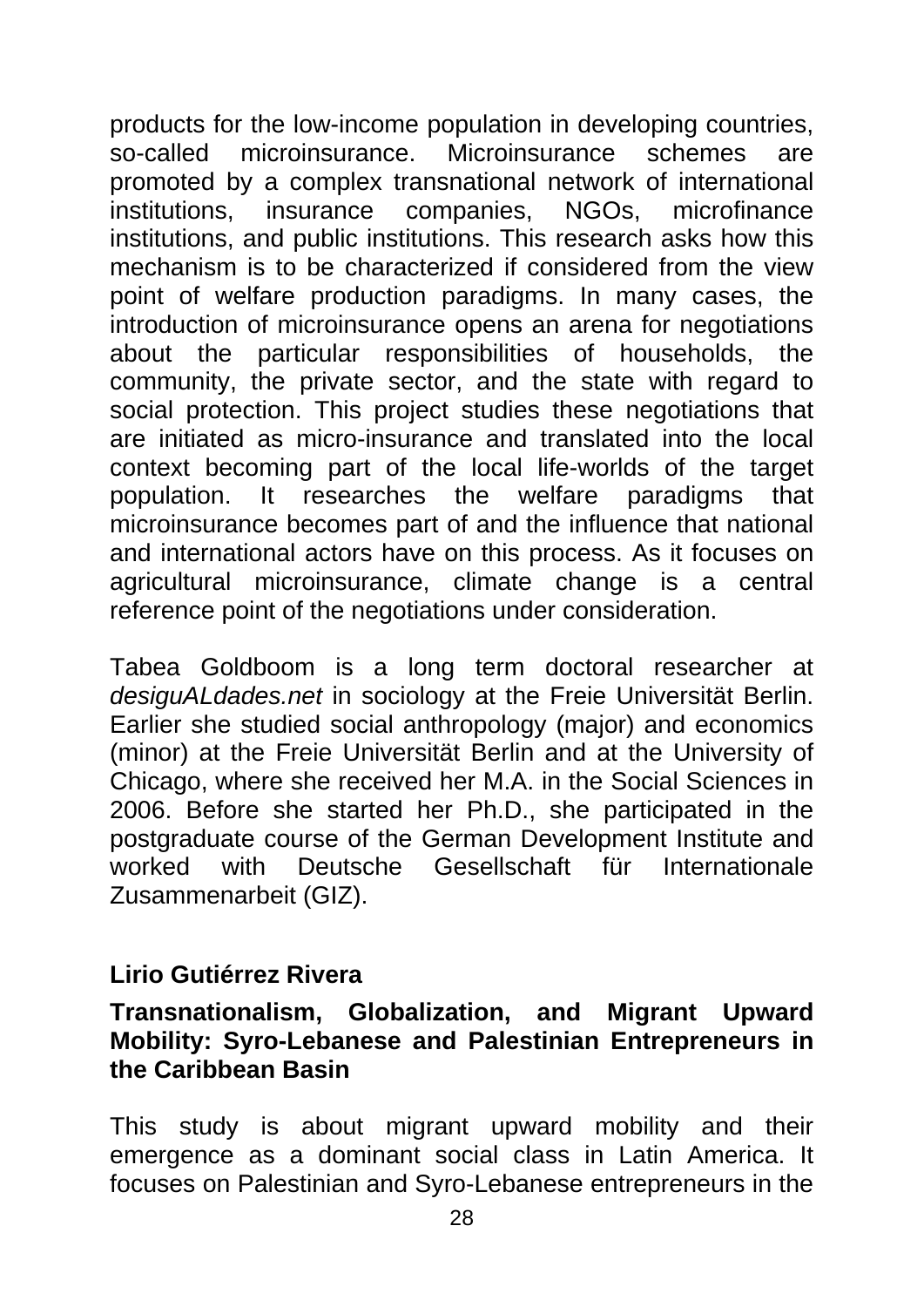products for the low-income population in developing countries, so-called microinsurance. Microinsurance schemes are promoted by a complex transnational network of international institutions, insurance companies, NGOs, microfinance institutions, and public institutions. This research asks how this mechanism is to be characterized if considered from the view point of welfare production paradigms. In many cases, the introduction of microinsurance opens an arena for negotiations about the particular responsibilities of households, the community, the private sector, and the state with regard to social protection. This project studies these negotiations that are initiated as micro-insurance and translated into the local context becoming part of the local life-worlds of the target population. It researches the welfare paradigms that microinsurance becomes part of and the influence that national and international actors have on this process. As it focuses on agricultural microinsurance, climate change is a central reference point of the negotiations under consideration.

Tabea Goldboom is a long term doctoral researcher at *desiguALdades.net* in sociology at the Freie Universität Berlin. Earlier she studied social anthropology (major) and economics (minor) at the Freie Universität Berlin and at the University of Chicago, where she received her M.A. in the Social Sciences in 2006. Before she started her Ph.D., she participated in the postgraduate course of the German Development Institute and worked with Deutsche Gesellschaft für Internationale Zusammenarbeit (GIZ).

#### **Lirio Gutiérrez Rivera**

#### **Transnationalism, Globalization, and Migrant Upward Mobility: Syro-Lebanese and Palestinian Entrepreneurs in the Caribbean Basin**

This study is about migrant upward mobility and their emergence as a dominant social class in Latin America. It focuses on Palestinian and Syro-Lebanese entrepreneurs in the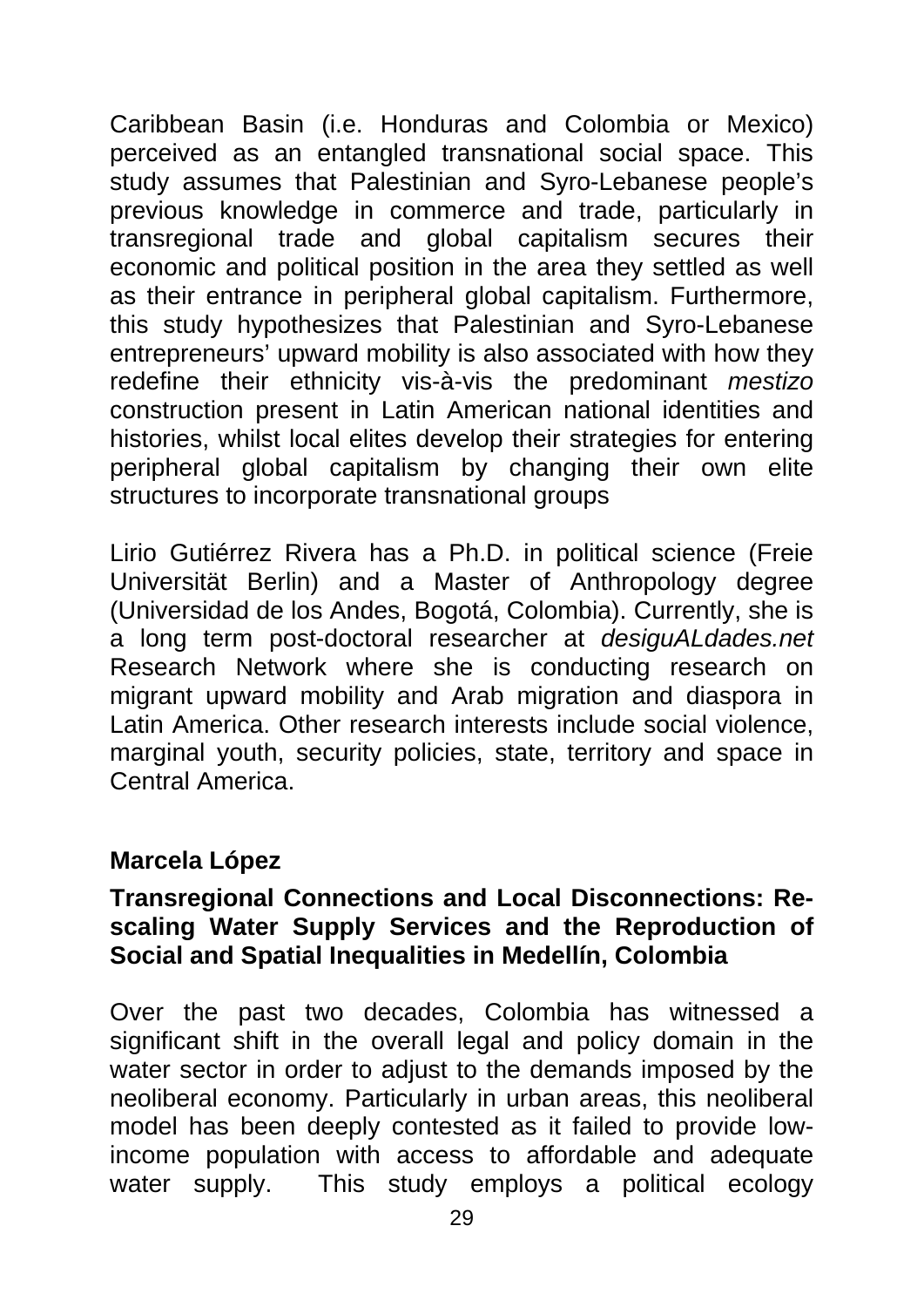Caribbean Basin (i.e. Honduras and Colombia or Mexico) perceived as an entangled transnational social space. This study assumes that Palestinian and Syro-Lebanese people's previous knowledge in commerce and trade, particularly in transregional trade and global capitalism secures their economic and political position in the area they settled as well as their entrance in peripheral global capitalism. Furthermore, this study hypothesizes that Palestinian and Syro-Lebanese entrepreneurs' upward mobility is also associated with how they redefine their ethnicity vis-à-vis the predominant *mestizo*  construction present in Latin American national identities and histories, whilst local elites develop their strategies for entering peripheral global capitalism by changing their own elite structures to incorporate transnational groups

Lirio Gutiérrez Rivera has a Ph.D. in political science (Freie Universität Berlin) and a Master of Anthropology degree (Universidad de los Andes, Bogotá, Colombia). Currently, she is a long term post-doctoral researcher at *desiguALdades.net* Research Network where she is conducting research on migrant upward mobility and Arab migration and diaspora in Latin America. Other research interests include social violence, marginal youth, security policies, state, territory and space in Central America.

#### **Marcela López**

#### **Transregional Connections and Local Disconnections: Rescaling Water Supply Services and the Reproduction of Social and Spatial Inequalities in Medellín, Colombia**

Over the past two decades, Colombia has witnessed a significant shift in the overall legal and policy domain in the water sector in order to adjust to the demands imposed by the neoliberal economy. Particularly in urban areas, this neoliberal model has been deeply contested as it failed to provide lowincome population with access to affordable and adequate water supply. This study employs a political ecology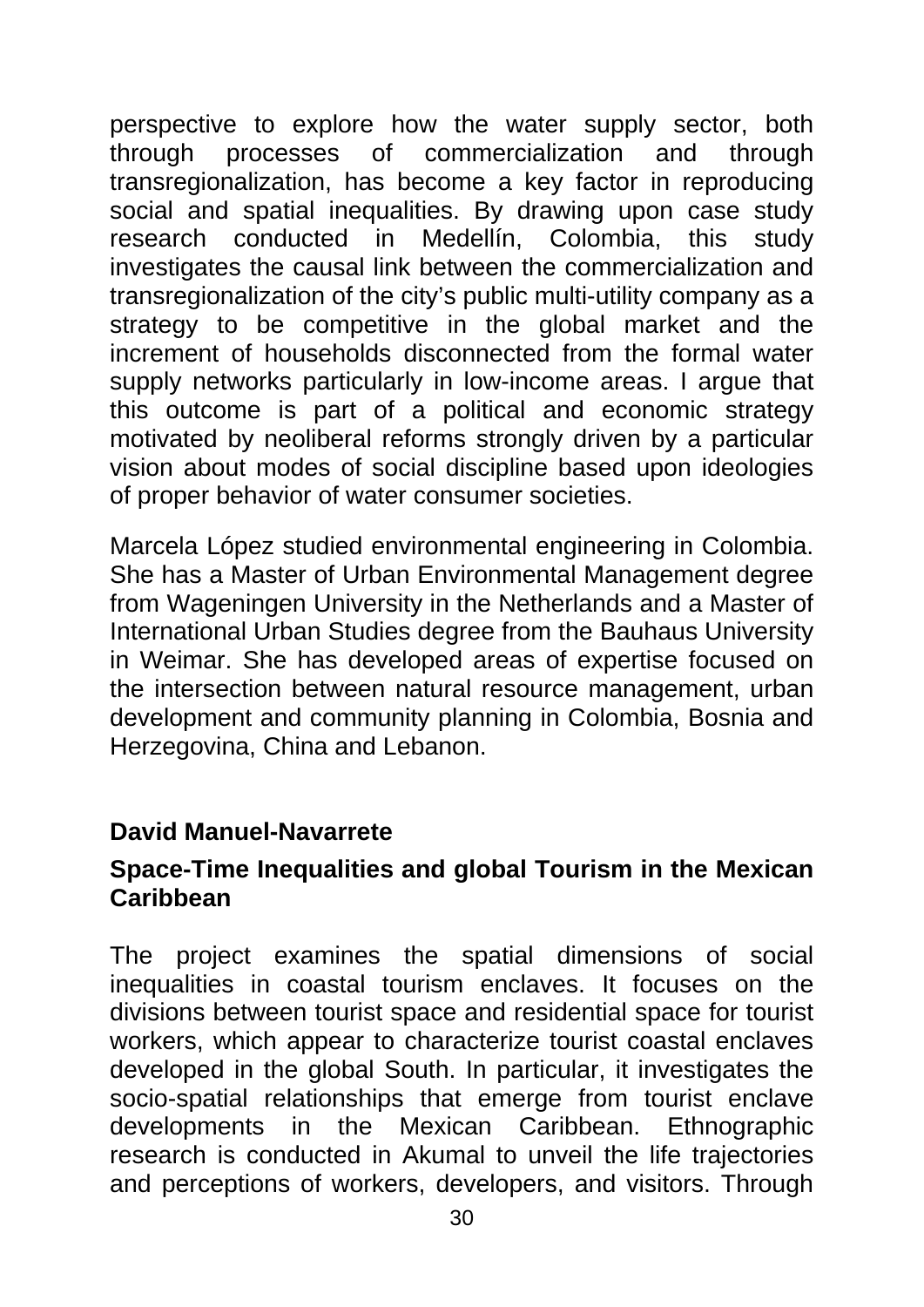perspective to explore how the water supply sector, both through processes of commercialization and through transregionalization, has become a key factor in reproducing social and spatial inequalities. By drawing upon case study research conducted in Medellín, Colombia, this study investigates the causal link between the commercialization and transregionalization of the city's public multi-utility company as a strategy to be competitive in the global market and the increment of households disconnected from the formal water supply networks particularly in low-income areas. I argue that this outcome is part of a political and economic strategy motivated by neoliberal reforms strongly driven by a particular vision about modes of social discipline based upon ideologies of proper behavior of water consumer societies.

Marcela López studied environmental engineering in Colombia. She has a Master of Urban Environmental Management degree from Wageningen University in the Netherlands and a Master of International Urban Studies degree from the Bauhaus University in Weimar. She has developed areas of expertise focused on the intersection between natural resource management, urban development and community planning in Colombia, Bosnia and Herzegovina, China and Lebanon.

#### **David Manuel-Navarrete**

#### **Space-Time Inequalities and global Tourism in the Mexican Caribbean**

The project examines the spatial dimensions of social inequalities in coastal tourism enclaves. It focuses on the divisions between tourist space and residential space for tourist workers, which appear to characterize tourist coastal enclaves developed in the global South. In particular, it investigates the socio-spatial relationships that emerge from tourist enclave developments in the Mexican Caribbean. Ethnographic research is conducted in Akumal to unveil the life trajectories and perceptions of workers, developers, and visitors. Through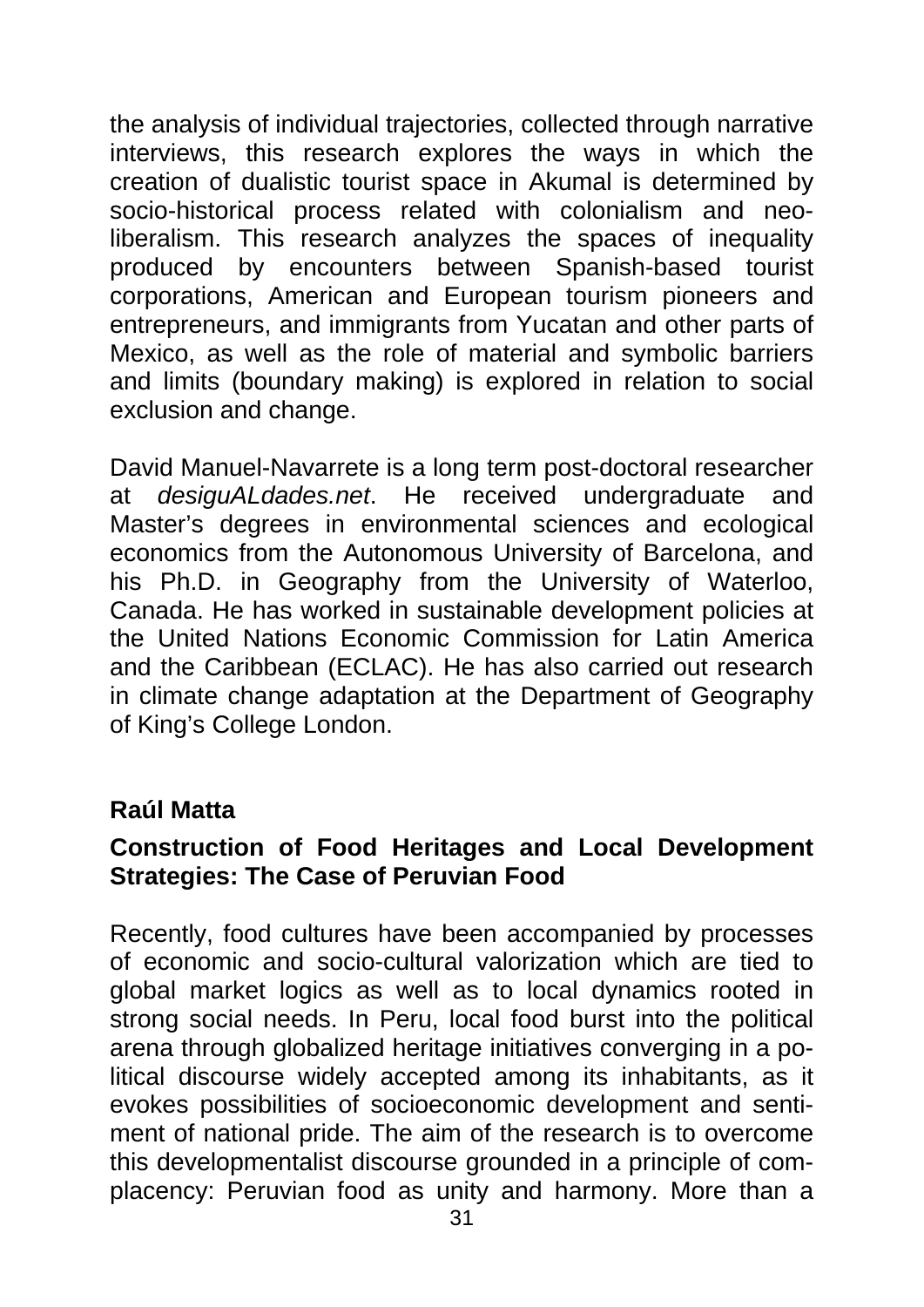the analysis of individual trajectories, collected through narrative interviews, this research explores the ways in which the creation of dualistic tourist space in Akumal is determined by socio-historical process related with colonialism and neoliberalism. This research analyzes the spaces of inequality produced by encounters between Spanish-based tourist corporations, American and European tourism pioneers and entrepreneurs, and immigrants from Yucatan and other parts of Mexico, as well as the role of material and symbolic barriers and limits (boundary making) is explored in relation to social exclusion and change.

David Manuel-Navarrete is a long term post-doctoral researcher<br>at desiguALdades.net. He received undergraduate and at *desiguALdades.net*. He received undergraduate and Master's degrees in environmental sciences and ecological economics from the Autonomous University of Barcelona, and his Ph.D. in Geography from the University of Waterloo, Canada. He has worked in sustainable development policies at the United Nations Economic Commission for Latin America and the Caribbean (ECLAC). He has also carried out research in climate change adaptation at the Department of Geography of King's College London.

#### **Raúl Matta**

#### **Construction of Food Heritages and Local Development Strategies: The Case of Peruvian Food**

Recently, food cultures have been accompanied by processes of economic and socio-cultural valorization which are tied to global market logics as well as to local dynamics rooted in strong social needs. In Peru, local food burst into the political arena through globalized heritage initiatives converging in a political discourse widely accepted among its inhabitants, as it evokes possibilities of socioeconomic development and sentiment of national pride. The aim of the research is to overcome this developmentalist discourse grounded in a principle of complacency: Peruvian food as unity and harmony. More than a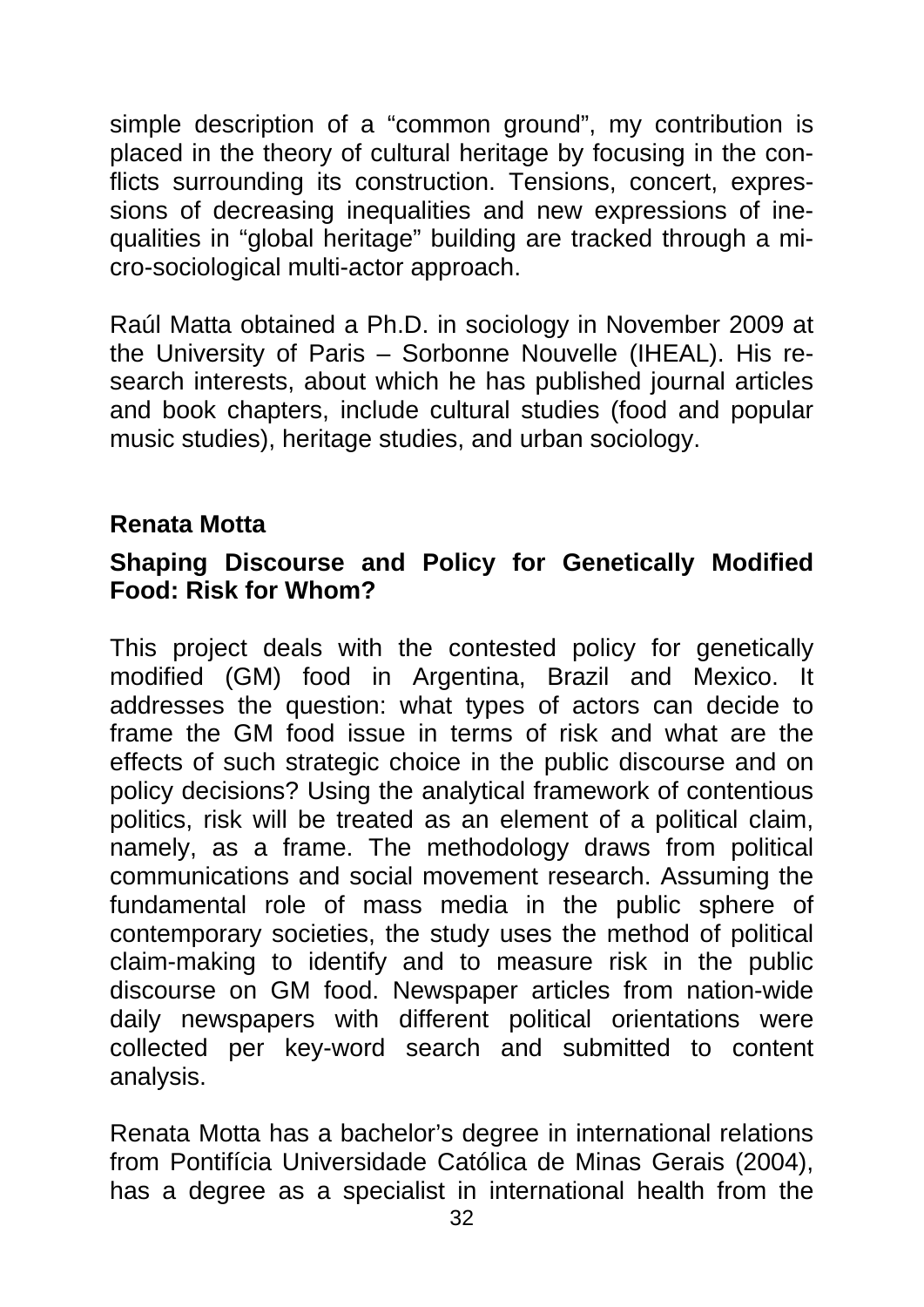simple description of a "common ground", my contribution is placed in the theory of cultural heritage by focusing in the conflicts surrounding its construction. Tensions, concert, expressions of decreasing inequalities and new expressions of inequalities in "global heritage" building are tracked through a micro-sociological multi-actor approach.

Raúl Matta obtained a Ph.D. in sociology in November 2009 at the University of Paris – Sorbonne Nouvelle (IHEAL). His research interests, about which he has published journal articles and book chapters, include cultural studies (food and popular music studies), heritage studies, and urban sociology.

#### **Renata Motta**

#### **Shaping Discourse and Policy for Genetically Modified Food: Risk for Whom?**

This project deals with the contested policy for genetically modified (GM) food in Argentina, Brazil and Mexico. It addresses the question: what types of actors can decide to frame the GM food issue in terms of risk and what are the effects of such strategic choice in the public discourse and on policy decisions? Using the analytical framework of contentious politics, risk will be treated as an element of a political claim, namely, as a frame. The methodology draws from political communications and social movement research. Assuming the fundamental role of mass media in the public sphere of contemporary societies, the study uses the method of political claim-making to identify and to measure risk in the public discourse on GM food. Newspaper articles from nation-wide daily newspapers with different political orientations were collected per key-word search and submitted to content analysis.

Renata Motta has a bachelor's degree in international relations from Pontifícia Universidade Católica de Minas Gerais (2004), has a degree as a specialist in international health from the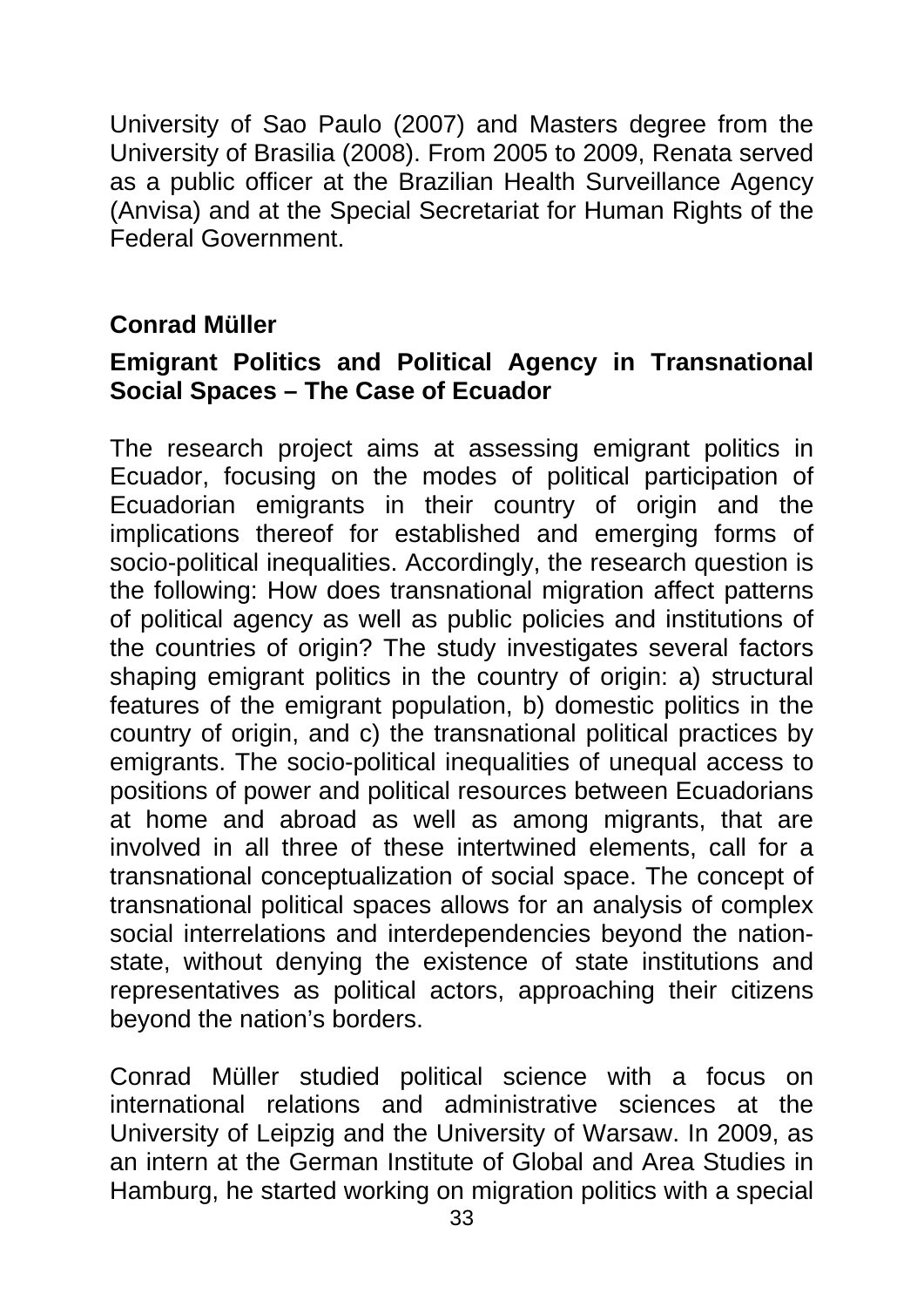University of Sao Paulo (2007) and Masters degree from the University of Brasilia (2008). From 2005 to 2009, Renata served as a public officer at the Brazilian Health Surveillance Agency (Anvisa) and at the Special Secretariat for Human Rights of the Federal Government.

#### **Conrad Müller**

#### **Emigrant Politics and Political Agency in Transnational Social Spaces – The Case of Ecuador**

The research project aims at assessing emigrant politics in Ecuador, focusing on the modes of political participation of Ecuadorian emigrants in their country of origin and the implications thereof for established and emerging forms of socio-political inequalities. Accordingly, the research question is the following: How does transnational migration affect patterns of political agency as well as public policies and institutions of the countries of origin? The study investigates several factors shaping emigrant politics in the country of origin: a) structural features of the emigrant population, b) domestic politics in the country of origin, and c) the transnational political practices by emigrants. The socio-political inequalities of unequal access to positions of power and political resources between Ecuadorians at home and abroad as well as among migrants, that are involved in all three of these intertwined elements, call for a transnational conceptualization of social space. The concept of transnational political spaces allows for an analysis of complex social interrelations and interdependencies beyond the nationstate, without denying the existence of state institutions and representatives as political actors, approaching their citizens beyond the nation's borders.

Conrad Müller studied political science with a focus on international relations and administrative sciences at the University of Leipzig and the University of Warsaw. In 2009, as an intern at the German Institute of Global and Area Studies in Hamburg, he started working on migration politics with a special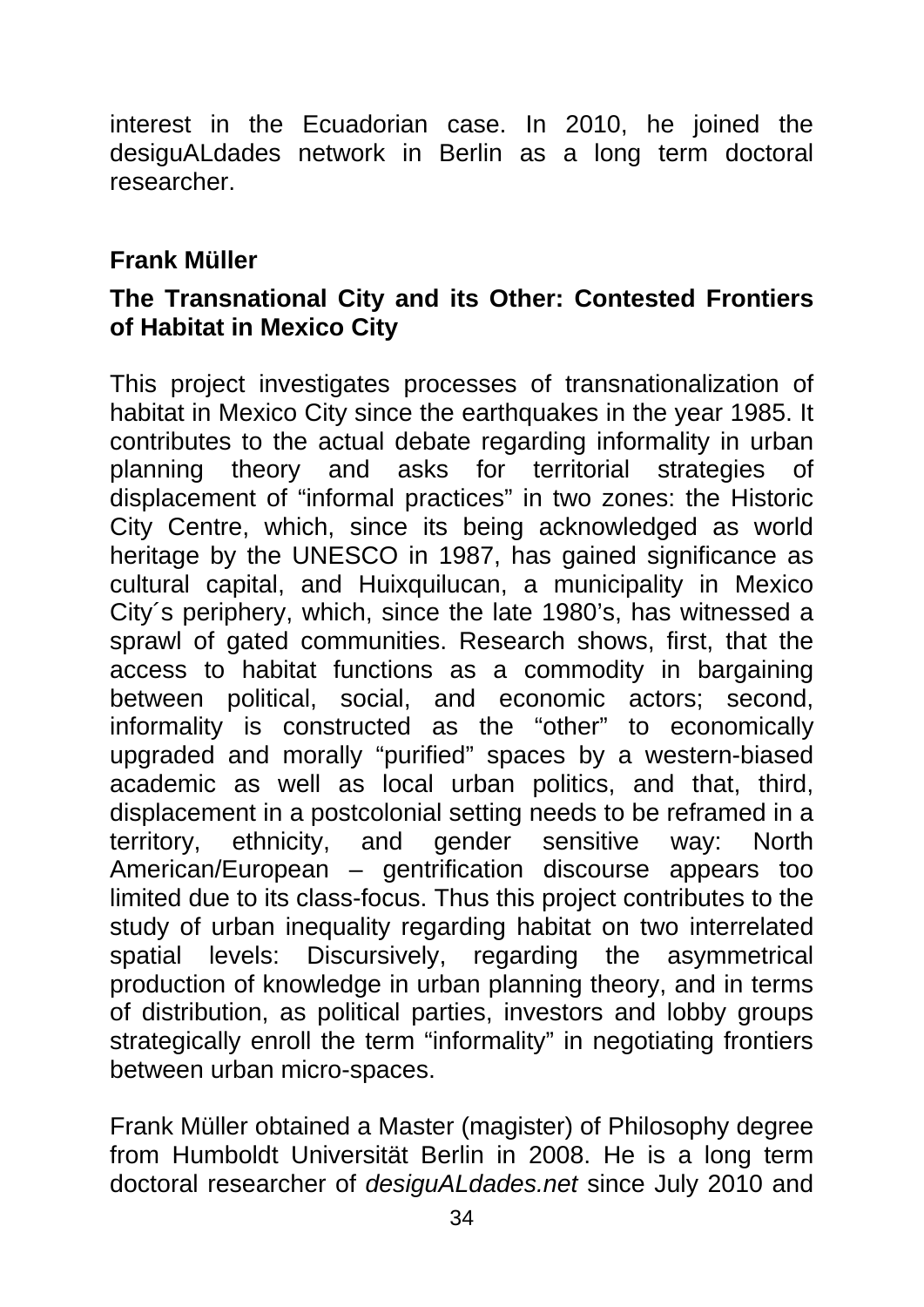interest in the Ecuadorian case. In 2010, he joined the desiguALdades network in Berlin as a long term doctoral researcher.

#### **Frank Müller**

#### **The Transnational City and its Other: Contested Frontiers of Habitat in Mexico City**

This project investigates processes of transnationalization of habitat in Mexico City since the earthquakes in the year 1985. It contributes to the actual debate regarding informality in urban planning theory and asks for territorial strategies of displacement of "informal practices" in two zones: the Historic City Centre, which, since its being acknowledged as world heritage by the UNESCO in 1987, has gained significance as cultural capital, and Huixquilucan, a municipality in Mexico City´s periphery, which, since the late 1980's, has witnessed a sprawl of gated communities. Research shows, first, that the access to habitat functions as a commodity in bargaining between political, social, and economic actors; second, informality is constructed as the "other" to economically upgraded and morally "purified" spaces by a western-biased academic as well as local urban politics, and that, third, displacement in a postcolonial setting needs to be reframed in a territory, ethnicity, and gender sensitive way: North American/European – gentrification discourse appears too limited due to its class-focus. Thus this project contributes to the study of urban inequality regarding habitat on two interrelated spatial levels: Discursively, regarding the asymmetrical production of knowledge in urban planning theory, and in terms of distribution, as political parties, investors and lobby groups strategically enroll the term "informality" in negotiating frontiers between urban micro-spaces.

Frank Müller obtained a Master (magister) of Philosophy degree from Humboldt Universität Berlin in 2008. He is a long term doctoral researcher of *desiguALdades.net* since July 2010 and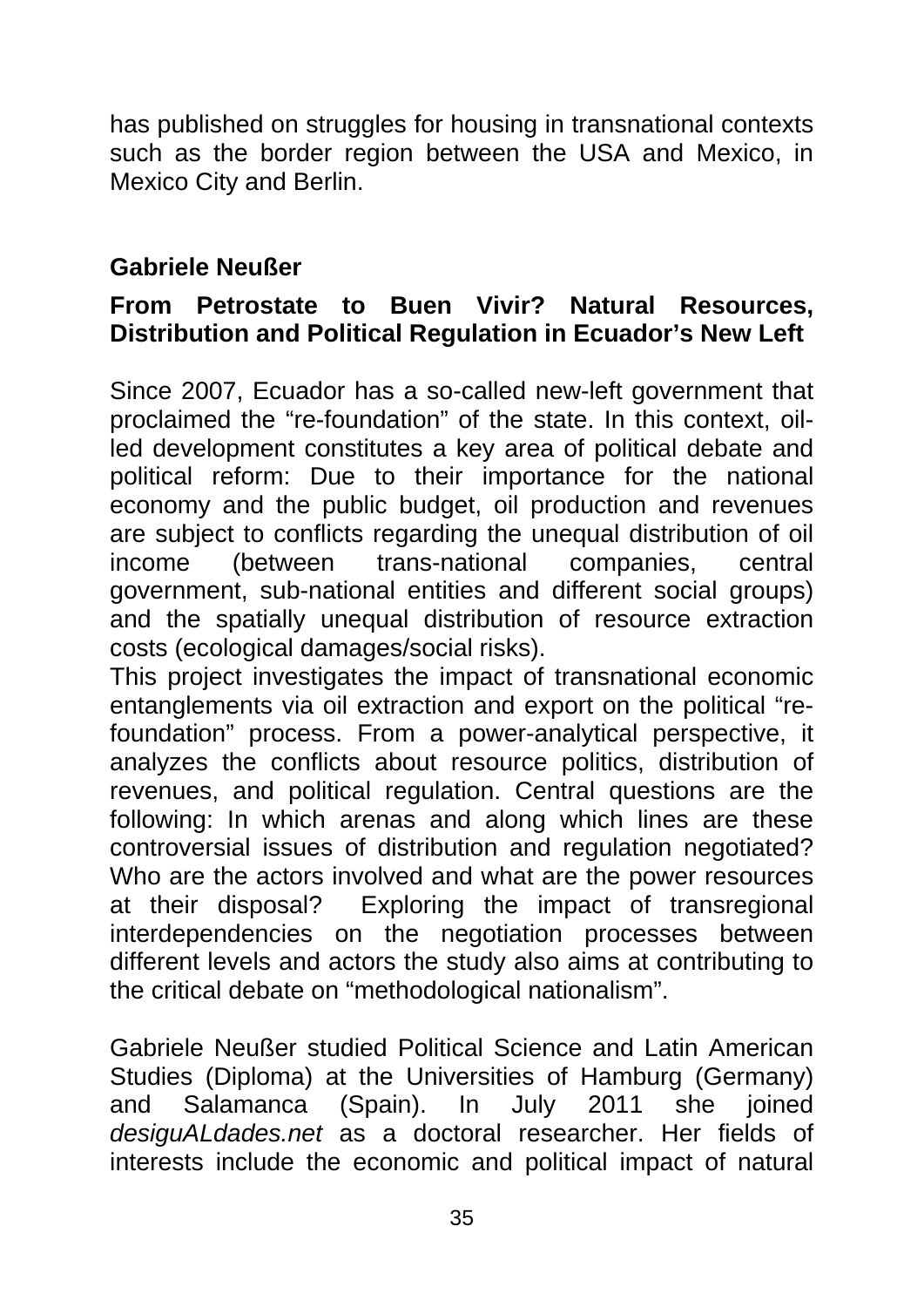has published on struggles for housing in transnational contexts such as the border region between the USA and Mexico, in Mexico City and Berlin.

#### **Gabriele Neußer**

#### **From Petrostate to Buen Vivir? Natural Resources, Distribution and Political Regulation in Ecuador's New Left**

Since 2007, Ecuador has a so-called new-left government that proclaimed the "re-foundation" of the state. In this context, oilled development constitutes a key area of political debate and political reform: Due to their importance for the national economy and the public budget, oil production and revenues are subject to conflicts regarding the unequal distribution of oil income (between trans-national companies, central government, sub-national entities and different social groups) and the spatially unequal distribution of resource extraction costs (ecological damages/social risks).

This project investigates the impact of transnational economic entanglements via oil extraction and export on the political "refoundation" process. From a power-analytical perspective, it analyzes the conflicts about resource politics, distribution of revenues, and political regulation. Central questions are the following: In which arenas and along which lines are these controversial issues of distribution and regulation negotiated? Who are the actors involved and what are the power resources at their disposal? Exploring the impact of transregional interdependencies on the negotiation processes between different levels and actors the study also aims at contributing to the critical debate on "methodological nationalism".

Gabriele Neußer studied Political Science and Latin American Studies (Diploma) at the Universities of Hamburg (Germany) and Salamanca (Spain). In July 2011 she joined *desiguALdades.net* as a doctoral researcher. Her fields of interests include the economic and political impact of natural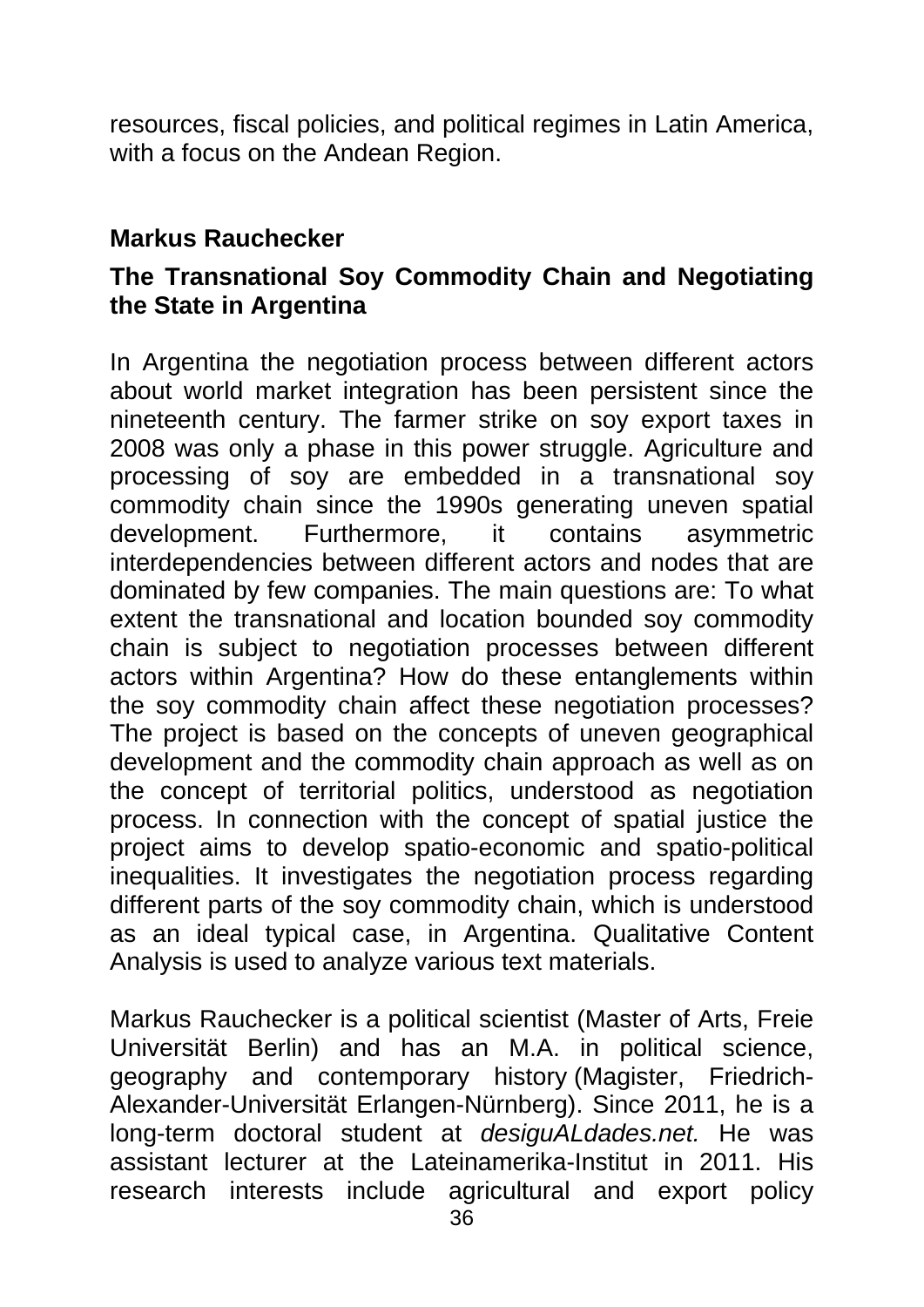resources, fiscal policies, and political regimes in Latin America, with a focus on the Andean Region.

#### **Markus Rauchecker**

#### **The Transnational Soy Commodity Chain and Negotiating the State in Argentina**

In Argentina the negotiation process between different actors about world market integration has been persistent since the nineteenth century. The farmer strike on soy export taxes in 2008 was only a phase in this power struggle. Agriculture and processing of soy are embedded in a transnational soy commodity chain since the 1990s generating uneven spatial development. Furthermore, it contains asymmetric interdependencies between different actors and nodes that are dominated by few companies. The main questions are: To what extent the transnational and location bounded soy commodity chain is subject to negotiation processes between different actors within Argentina? How do these entanglements within the soy commodity chain affect these negotiation processes? The project is based on the concepts of uneven geographical development and the commodity chain approach as well as on the concept of territorial politics, understood as negotiation process. In connection with the concept of spatial justice the project aims to develop spatio-economic and spatio-political inequalities. It investigates the negotiation process regarding different parts of the soy commodity chain, which is understood as an ideal typical case, in Argentina. Qualitative Content Analysis is used to analyze various text materials.

Markus Rauchecker is a political scientist (Master of Arts, Freie Universität Berlin) and has an M.A. in political science, geography and contemporary history (Magister, Friedrich-Alexander-Universität Erlangen-Nürnberg). Since 2011, he is a long-term doctoral student at *desiguALdades.net.* He was assistant lecturer at the Lateinamerika-Institut in 2011. His research interests include agricultural and export policy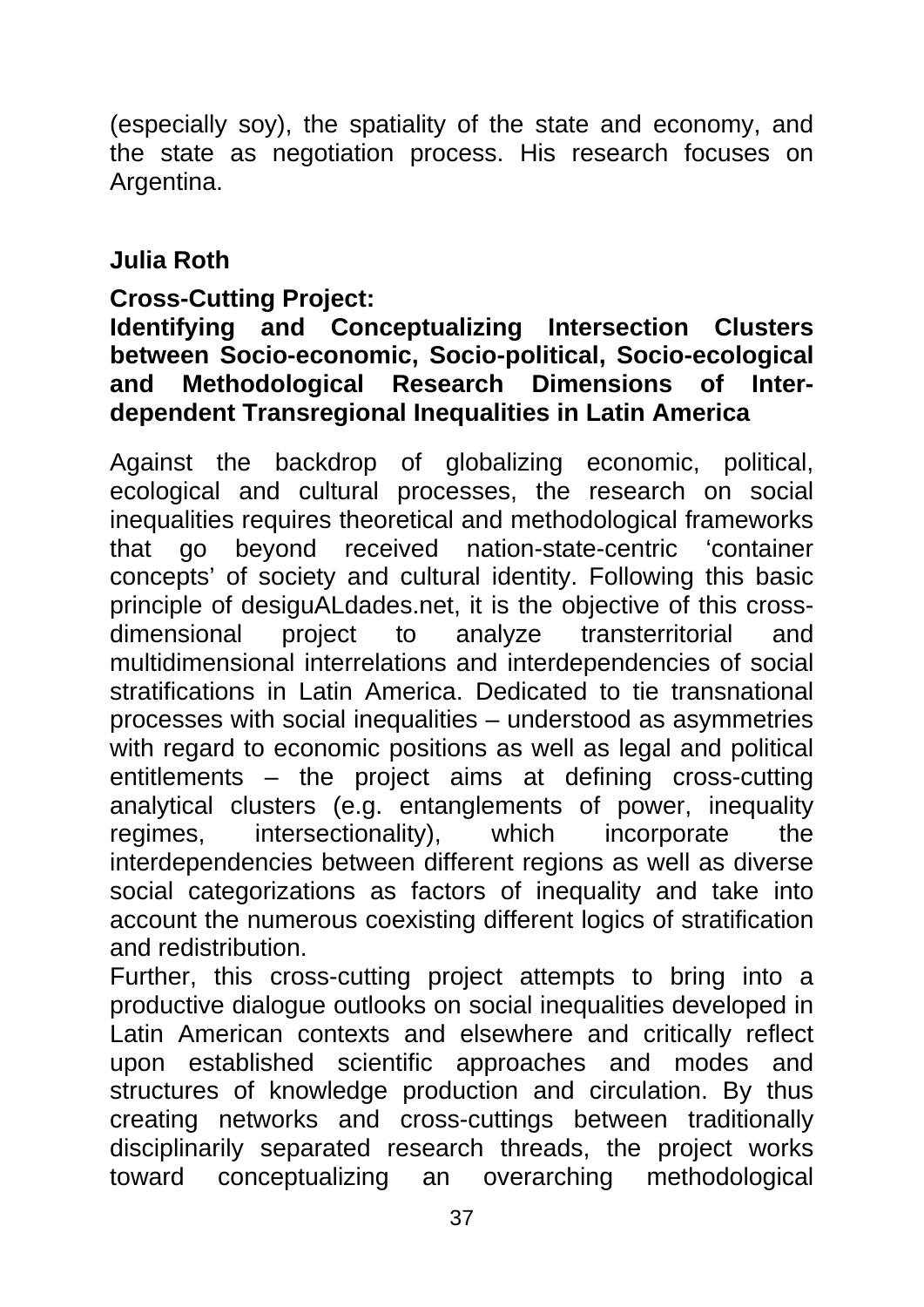(especially soy), the spatiality of the state and economy, and the state as negotiation process. His research focuses on Argentina.

#### **Julia Roth**

#### **Cross-Cutting Project:**

#### **Identifying and Conceptualizing Intersection Clusters between Socio-economic, Socio-political, Socio-ecological and Methodological Research Dimensions of Interdependent Transregional Inequalities in Latin America**

Against the backdrop of globalizing economic, political, ecological and cultural processes, the research on social inequalities requires theoretical and methodological frameworks that go beyond received nation-state-centric 'container concepts' of society and cultural identity. Following this basic principle of desiguALdades.net, it is the objective of this crossdimensional project to analyze transterritorial and multidimensional interrelations and interdependencies of social stratifications in Latin America. Dedicated to tie transnational processes with social inequalities – understood as asymmetries with regard to economic positions as well as legal and political entitlements – the project aims at defining cross-cutting analytical clusters (e.g. entanglements of power, inequality regimes, intersectionality), which incorporate the interdependencies between different regions as well as diverse social categorizations as factors of inequality and take into account the numerous coexisting different logics of stratification and redistribution.

Further, this cross-cutting project attempts to bring into a productive dialogue outlooks on social inequalities developed in Latin American contexts and elsewhere and critically reflect upon established scientific approaches and modes and structures of knowledge production and circulation. By thus creating networks and cross-cuttings between traditionally disciplinarily separated research threads, the project works toward conceptualizing an overarching methodological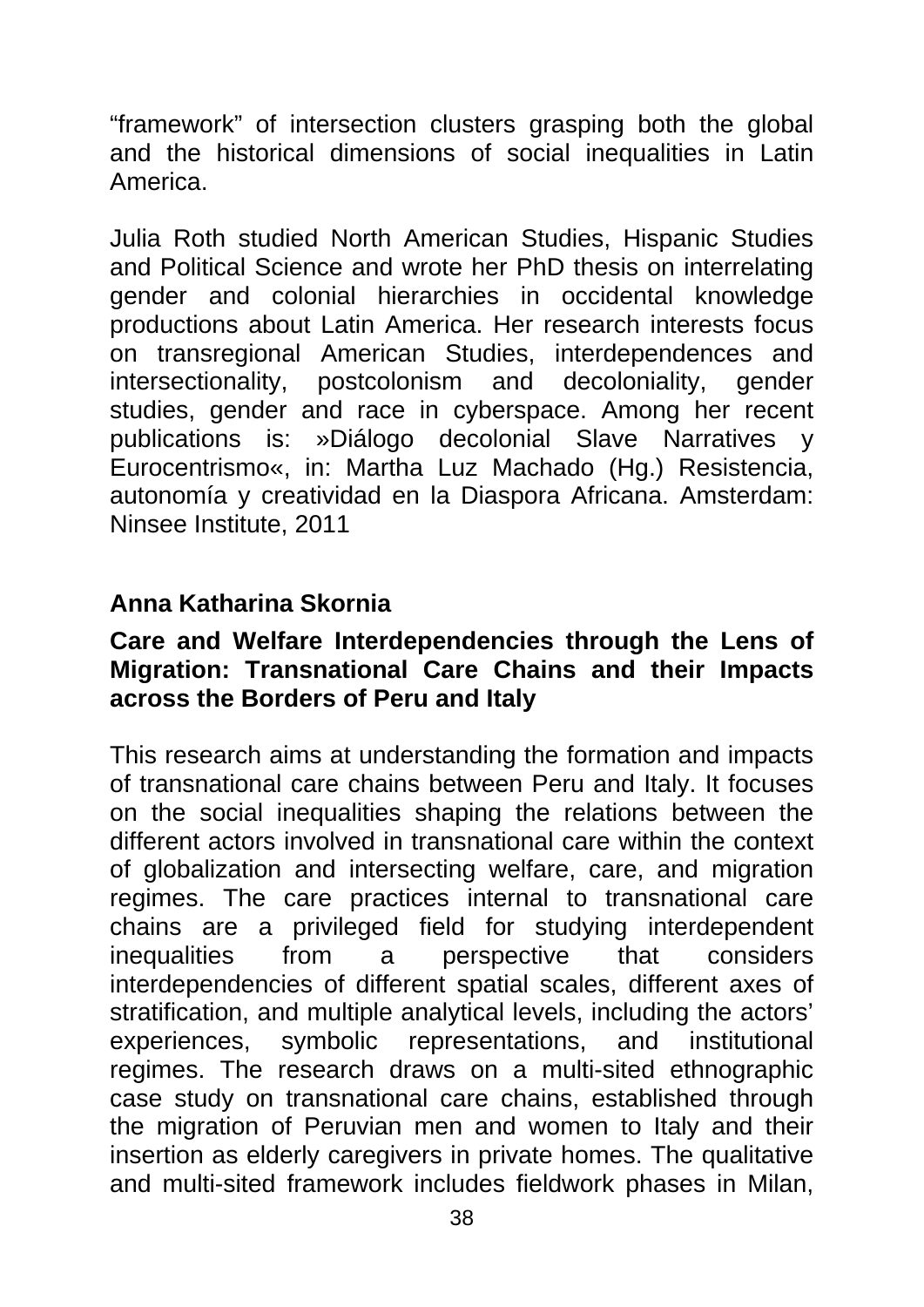"framework" of intersection clusters grasping both the global and the historical dimensions of social inequalities in Latin America.

Julia Roth studied North American Studies, Hispanic Studies and Political Science and wrote her PhD thesis on interrelating gender and colonial hierarchies in occidental knowledge productions about Latin America. Her research interests focus on transregional American Studies, interdependences and intersectionality, postcolonism and decoloniality, gender studies, gender and race in cyberspace. Among her recent publications is: »Diálogo decolonial Slave Narratives y Eurocentrismo«, in: Martha Luz Machado (Hg.) Resistencia, autonomía y creatividad en la Diaspora Africana. Amsterdam: Ninsee Institute, 2011

#### **Anna Katharina Skornia**

#### **Care and Welfare Interdependencies through the Lens of Migration: Transnational Care Chains and their Impacts across the Borders of Peru and Italy**

This research aims at understanding the formation and impacts of transnational care chains between Peru and Italy. It focuses on the social inequalities shaping the relations between the different actors involved in transnational care within the context of globalization and intersecting welfare, care, and migration regimes. The care practices internal to transnational care chains are a privileged field for studying interdependent inequalities from a perspective that considers interdependencies of different spatial scales, different axes of stratification, and multiple analytical levels, including the actors' experiences, symbolic representations, and institutional regimes. The research draws on a multi-sited ethnographic case study on transnational care chains, established through the migration of Peruvian men and women to Italy and their insertion as elderly caregivers in private homes. The qualitative and multi-sited framework includes fieldwork phases in Milan,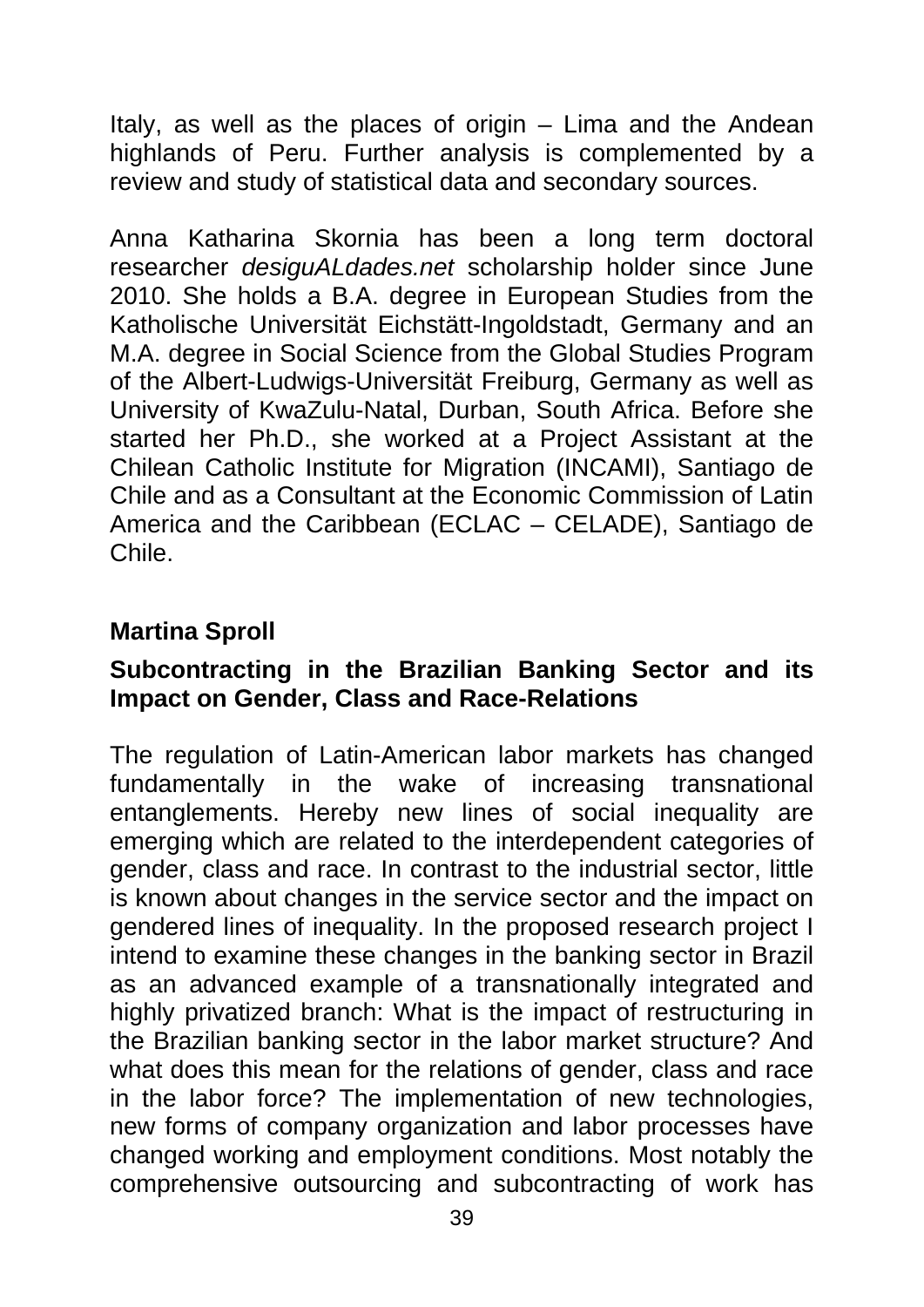Italy, as well as the places of origin  $-$  Lima and the Andean highlands of Peru. Further analysis is complemented by a review and study of statistical data and secondary sources.

Anna Katharina Skornia has been a long term doctoral researcher *desiguALdades.net* scholarship holder since June 2010. She holds a B.A. degree in European Studies from the Katholische Universität Eichstätt-Ingoldstadt, Germany and an M.A. degree in Social Science from the Global Studies Program of the Albert-Ludwigs-Universität Freiburg, Germany as well as University of KwaZulu-Natal, Durban, South Africa. Before she started her Ph.D., she worked at a Project Assistant at the Chilean Catholic Institute for Migration (INCAMI), Santiago de Chile and as a Consultant at the Economic Commission of Latin America and the Caribbean (ECLAC – CELADE), Santiago de Chile.

#### **Martina Sproll**

#### **Subcontracting in the Brazilian Banking Sector and its Impact on Gender, Class and Race-Relations**

The regulation of Latin-American labor markets has changed fundamentally in the wake of increasing transnational entanglements. Hereby new lines of social inequality are emerging which are related to the interdependent categories of gender, class and race. In contrast to the industrial sector, little is known about changes in the service sector and the impact on gendered lines of inequality. In the proposed research project I intend to examine these changes in the banking sector in Brazil as an advanced example of a transnationally integrated and highly privatized branch: What is the impact of restructuring in the Brazilian banking sector in the labor market structure? And what does this mean for the relations of gender, class and race in the labor force? The implementation of new technologies, new forms of company organization and labor processes have changed working and employment conditions. Most notably the comprehensive outsourcing and subcontracting of work has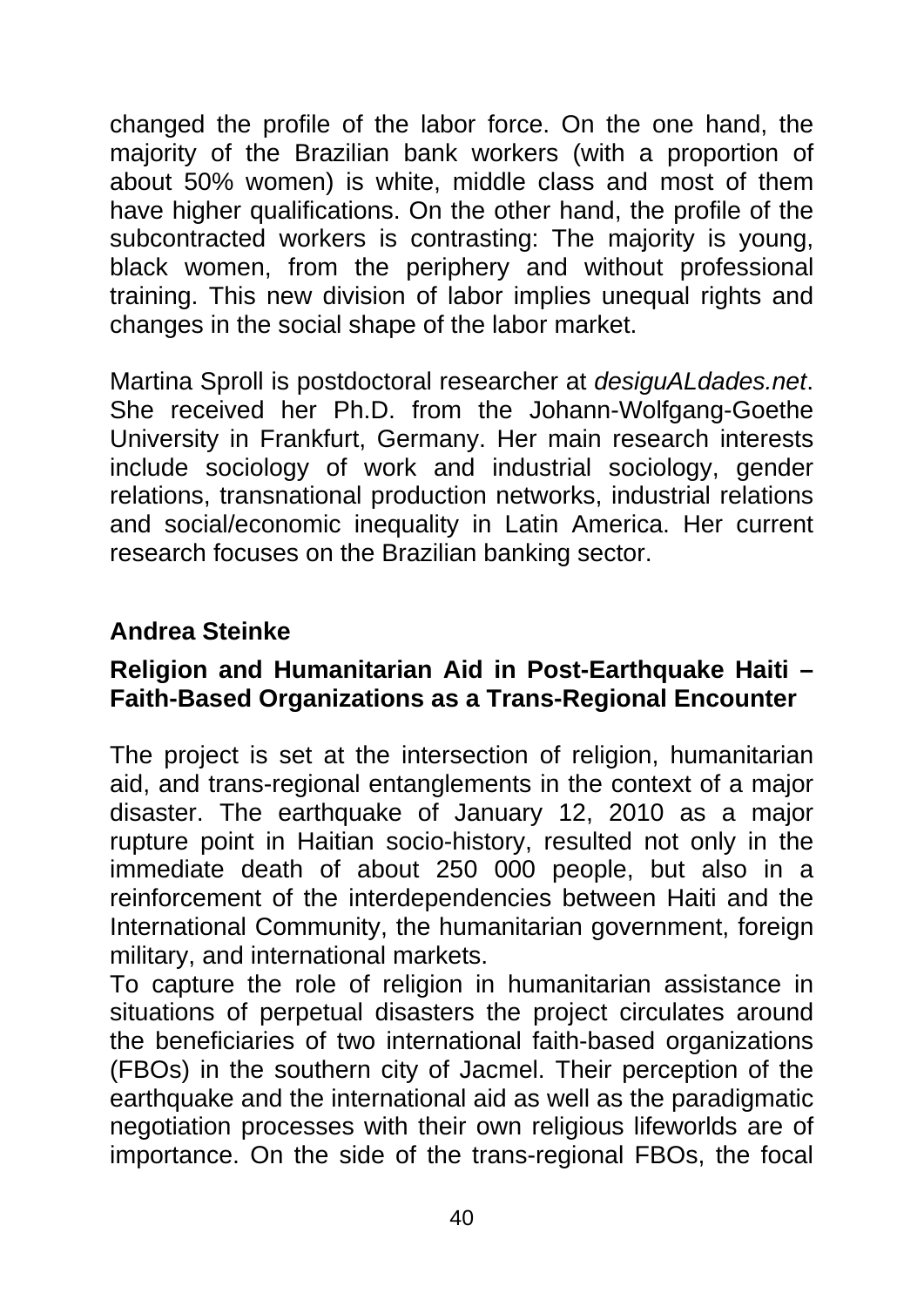changed the profile of the labor force. On the one hand, the majority of the Brazilian bank workers (with a proportion of about 50% women) is white, middle class and most of them have higher qualifications. On the other hand, the profile of the subcontracted workers is contrasting: The majority is young, black women, from the periphery and without professional training. This new division of labor implies unequal rights and changes in the social shape of the labor market.

Martina Sproll is postdoctoral researcher at *desiguALdades.net*. She received her Ph.D. from the Johann-Wolfgang-Goethe University in Frankfurt, Germany. Her main research interests include sociology of work and industrial sociology, gender relations, transnational production networks, industrial relations and social/economic inequality in Latin America. Her current research focuses on the Brazilian banking sector.

#### **Andrea Steinke**

#### **Religion and Humanitarian Aid in Post-Earthquake Haiti – Faith-Based Organizations as a Trans-Regional Encounter**

The project is set at the intersection of religion, humanitarian aid, and trans-regional entanglements in the context of a major disaster. The earthquake of January 12, 2010 as a major rupture point in Haitian socio-history, resulted not only in the immediate death of about 250 000 people, but also in a reinforcement of the interdependencies between Haiti and the International Community, the humanitarian government, foreign military, and international markets.

To capture the role of religion in humanitarian assistance in situations of perpetual disasters the project circulates around the beneficiaries of two international faith-based organizations (FBOs) in the southern city of Jacmel. Their perception of the earthquake and the international aid as well as the paradigmatic negotiation processes with their own religious lifeworlds are of importance. On the side of the trans-regional FBOs, the focal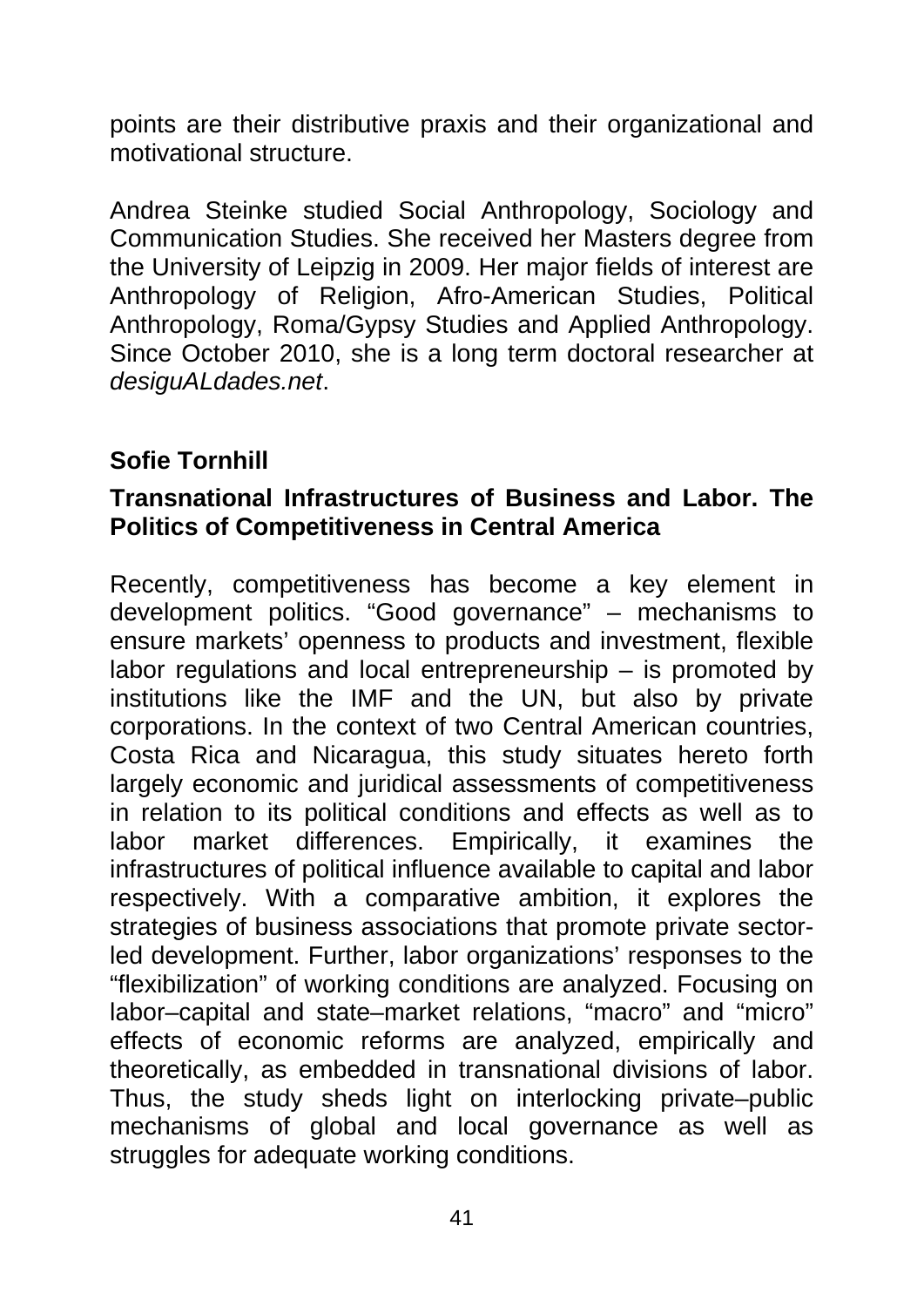points are their distributive praxis and their organizational and motivational structure.

Andrea Steinke studied Social Anthropology, Sociology and Communication Studies. She received her Masters degree from the University of Leipzig in 2009. Her major fields of interest are Anthropology of Religion, Afro-American Studies, Political Anthropology, Roma/Gypsy Studies and Applied Anthropology. Since October 2010, she is a long term doctoral researcher at *desiguALdades.net*.

#### **Sofie Tornhill**

#### **Transnational Infrastructures of Business and Labor. The Politics of Competitiveness in Central America**

Recently, competitiveness has become a key element in development politics. "Good governance" – mechanisms to ensure markets' openness to products and investment, flexible labor regulations and local entrepreneurship – is promoted by institutions like the IMF and the UN, but also by private corporations. In the context of two Central American countries, Costa Rica and Nicaragua, this study situates hereto forth largely economic and juridical assessments of competitiveness in relation to its political conditions and effects as well as to labor market differences. Empirically, it examines the infrastructures of political influence available to capital and labor respectively. With a comparative ambition, it explores the strategies of business associations that promote private sectorled development. Further, labor organizations' responses to the "flexibilization" of working conditions are analyzed. Focusing on labor–capital and state–market relations, "macro" and "micro" effects of economic reforms are analyzed, empirically and theoretically, as embedded in transnational divisions of labor. Thus, the study sheds light on interlocking private–public mechanisms of global and local governance as well as struggles for adequate working conditions.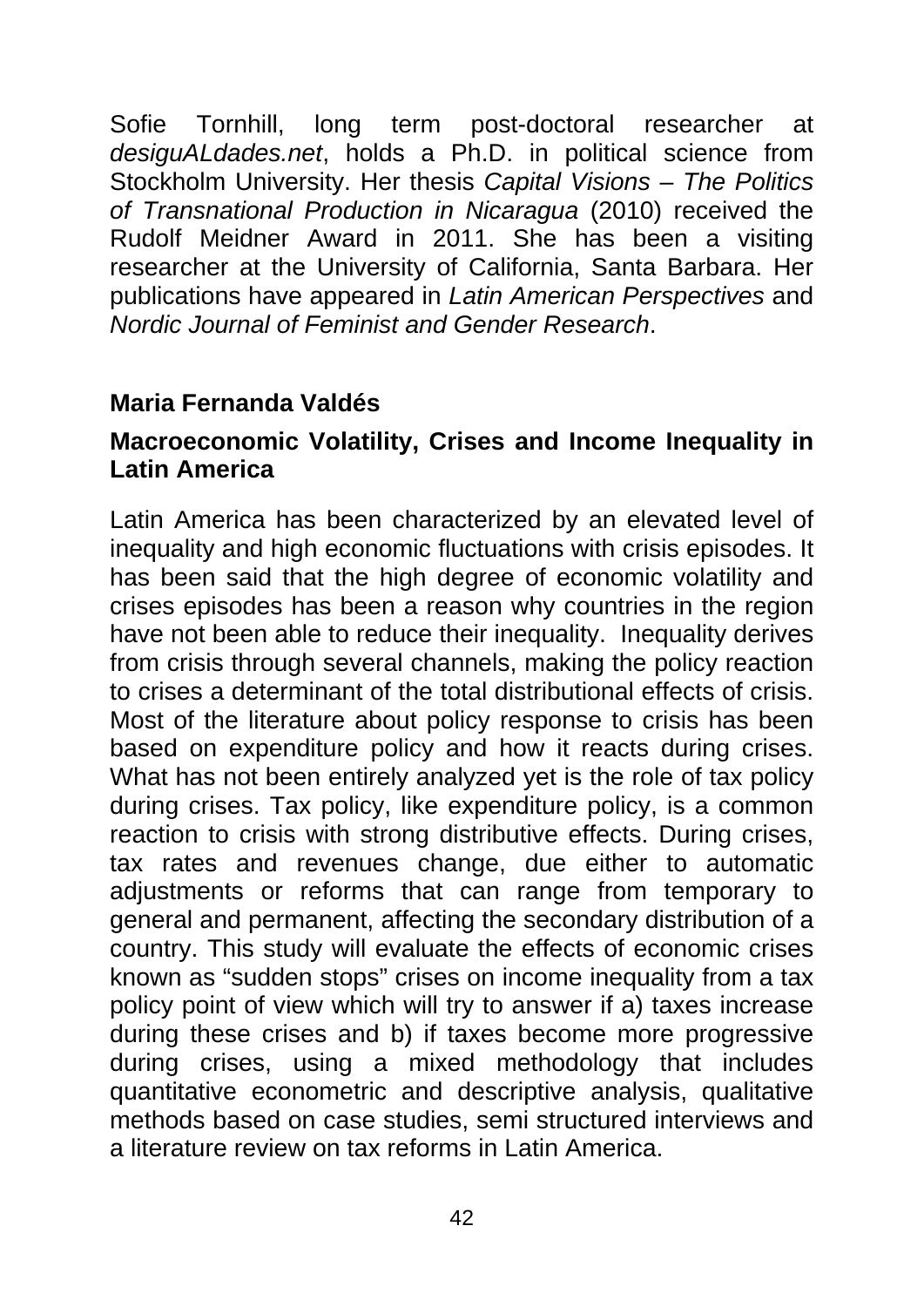Sofie Tornhill, long term post-doctoral researcher at *desiguALdades.net*, holds a Ph.D. in political science from Stockholm University. Her thesis *Capital Visions – The Politics of Transnational Production in Nicaragua* (2010) received the Rudolf Meidner Award in 2011. She has been a visiting researcher at the University of California, Santa Barbara. Her publications have appeared in *Latin American Perspectives* and *Nordic Journal of Feminist and Gender Research*.

#### **Maria Fernanda Valdés**

#### **Macroeconomic Volatility, Crises and Income Inequality in Latin America**

Latin America has been characterized by an elevated level of inequality and high economic fluctuations with crisis episodes. It has been said that the high degree of economic volatility and crises episodes has been a reason why countries in the region have not been able to reduce their inequality. Inequality derives from crisis through several channels, making the policy reaction to crises a determinant of the total distributional effects of crisis. Most of the literature about policy response to crisis has been based on expenditure policy and how it reacts during crises. What has not been entirely analyzed yet is the role of tax policy during crises. Tax policy, like expenditure policy, is a common reaction to crisis with strong distributive effects. During crises, tax rates and revenues change, due either to automatic adjustments or reforms that can range from temporary to general and permanent, affecting the secondary distribution of a country. This study will evaluate the effects of economic crises known as "sudden stops" crises on income inequality from a tax policy point of view which will try to answer if a) taxes increase during these crises and b) if taxes become more progressive during crises, using a mixed methodology that includes quantitative econometric and descriptive analysis, qualitative methods based on case studies, semi structured interviews and a literature review on tax reforms in Latin America.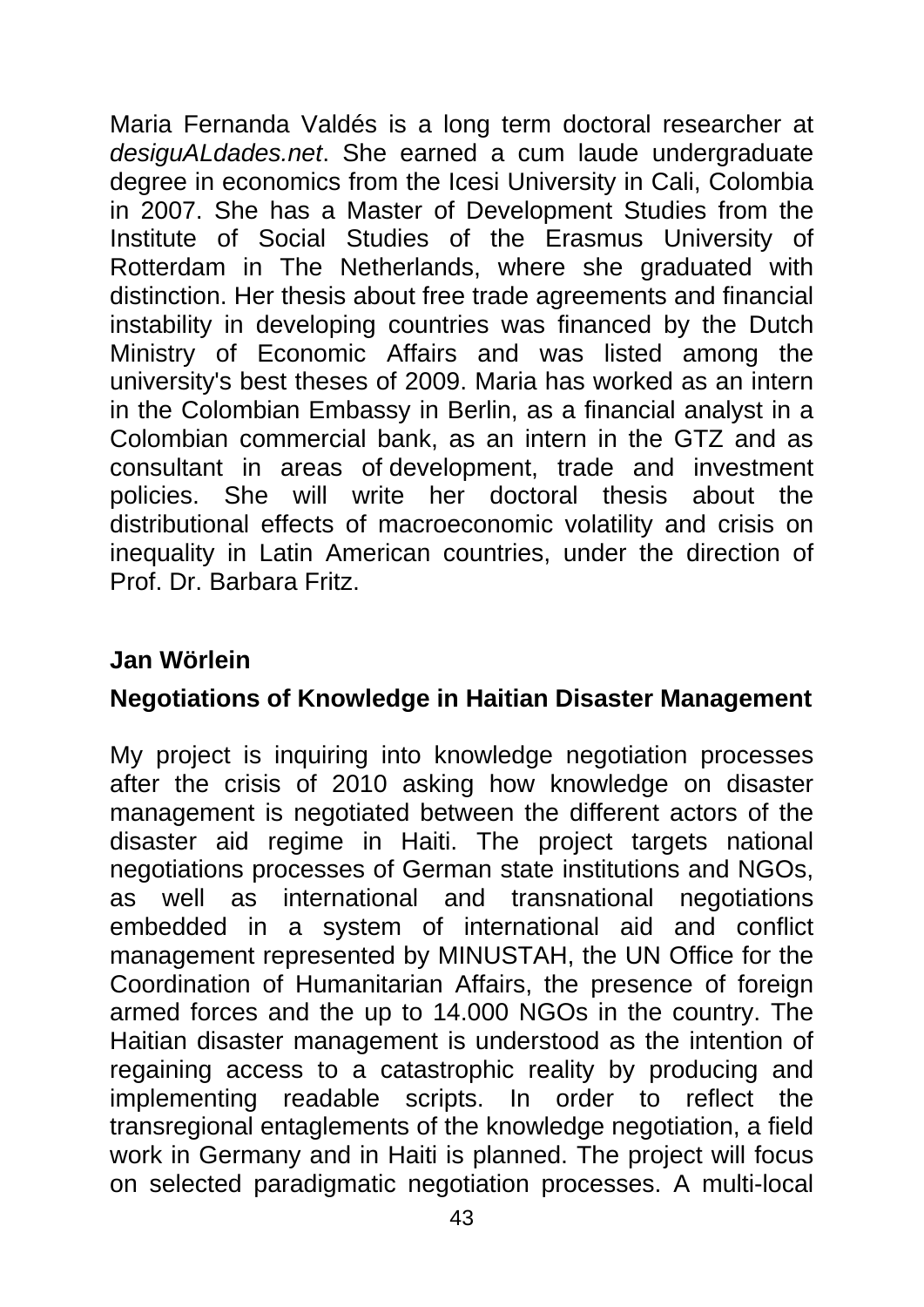Maria Fernanda Valdés is a long term doctoral researcher at *desiguALdades.net*. She earned a cum laude undergraduate degree in economics from the Icesi University in Cali, Colombia in 2007. She has a Master of Development Studies from the Institute of Social Studies of the Erasmus University of Rotterdam in The Netherlands, where she graduated with distinction. Her thesis about free trade agreements and financial instability in developing countries was financed by the Dutch Ministry of Economic Affairs and was listed among the university's best theses of 2009. Maria has worked as an intern in the Colombian Embassy in Berlin, as a financial analyst in a Colombian commercial bank, as an intern in the GTZ and as consultant in areas of development, trade and investment policies. She will write her doctoral thesis about the distributional effects of macroeconomic volatility and crisis on inequality in Latin American countries, under the direction of Prof. Dr. Barbara Fritz.

#### **Jan Wörlein**

#### **Negotiations of Knowledge in Haitian Disaster Management**

My project is inquiring into knowledge negotiation processes after the crisis of 2010 asking how knowledge on disaster management is negotiated between the different actors of the disaster aid regime in Haiti. The project targets national negotiations processes of German state institutions and NGOs, as well as international and transnational negotiations embedded in a system of international aid and conflict management represented by MINUSTAH, the UN Office for the Coordination of Humanitarian Affairs, the presence of foreign armed forces and the up to 14.000 NGOs in the country. The Haitian disaster management is understood as the intention of regaining access to a catastrophic reality by producing and implementing readable scripts. In order to reflect the transregional entaglements of the knowledge negotiation, a field work in Germany and in Haiti is planned. The project will focus on selected paradigmatic negotiation processes. A multi-local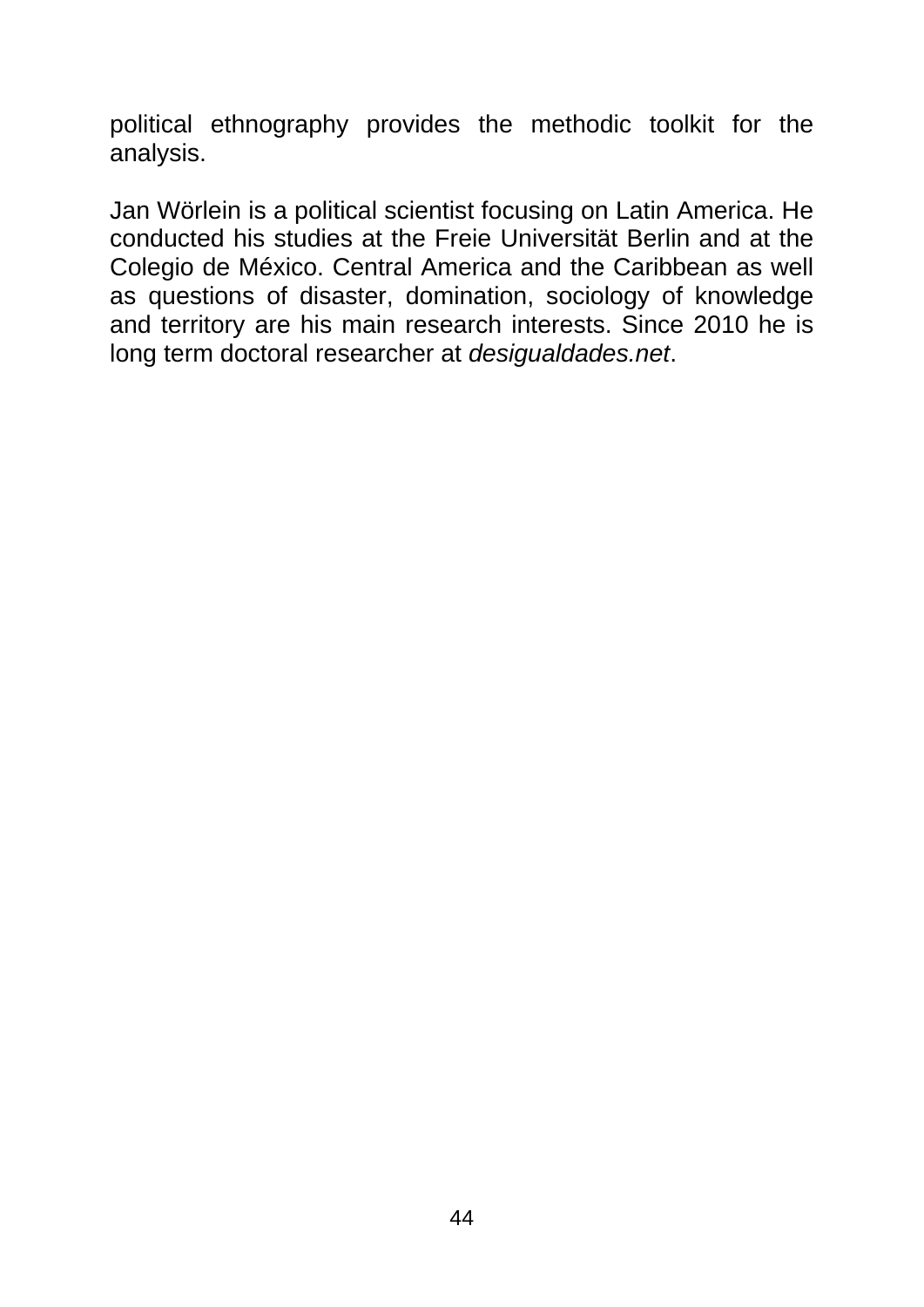political ethnography provides the methodic toolkit for the analysis.

Jan Wörlein is a political scientist focusing on Latin America. He conducted his studies at the Freie Universität Berlin and at the Colegio de México. Central America and the Caribbean as well as questions of disaster, domination, sociology of knowledge and territory are his main research interests. Since 2010 he is long term doctoral researcher at *desigualdades.net*.